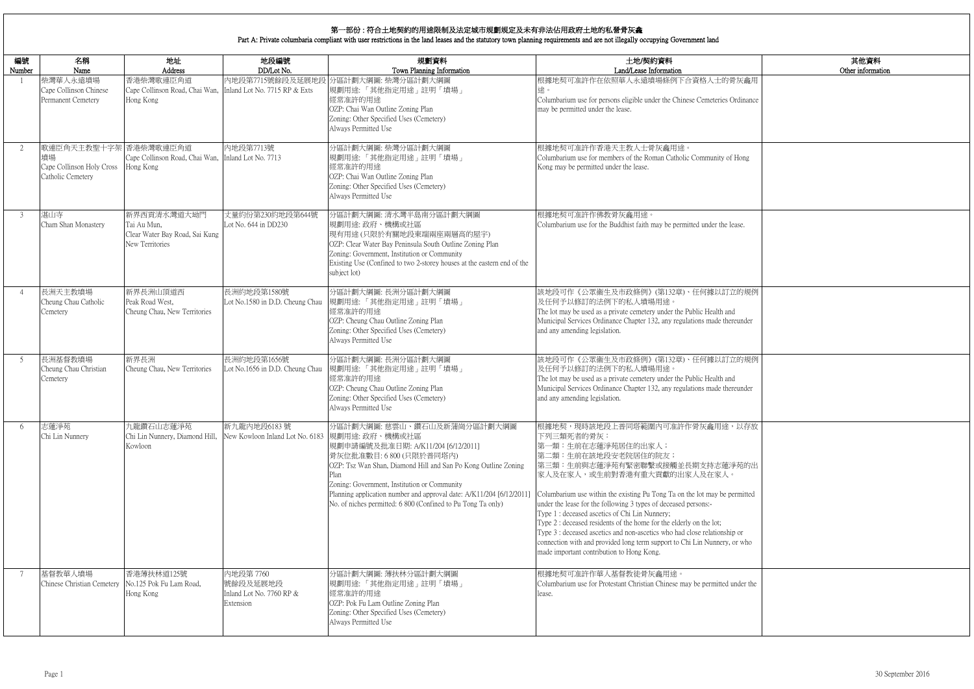|           | 其他資料<br>Other information |
|-----------|---------------------------|
| 灰龕用       |                           |
| dinance   |                           |
|           |                           |
|           |                           |
| Iong      |                           |
|           |                           |
|           |                           |
| ise.      |                           |
|           |                           |
|           |                           |
| 的規例       |                           |
|           |                           |
| under     |                           |
|           |                           |
| 的規例       |                           |
| under     |                           |
|           |                           |
| 以存放       |                           |
|           |                           |
| 苑的出       |                           |
| mitted    |                           |
|           |                           |
| <b>or</b> |                           |
| r who     |                           |
|           |                           |
| der the   |                           |
|           |                           |
|           |                           |

| 編號<br>Number   | 名稱<br>Name                                                                    | 地址<br>Address                                                                          | 地段編號<br>DD/Lot No.                                             | 規劃資料<br>Town Planning Information                                                                                                                                                                                                                                                                                                                                      | 土地/契約資料<br>Land/Lease Information                                                                                                                                                                                                                                                                                                                                                                                                                                                                                                                                                                                                            |
|----------------|-------------------------------------------------------------------------------|----------------------------------------------------------------------------------------|----------------------------------------------------------------|------------------------------------------------------------------------------------------------------------------------------------------------------------------------------------------------------------------------------------------------------------------------------------------------------------------------------------------------------------------------|----------------------------------------------------------------------------------------------------------------------------------------------------------------------------------------------------------------------------------------------------------------------------------------------------------------------------------------------------------------------------------------------------------------------------------------------------------------------------------------------------------------------------------------------------------------------------------------------------------------------------------------------|
|                | 柴灣華人永遠墳場<br>Cape Collinson Chinese<br>Permanent Cemetery                      | 香港柴灣歌連臣角道<br>Cape Collinson Road, Chai Wan, Inland Lot No. 7715 RP & Exts<br>Hong Kong |                                                                | 內地段第7715號餘段及延展地段 分區計劃大綱圖: 柴灣分區計劃大綱圖<br> 規劃用途:「其他指定用途」註明「墳場」<br>經常准許的用途<br>OZP: Chai Wan Outline Zoning Plan<br>Zoning: Other Specified Uses (Cemetery)<br>Always Permitted Use                                                                                                                                                                                         | 根據地契可准許作在依照華人永遠墳場條例下合資格人士的骨灰龕用<br>途。<br>Columbarium use for persons eligible under the Chinese Cemeteries Ordinance<br>may be permitted under the lease.                                                                                                                                                                                                                                                                                                                                                                                                                                                                                     |
| 2              | 歌連臣角天主教聖十字架 香港柴灣歌連臣角道<br>墳場<br>Cape Collinson Holy Cross<br>Catholic Cemetery | Cape Collinson Road, Chai Wan, Inland Lot No. 7713<br>Hong Kong                        | 內地段第7713號                                                      | 分區計劃大綱圖: 柴灣分區計劃大綱圖<br>規劃用途:「其他指定用途」註明「墳場」<br>經常准許的用途<br>OZP: Chai Wan Outline Zoning Plan<br>Zoning: Other Specified Uses (Cemetery)<br>Always Permitted Use                                                                                                                                                                                                           | 根據地契可准許作香港天主教人士骨灰龕用途。<br>Columbarium use for members of the Roman Catholic Community of Hong<br>Kong may be permitted under the lease.                                                                                                                                                                                                                                                                                                                                                                                                                                                                                                       |
| 3              | 湛山寺<br>Cham Shan Monastery                                                    | 新界西貢清水灣道大坳門<br>Tai Au Mun,<br>Clear Water Bay Road, Sai Kung<br>New Territories        | 丈量約份第230約地段第644號<br>Lot No. 644 in DD230                       | 分區計劃大綱圖:清水灣半島南分區計劃大綱圖<br>規劃用途:政府、機構或社區<br> 現有用途(只限於有關地段東端兩座兩層高的屋宇)<br>OZP: Clear Water Bay Peninsula South Outline Zoning Plan<br>Zoning: Government, Institution or Community<br>Existing Use (Confined to two 2-storey houses at the eastern end of the<br>subject lot)                                                                                              | 根據地契可准許作佛教骨灰龕用途。<br>Columbarium use for the Buddhist faith may be permitted under the lease.                                                                                                                                                                                                                                                                                                                                                                                                                                                                                                                                                 |
| $\overline{4}$ | 長洲天主教墳場<br>Cheung Chau Catholic<br>Cemetery                                   | 新界長洲山頂道西<br>Peak Road West,<br>Cheung Chau, New Territories                            | 長洲約地段第1580號<br>Lot No.1580 in D.D. Cheung Chau                 | 分區計劃大綱圖:長洲分區計劃大綱圖<br> 規劃用途:「其他指定用途」註明「墳場」<br>經常准許的用途<br>OZP: Cheung Chau Outline Zoning Plan<br>Zoning: Other Specified Uses (Cemetery)<br>Always Permitted Use                                                                                                                                                                                                        | 該地段可作《公眾衞生及市政條例》(第132章)、任何據以訂立的規例<br>及任何予以修訂的法例下的私人墳場用途。<br>The lot may be used as a private cemetery under the Public Health and<br>Municipal Services Ordinance Chapter 132, any regulations made thereunder<br>and any amending legislation.                                                                                                                                                                                                                                                                                                                                                                                              |
| 5              | 長洲基督教墳場<br>Cheung Chau Christian<br>Cemetery                                  | 新界長洲<br>Cheung Chau, New Territories                                                   | 長洲約地段第1656號<br>Lot No.1656 in D.D. Cheung Chau                 | 分區計劃大綱圖:長洲分區計劃大綱圖<br>規劃用途:「其他指定用途」註明「墳場」<br>經常准許的用途<br>OZP: Cheung Chau Outline Zoning Plan<br>Zoning: Other Specified Uses (Cemetery)<br>Always Permitted Use                                                                                                                                                                                                         | 該地段可作《公眾衞生及市政條例》(第132章)、任何據以訂立的規例<br>及任何予以修訂的法例下的私人墳場用途。<br>The lot may be used as a private cemetery under the Public Health and<br>Municipal Services Ordinance Chapter 132, any regulations made thereunder<br>and any amending legislation.                                                                                                                                                                                                                                                                                                                                                                                              |
| 6              | 志蓮淨苑<br>Chi Lin Nunnery                                                       | 九龍鑽石山志蓮淨苑<br>Chi Lin Nunnery, Diamond Hill,<br>Kowloon                                 | 新九龍内地段6183號<br>New Kowloon Inland Lot No. 6183                 | 分區計劃大綱圖:慈雲山、鑽石山及新蒲崗分區計劃大綱圖<br>規劃用途:政府、機構或社區<br> 規劃申請編號及批准日期: A/K11/204 [6/12/2011]<br>骨灰位批准數目:6800 (只限於普同塔內)<br>OZP: Tsz Wan Shan, Diamond Hill and San Po Kong Outline Zoning<br>Zoning: Government, Institution or Community<br>Planning application number and approval date: A/K11/204 [6/12/2011]<br>No. of niches permitted: 6 800 (Confined to Pu Tong Ta only) | 根據地契,現時該地段上普同塔範圍內可准許作骨灰龕用途,以存放<br>下列三類死者的骨灰:<br>第一類:生前在志蓮淨苑居住的出家人;<br>第二類:生前在該地段安老院居住的院友;<br> 第三類:生前與志蓮淨苑有緊密聯繫或接觸並長期支持志蓮淨苑的出<br>家人及在家人,或生前對香港有重大貢獻的出家人及在家人。<br>Columbarium use within the existing Pu Tong Ta on the lot may be permitted<br>under the lease for the following 3 types of deceased persons:-<br>Type 1 : deceased ascetics of Chi Lin Nunnery;<br>Type 2 : deceased residents of the home for the elderly on the lot;<br>Type 3 : deceased ascetics and non-ascetics who had close relationship or<br>connection with and provided long term support to Chi Lin Nunnery, or who<br>made important contribution to Hong Kong. |
| 7              | 基督教華人墳場<br>Chinese Christian Cemetery                                         | 香港薄扶林道125號<br>No.125 Pok Fu Lam Road,<br>Hong Kong                                     | 內地段第 7760<br>號餘段及延展地段<br>Inland Lot No. 7760 RP &<br>Extension | 分區計劃大綱圖: 薄扶林分區計劃大綱圖<br> 規劃用途:「其他指定用途」註明「墳場」<br>經常准許的用途<br>OZP: Pok Fu Lam Outline Zoning Plan<br>Zoning: Other Specified Uses (Cemetery)<br>Always Permitted Use                                                                                                                                                                                                       | 根據地契可准許作華人基督教徒骨灰龕用途。<br>Columbarium use for Protestant Christian Chinese may be permitted under the<br>lease.                                                                                                                                                                                                                                                                                                                                                                                                                                                                                                                                |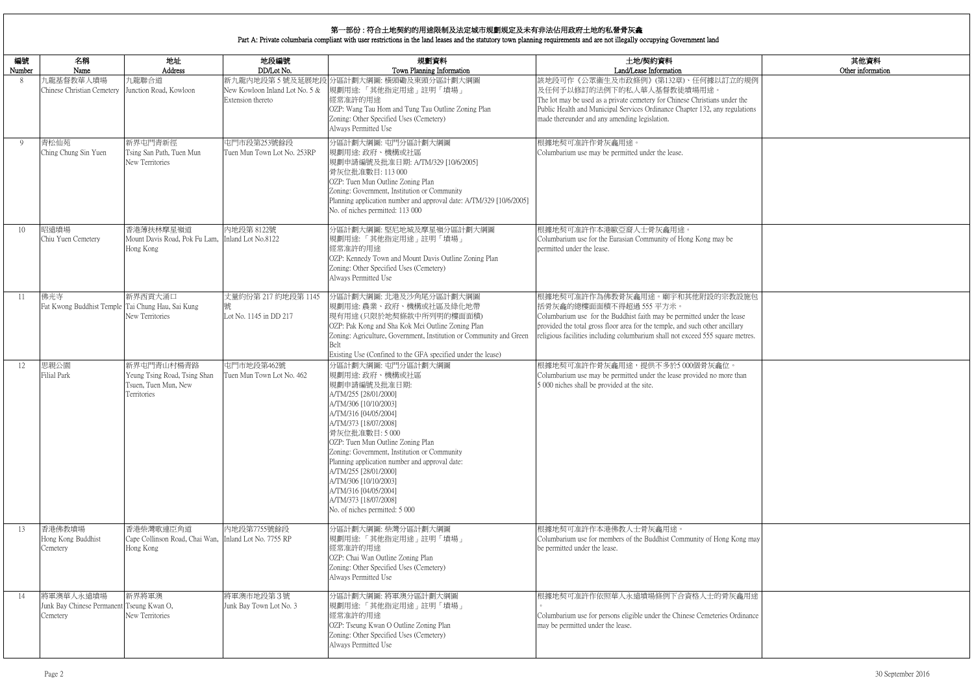|                              | 其他資料<br>Other information |
|------------------------------|---------------------------|
| 的規例                          |                           |
| the<br>ilations              |                           |
|                              |                           |
|                              |                           |
| 設施包<br>ase<br>ıry<br>netres. |                           |
| han                          |                           |
| ong may                      |                           |
| 龕用途<br>dinance               |                           |
|                              |                           |

# 第一部份 : 符合土地契約的用途限制及法定城市規劃規定及未有非法佔用政府土地的私營骨灰龕

Part A: Private columbaria compliant with user restrictions in the land leases and the statutory town planning requirements and are not illegally occupying Government land

| 編號     | 名稱                                                                 | 地址                                                                                | 地段編號                                                | 規劃資料                                                                                                                                                                                                                                                                                                                                                                                                                                                  | 土地/契約資料                                                                                                                                                                                                                                                                                                |
|--------|--------------------------------------------------------------------|-----------------------------------------------------------------------------------|-----------------------------------------------------|-------------------------------------------------------------------------------------------------------------------------------------------------------------------------------------------------------------------------------------------------------------------------------------------------------------------------------------------------------------------------------------------------------------------------------------------------------|--------------------------------------------------------------------------------------------------------------------------------------------------------------------------------------------------------------------------------------------------------------------------------------------------------|
| Number | Name                                                               | Address                                                                           | DD/Lot No.                                          | Town Planning Information                                                                                                                                                                                                                                                                                                                                                                                                                             | Land/Lease Information                                                                                                                                                                                                                                                                                 |
| 8      | 九龍基督教華人墳場<br>Chinese Christian Cemetery                            | 九龍聯合道<br>Junction Road, Kowloon                                                   | New Kowloon Inland Lot No. 5 &<br>Extension thereto | 新九龍内地段第5號及延展地段 分區計劃大綱圖: 橫頭磡及東頭分區計劃大綱圖<br>規劃用途:「其他指定用途」註明「墳場」<br>經常准許的用途<br>OZP: Wang Tau Hom and Tung Tau Outline Zoning Plan<br>Zoning: Other Specified Uses (Cemetery)<br>Always Permitted Use                                                                                                                                                                                                                                                      | 該地段可作《公眾衞生及市政條例》(第132章)、任何據以訂立的規例<br>及任何予以修訂的法例下的私人華人基督教徒墳場用途。<br>The lot may be used as a private cemetery for Chinese Christians under the<br>Public Health and Municipal Services Ordinance Chapter 132, any regulations<br>made thereunder and any amending legislation.                           |
| 9      | 青松仙苑<br>Ching Chung Sin Yuen                                       | 新界屯門青新徑<br>Tsing San Path, Tuen Mun<br>New Territories                            | 屯門市段第253號餘段<br>Tuen Mun Town Lot No. 253RP          | 分區計劃大綱圖: 屯門分區計劃大綱圖<br>規劃用途:政府、機構或社區<br>規劃申請編號及批准日期: A/TM/329 [10/6/2005]<br>骨灰位批准數目: 113 000<br>OZP: Tuen Mun Outline Zoning Plan<br>Zoning: Government, Institution or Community<br>Planning application number and approval date: A/TM/329 [10/6/2005]<br>No. of niches permitted: 113 000                                                                                                                                                          | 根據地契可准許作骨灰龕用途。<br>Columbarium use may be permitted under the lease.                                                                                                                                                                                                                                    |
| 10     | 昭遠墳場<br>Chiu Yuen Cemetery                                         | 香港薄扶林摩星嶺道<br>Mount Davis Road, Pok Fu Lam,<br>Hong Kong                           | 內地段第 8122號<br>Inland Lot No.8122                    | 分區計劃大綱圖:堅尼地城及摩星嶺分區計劃大綱圖<br>規劃用途:「其他指定用途」註明「墳場」<br>經常准許的用途<br>OZP: Kennedy Town and Mount Davis Outline Zoning Plan<br>Zoning: Other Specified Uses (Cemetery)<br>Always Permitted Use                                                                                                                                                                                                                                                                 | 根據地契可准許作本港歐亞裔人士骨灰龕用途。<br>Columbarium use for the Eurasian Community of Hong Kong may be<br>permitted under the lease.                                                                                                                                                                                  |
| 11     | 佛光寺<br>Fat Kwong Buddhist Temple Tai Chung Hau, Sai Kung           | 新界西貢大涌口<br>New Territories                                                        | 丈量約份第 217 約地段第 1145<br>號<br>Lot No. 1145 in DD 217  | 分區計劃大綱圖: 北港及沙角尾分區計劃大綱圖<br>規劃用途:農業、政府、機構或社區及綠化地帶<br>現有用途(只限於地契條款中所列明的樓面面積)<br>OZP: Pak Kong and Sha Kok Mei Outline Zoning Plan<br>Zoning: Agriculture, Government, Institution or Community and Green<br>Belt<br>Existing Use (Confined to the GFA specified under the lease)                                                                                                                                                                         | 根據地契可准許作為佛教骨灰龕用途。廟宇和其他附設的宗教設施包<br>括骨灰龕的總樓面面積不得超過 555 平方米。<br>Columbarium use for the Buddhist faith may be permitted under the lease<br>provided the total gross floor area for the temple, and such other ancillary<br>religious facilities including columbarium shall not exceed 555 square metres. |
| 12     | 思親公園<br><b>Filial Park</b>                                         | 新界屯門青山村楊青路<br>Yeung Tsing Road, Tsing Shan<br>Tsuen, Tuen Mun, New<br>Territories | 屯門市地段第462號<br>Tuen Mun Town Lot No. 462             | 分區計劃大綱圖: 屯門分區計劃大綱圖<br>規劃用途: 政府、機構或社區<br>規劃申請編號及批准日期:<br>A/TM/255 [28/01/2000]<br>A/TM/306 [10/10/2003]<br>A/TM/316 [04/05/2004]<br>A/TM/373 [18/07/2008]<br>骨灰位批准數目:5000<br>OZP: Tuen Mun Outline Zoning Plan<br>Zoning: Government, Institution or Community<br>Planning application number and approval date:<br>A/TM/255 [28/01/2000]<br>A/TM/306 [10/10/2003]<br>A/TM/316 [04/05/2004]<br>A/TM/373 [18/07/2008]<br>No. of niches permitted: 5 000 | 根據地契可准許作骨灰龕用途,提供不多於5000個骨灰龕位。<br>Columbarium use may be permitted under the lease provided no more than<br>5 000 niches shall be provided at the site.                                                                                                                                                 |
| 13     | 香港佛教墳場<br>Hong Kong Buddhist<br>Cemetery                           | 香港柴灣歌連臣角道<br>Cape Collinson Road, Chai Wan,<br>Hong Kong                          | 内地段第7755號餘段<br>Inland Lot No. 7755 RP               | 分區計劃大綱圖: 柴灣分區計劃大綱圖<br>規劃用途:「其他指定用途」註明「墳場」<br>經常准許的用途<br>OZP: Chai Wan Outline Zoning Plan<br>Zoning: Other Specified Uses (Cemetery)<br>Always Permitted Use                                                                                                                                                                                                                                                                                          | 根據地契可准許作本港佛教人士骨灰龕用途。<br>Columbarium use for members of the Buddhist Community of Hong Kong may<br>be permitted under the lease.                                                                                                                                                                        |
| 14     | 將軍澳華人永遠墳場<br>Junk Bay Chinese Permanent Tseung Kwan O,<br>Cemetery | 新界將軍澳<br>New Territories                                                          | 將軍澳市地段第3號<br>Junk Bay Town Lot No. 3                | 分區計劃大綱圖:將軍澳分區計劃大綱圖<br>規劃用途:「其他指定用途」註明「墳場」<br>經常准許的用途<br>OZP: Tseung Kwan O Outline Zoning Plan<br>Zoning: Other Specified Uses (Cemetery)<br>Always Permitted Use                                                                                                                                                                                                                                                                                     | 根據地契可准許作依照華人永遠墳場條例下合資格人士的骨灰龕用途<br>Columbarium use for persons eligible under the Chinese Cemeteries Ordinance<br>may be permitted under the lease.                                                                                                                                                     |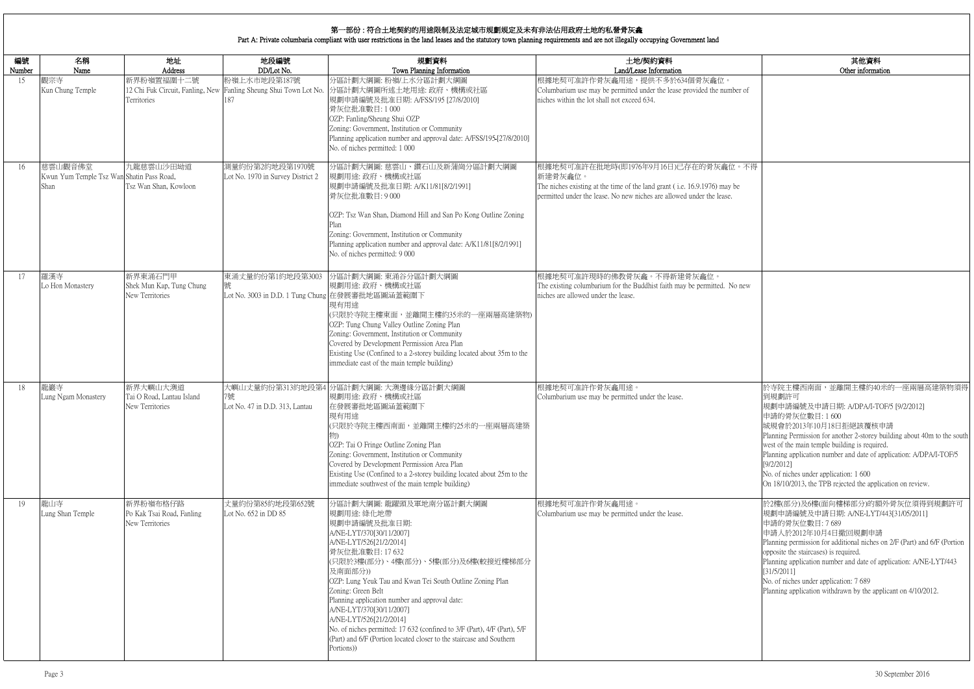|            | 其他資料                                                                                                                                                                                                           |
|------------|----------------------------------------------------------------------------------------------------------------------------------------------------------------------------------------------------------------|
|            | Other information                                                                                                                                                                                              |
| mber of    |                                                                                                                                                                                                                |
|            |                                                                                                                                                                                                                |
|            |                                                                                                                                                                                                                |
| 位。不得       |                                                                                                                                                                                                                |
| y be<br>e. |                                                                                                                                                                                                                |
|            |                                                                                                                                                                                                                |
|            |                                                                                                                                                                                                                |
| No new     |                                                                                                                                                                                                                |
|            |                                                                                                                                                                                                                |
|            |                                                                                                                                                                                                                |
|            |                                                                                                                                                                                                                |
|            | 於寺院主樓西南面,並離開主樓約40米的一座兩層高建築物須得<br>到規劃許可<br>規劃申請編號及申請日期: A/DPA/I-TOF/5 [9/2/2012]<br>申請的骨灰位數目:1600                                                                                                               |
|            | 城規會於2013年10月18日拒絕該覆核申請<br>Planning Permission for another 2-storey building about 40m to the south<br>west of the main temple building is required.                                                            |
|            | Planning application number and date of application: A/DPA/I-TOF/5<br>[9/2/2012]<br>No. of niches under application: 1 600                                                                                     |
|            | On 18/10/2013, the TPB rejected the application on review.                                                                                                                                                     |
|            | 於2樓(部分)及6樓(面向樓梯部分)的額外骨灰位須得到規劃許可<br>規劃申請編號及申請日期: A/NE-LYT/443[31/05/2011]<br>申請的骨灰位數目: 7689                                                                                                                     |
|            | 申請人於2012年10月4日撤回規劃申請<br>Planning permission for additional niches on 2/F (Part) and 6/F (Portion<br>opposite the staircases) is required.<br>Planning application number and date of application: A/NE-LYT/443 |
|            | [31/5/2011]<br>No. of niches under application: 7 689<br>Planning application withdrawn by the applicant on 4/10/2012.                                                                                         |
|            |                                                                                                                                                                                                                |
|            |                                                                                                                                                                                                                |
|            |                                                                                                                                                                                                                |

| 編號           | 名稱<br>Name                                                   | 地址<br>Address                                            | 地段編號<br>DD/Lot No.                                                                       | 規劃資料<br>Town Planning Information                                                                                                                                                                                                                                                                                                                                                                                                                                                                                                               | 土地/契約資料<br>Land/Lease Information                                                                                                                                                                    |
|--------------|--------------------------------------------------------------|----------------------------------------------------------|------------------------------------------------------------------------------------------|-------------------------------------------------------------------------------------------------------------------------------------------------------------------------------------------------------------------------------------------------------------------------------------------------------------------------------------------------------------------------------------------------------------------------------------------------------------------------------------------------------------------------------------------------|------------------------------------------------------------------------------------------------------------------------------------------------------------------------------------------------------|
| Number<br>15 | 觀宗寺<br>Kun Chung Temple                                      | 新界粉嶺置福圍十二號<br>Territories                                | 粉嶺上水市地段第187號<br>12 Chi Fuk Circuit, Fanling, New Fanling Sheung Shui Town Lot No.<br>187 | 分區計劃大綱圖:粉嶺/上水分區計劃大綱圖<br>分區計劃大綱圖所述土地用途: 政府、機構或社區<br>規劃申請編號及批准日期: A/FSS/195 [27/8/2010]<br>骨灰位批准數目:1000<br>OZP: Fanling/Sheung Shui OZP<br>Zoning: Government, Institution or Community<br>Planning application number and approval date: A/FSS/195-[27/8/2010]<br>No. of niches permitted: 1 000                                                                                                                                                                                                                                                 | 根據地契可准許作骨灰龕用途,提供不多於634個骨灰龕位。<br>Columbarium use may be permitted under the lease provided the number of<br>niches within the lot shall not exceed 634.                                               |
| 16           | 慈雲山觀音佛堂<br>Kwun Yum Temple Tsz Wan Shatin Pass Road,<br>Shan | 九龍慈雲山沙田坳道<br>Tsz Wan Shan, Kowloon                       | 測量約份第2約地段第1970號<br>Lot No. 1970 in Survey District 2                                     | 分區計劃大綱圖: 慈雲山、鑽石山及新蒲崗分區計劃大綱圖<br>規劃用途:政府、機構或社區<br>規劃申請編號及批准日期: A/K11/81[8/2/1991]<br>骨灰位批准數目:9000<br>OZP: Tsz Wan Shan, Diamond Hill and San Po Kong Outline Zoning<br>Zoning: Government, Institution or Community<br>Planning application number and approval date: A/K11/81[8/2/1991]<br>No. of niches permitted: 9 000                                                                                                                                                                                                                        | 根據地契可准許在批地時(即1976年9月16日)已存在的骨灰龕位。不得<br>新建骨灰龕位。<br>The niches existing at the time of the land grant (i.e. 16.9.1976) may be<br>permitted under the lease. No new niches are allowed under the lease. |
| 17           | 羅漢寺<br>Lo Hon Monastery                                      | 新界東涌石門甲<br>Shek Mun Kap, Tung Chung<br>New Territories   | 東涌丈量約份第1約地段第3003<br>號<br>Lot No. 3003 in D.D. 1 Tung Chung 在發展審批地區圖涵蓋範圍下                 | 分區計劃大綱圖: 東涌谷分區計劃大綱圖<br>規劃用途: 政府、機構或社區<br>現有用途<br>(只限於寺院主樓東面,並離開主樓約35米的一座兩層高建築物)<br>OZP: Tung Chung Valley Outline Zoning Plan<br>Zoning: Government, Institution or Community<br>Covered by Development Permission Area Plan<br>Existing Use (Confined to a 2-storey building located about 35m to the<br>immediate east of the main temple building)                                                                                                                                                                                           | 根據地契可准許現時的佛教骨灰龕。不得新建骨灰龕位。<br>The existing columbarium for the Buddhist faith may be permitted. No new<br>niches are allowed under the lease.                                                         |
| 18           | 龍巖寺<br>Lung Ngam Monastery                                   | 新界大嶼山大澳道<br>Tai O Road, Lantau Island<br>New Territories | 7號<br>Lot No. 47 in D.D. 313, Lantau                                                     | 大嶼山丈量約份第313約地段第4 分區計劃大綱圖: 大澳邊緣分區計劃大綱圖<br>規劃用途: 政府、機構或社區<br>在發展審批地區圖涵蓋範圍下<br>現有用途<br>(只限於寺院主樓西南面,並離開主樓約25米的一座兩層高建築<br>OZP: Tai O Fringe Outline Zoning Plan<br>Zoning: Government, Institution or Community<br>Covered by Development Permission Area Plan<br>Existing Use (Confined to a 2-storey building located about 25m to the<br>immediate southwest of the main temple building)                                                                                                                                                         | 根據地契可准許作骨灰龕用途。<br>Columbarium use may be permitted under the lease.                                                                                                                                  |
| 19           | 龍山寺<br>Lung Shan Temple                                      | 新界粉嶺布格仔路<br>Po Kak Tsai Road, Fanling<br>New Territories | 丈量約份第85約地段第652號<br>Lot No. 652 in DD 85                                                  | 分區計劃大綱圖: 龍躍頭及軍地南分區計劃大綱圖<br>規劃用途: 綠化地帶<br>規劃申請編號及批准日期:<br>A/NE-LYT/370[30/11/2007]<br>A/NE-LYT/526[21/2/2014]<br>骨灰位批准數目: 17 632<br>(只限於3樓(部分)、4樓(部分)、5樓(部分)及6樓(較接近樓梯部分<br>及南面部分))<br>OZP: Lung Yeuk Tau and Kwan Tei South Outline Zoning Plan<br>Zoning: Green Belt<br>Planning application number and approval date:<br>A/NE-LYT/370[30/11/2007]<br>A/NE-LYT/526[21/2/2014]<br>No. of niches permitted: 17 632 (confined to 3/F (Part), 4/F (Part), 5/F<br>(Part) and 6/F (Portion located closer to the staircase and Southern<br>Portions)) | 根據地契可准許作骨灰龕用途。<br>Columbarium use may be permitted under the lease.                                                                                                                                  |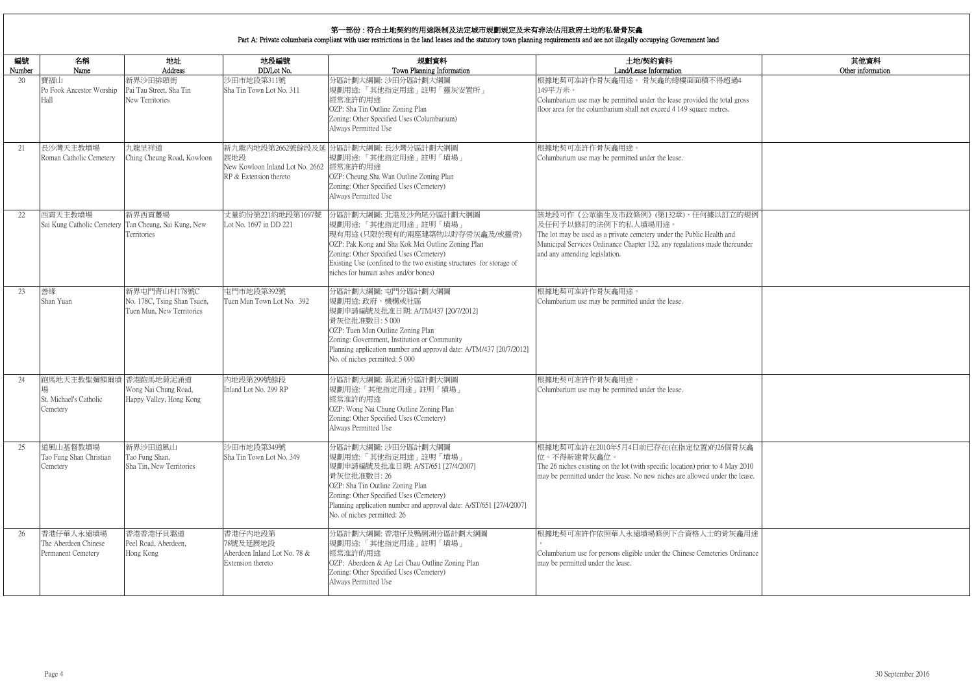|                   | 其他資料<br>Other information |
|-------------------|---------------------------|
| $\frac{1}{2}4$    |                           |
| gross             |                           |
|                   |                           |
|                   |                           |
|                   |                           |
|                   |                           |
|                   |                           |
| 的規例               |                           |
| under             |                           |
|                   |                           |
|                   |                           |
|                   |                           |
|                   |                           |
|                   |                           |
|                   |                           |
|                   |                           |
|                   |                           |
|                   |                           |
| 拆金                |                           |
| /2010<br>e lease. |                           |
|                   |                           |
|                   |                           |
| 龕用途               |                           |
| dinance           |                           |
|                   |                           |
|                   |                           |

| 編號     | 名稱                                                          | 地址                                                                       | 地段編號                                                                     | 規劃資料                                                                                                                                                                                                                                                                                         | 土地/契約資料                                                                                                                                                                                                                                         |
|--------|-------------------------------------------------------------|--------------------------------------------------------------------------|--------------------------------------------------------------------------|----------------------------------------------------------------------------------------------------------------------------------------------------------------------------------------------------------------------------------------------------------------------------------------------|-------------------------------------------------------------------------------------------------------------------------------------------------------------------------------------------------------------------------------------------------|
| Number | Name<br>寶福山                                                 | Address<br>新界沙田排頭街                                                       | DD/Lot No.                                                               | Town Planning Information                                                                                                                                                                                                                                                                    | Land/Lease Information<br>根據地契可准許作骨灰龕用途。 骨灰龕的總樓面面積不得超過4                                                                                                                                                                                         |
| 20     | Po Fook Ancestor Worship<br>Hall                            | Pai Tau Street, Sha Tin<br>New Territories                               | 沙田市地段第311號<br>Sha Tin Town Lot No. 311                                   | 分區計劃大綱圖: 沙田分區計劃大綱圖<br>規劃用途:「其他指定用途」註明「靈灰安置所」<br>經常准許的用途<br>OZP: Sha Tin Outline Zoning Plan<br>Zoning: Other Specified Uses (Columbarium)<br>Always Permitted Use                                                                                                                            | 149平方米。<br>Columbarium use may be permitted under the lease provided the total gross<br>floor area for the columbarium shall not exceed 4 149 square metres.                                                                                    |
| 21     | 長沙灣天主教墳場<br>Roman Catholic Cemetery                         | 九龍呈祥道<br>Ching Cheung Road, Kowloon                                      | 展地段<br>New Kowloon Inland Lot No. 2662 經常准許的用途<br>RP & Extension thereto | 新九龍內地段第2662號餘段及延 分區計劃大綱圖: 長沙灣分區計劃大綱圖<br> 規劃用途:「其他指定用途」註明「墳場」<br>OZP: Cheung Sha Wan Outline Zoning Plan<br>Zoning: Other Specified Uses (Cemetery)<br>Always Permitted Use                                                                                                                   | 根據地契可准許作骨灰龕用途。<br>Columbarium use may be permitted under the lease.                                                                                                                                                                             |
| 22     | 西貢天主教墳場<br>Sai Kung Catholic Cemetery                       | 新界西貢躉場<br>Tan Cheung, Sai Kung, New<br>Territories                       | 丈量約份第221約地段第1697號<br>Lot No. 1697 in DD 221                              | 分區計劃大綱圖:北港及沙角尾分區計劃大綱圖<br>規劃用途:「其他指定用途」註明「墳場」<br>現有用途(只限於現有的兩座建築物以貯存骨灰龕及/或靈骨)<br>OZP: Pak Kong and Sha Kok Mei Outline Zoning Plan<br>Zoning: Other Specified Uses (Cemetery)<br>Existing Use (confined to the two existing structures for storage of<br>niches for human ashes and/or bones) | 該地段可作《公眾衞生及市政條例》(第132章)、任何據以訂立的規例<br>及任何予以修訂的法例下的私人墳場用途。<br>The lot may be used as a private cemetery under the Public Health and<br>Municipal Services Ordinance Chapter 132, any regulations made thereunder<br>and any amending legislation. |
| 23     | 善緣<br>Shan Yuan                                             | 新界屯門青山村178號C<br>No. 178C, Tsing Shan Tsuen,<br>Tuen Mun, New Territories | 屯門市地段第392號<br>Tuen Mun Town Lot No. 392                                  | 分區計劃大綱圖: 屯門分區計劃大綱圖<br>規劃用途: 政府、機構或社區<br> 規劃申請編號及批准日期: A/TM/437 [20/7/2012]<br>骨灰位批准數目:5000<br>OZP: Tuen Mun Outline Zoning Plan<br>Zoning: Government, Institution or Community<br>Planning application number and approval date: A/TM/437 [20/7/2012]<br>No. of niches permitted: 5 000     | 根據地契可准許作骨灰龕用途。<br>Columbarium use may be permitted under the lease.                                                                                                                                                                             |
| 24     | 跑馬地天主教聖彌額爾墳 香港跑馬地黄泥涌道<br>St. Michael's Catholic<br>Cemetery | Wong Nai Chung Road,<br>Happy Valley, Hong Kong                          | 內地段第299號餘段<br>Inland Lot No. 299 RP                                      | 分區計劃大綱圖: 黃泥涌分區計劃大綱圖<br>規劃用途:「其他指定用途」註明「墳場」<br>經常准許的用途<br>OZP: Wong Nai Chung Outline Zoning Plan<br>Zoning: Other Specified Uses (Cemetery)<br>Always Permitted Use                                                                                                                          | 根據地契可准許作骨灰龕用途。<br>Columbarium use may be permitted under the lease.                                                                                                                                                                             |
| 25     | 道風山基督教墳場<br>Tao Fung Shan Christian<br>Cemetery             | 新界沙田道風山<br>Tao Fung Shan,<br>Sha Tin, New Territories                    | 沙田市地段第349號<br>Sha Tin Town Lot No. 349                                   | 分區計劃大綱圖: 沙田分區計劃大綱圖<br> 規劃用途:「其他指定用途」註明「墳場」<br> 規劃申請編號及批准日期: A/ST/651 [27/4/2007]<br>骨灰位批准數目: 26<br>OZP: Sha Tin Outline Zoning Plan<br>Zoning: Other Specified Uses (Cemetery)<br>Planning application number and approval date: A/ST/651 [27/4/2007]<br>No. of niches permitted: 26         | 根據地契可准許在2010年5月4日前已存在(在指定位置)的26個骨灰龕<br>位。不得新建骨灰龕位。<br>The 26 niches existing on the lot (with specific location) prior to 4 May 2010<br>may be permitted under the lease. No new niches are allowed under the lease.                            |
| 26     | 香港仔華人永遠墳場<br>The Aberdeen Chinese<br>Permanent Cemetery     | 香港香港仔貝璐道<br>Peel Road, Aberdeen,<br>Hong Kong                            | 香港仔内地段第<br>78號及延展地段<br>Aberdeen Inland Lot No. 78 &<br>Extension thereto | 分區計劃大綱圖: 香港仔及鴨脷洲分區計劃大綱圖<br>規劃用途:「其他指定用途」註明「墳場」<br>經常准許的用途<br>OZP: Aberdeen & Ap Lei Chau Outline Zoning Plan<br>Zoning: Other Specified Uses (Cemetery)<br>Always Permitted Use                                                                                                              | 根據地契可准許作依照華人永遠墳場條例下合資格人士的骨灰龕用途<br>Columbarium use for persons eligible under the Chinese Cemeteries Ordinance<br>may be permitted under the lease.                                                                                              |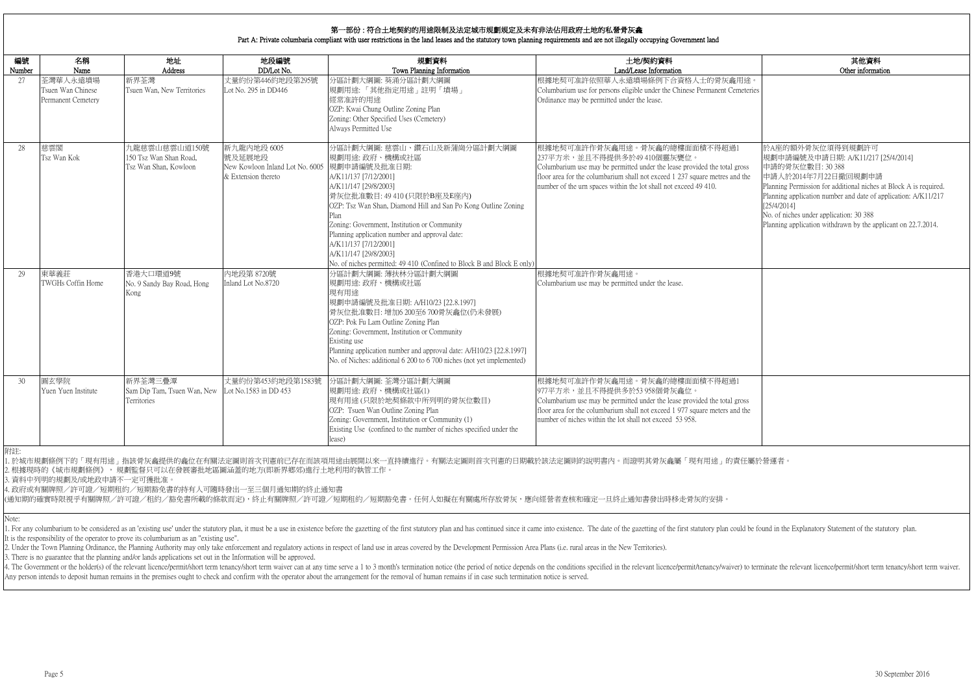|                | 其他資料                                                              |
|----------------|-------------------------------------------------------------------|
|                | Other information                                                 |
| 用途。            |                                                                   |
| meteries       |                                                                   |
|                |                                                                   |
|                |                                                                   |
|                |                                                                   |
|                |                                                                   |
| $\mathbf{1}$   | 於A座的額外骨灰位須得到規劃許可                                                  |
|                | 規劃申請編號及申請日期: A/K11/217 [25/4/2014]<br>申請的骨灰位數目: 30 388            |
| gross<br>d the | 申請人於2014年7月22日撤回規劃申請                                              |
|                | Planning Permission for additional niches at Block A is required. |
|                | Planning application number and date of application: A/K11/217    |
|                | [25/4/2014]                                                       |
|                | No. of niches under application: 30 388                           |
|                | Planning application withdrawn by the applicant on 22.7.2014.     |
|                |                                                                   |
|                |                                                                   |
|                |                                                                   |
|                |                                                                   |
|                |                                                                   |
|                |                                                                   |
|                |                                                                   |
|                |                                                                   |
|                |                                                                   |
|                |                                                                   |
|                |                                                                   |
|                |                                                                   |
|                |                                                                   |
| $\overline{1}$ |                                                                   |
|                |                                                                   |
| gross<br>d the |                                                                   |
|                |                                                                   |
|                |                                                                   |
|                |                                                                   |
|                |                                                                   |

| 編號<br>Number | 名稱<br>Name                                          | 地址<br>Address                                                    | 地段編號<br>DD/Lot No.                                                                            | 規劃資料<br>Town Planning Information                                                                                                                                                                                                                                                                                                                                                                                                      | 土地/契約資料<br>Land/Lease Information                                                                                                                                                                                                                                                           |
|--------------|-----------------------------------------------------|------------------------------------------------------------------|-----------------------------------------------------------------------------------------------|----------------------------------------------------------------------------------------------------------------------------------------------------------------------------------------------------------------------------------------------------------------------------------------------------------------------------------------------------------------------------------------------------------------------------------------|---------------------------------------------------------------------------------------------------------------------------------------------------------------------------------------------------------------------------------------------------------------------------------------------|
| 27           | 荃灣華人永遠墳場<br>Tsuen Wan Chinese<br>Permanent Cemetery | 新界荃灣<br>Tsuen Wan, New Territories                               | 丈量約份第446約地段第295號<br>Lot No. 295 in DD446                                                      | 分區計劃大綱圖: 葵涌分區計劃大綱圖<br>規劃用途:「其他指定用途」註明「墳場」<br>經常准許的用途<br>OZP: Kwai Chung Outline Zoning Plan<br>Zoning: Other Specified Uses (Cemetery)<br>Always Permitted Use                                                                                                                                                                                                                                                                         | 根據地契可准許依照華人永遠墳場條例下合資格人士的骨灰龕用途。<br>Columbarium use for persons eligible under the Chinese Permanent Cemeteries<br>Ordinance may be permitted under the lease.                                                                                                                                |
| 28           | 慈雲閣<br>Tsz Wan Kok                                  | 九龍慈雲山慈雲山道150號<br>150 Tsz Wan Shan Road,<br>Tsz Wan Shan, Kowloon | 新九龍內地段 6005<br>號及延展地段<br>New Kowloon Inland Lot No. 6005  規劃申請編號及批准日期:<br>& Extension thereto | 分區計劃大綱圖: 慈雲山、鑽石山及新蒲崗分區計劃大綱圖<br>規劃用途: 政府、機構或社區<br>A/K11/137 [7/12/2001]<br>A/K11/147 [29/8/2003]<br>骨灰位批准數目: 49 410 (只限於B座及E座內)<br>OZP: Tsz Wan Shan, Diamond Hill and San Po Kong Outline Zoning<br>Plan<br>Zoning: Government, Institution or Community<br>Planning application number and approval date:<br>A/K11/137 [7/12/2001]<br>A/K11/147 [29/8/2003]<br>No. of niches permitted: 49 410 (Confined to Block B and Block E only) | 根據地契可准許作骨灰龕用途。骨灰龕的總樓面面積不得超過1<br>237平方米,並且不得提供多於49 410個靈灰甕位。<br>Columbarium use may be permitted under the lease provided the total gross<br>floor area for the columbarium shall not exceed 1 237 square metres and the<br>number of the urn spaces within the lot shall not exceed 49 410. |
| 29           | 東華義莊<br>TWGHs Coffin Home                           | 香港大口環道9號<br>No. 9 Sandy Bay Road, Hong<br>Kong                   | 内地段第 8720號<br>Inland Lot No.8720                                                              | 分區計劃大綱圖:薄扶林分區計劃大綱圖<br>規劃用途: 政府、機構或社區<br>現有用途<br>規劃申請編號及批准日期: A/H10/23 [22.8.1997]<br>骨灰位批准數目:增加6 200至6 700骨灰龕位(仍未發展)<br>OZP: Pok Fu Lam Outline Zoning Plan<br>Zoning: Government, Institution or Community<br>Existing use<br>Planning application number and approval date: A/H10/23 [22.8.1997]<br>No. of Niches: additional 6 200 to 6 700 niches (not yet implemented)                                                            | 根據地契可准許作骨灰龕用途。<br>Columbarium use may be permitted under the lease.                                                                                                                                                                                                                         |
| 30           | 圓玄學院<br>Yuen Yuen Institute                         | 新界荃灣三疊潭<br>Sam Dip Tam, Tsuen Wan, New<br>Territories            | 丈量約份第453約地段第1583號<br>Lot No.1583 in DD 453                                                    | 分區計劃大綱圖: 荃灣分區計劃大綱圖<br>規劃用途:政府、機構或社區(1)<br>現有用途(只限於地契條款中所列明的骨灰位數目)<br>OZP: Tsuen Wan Outline Zoning Plan<br>Zoning: Government, Institution or Community (1)<br>Existing Use (confined to the number of niches specified under the<br>lease)                                                                                                                                                                                            | 根據地契可准許作骨灰龕用途。骨灰龕的總樓面面積不得超過1<br>977平方米,並且不得提供多於53 958個骨灰龕位。<br>Columbarium use may be permitted under the lease provided the total gross<br>floor area for the columbarium shall not exceed 1 977 square meters and the<br>number of niches within the lot shall not exceed 53 958.         |

1. For any columbarium to be considered as an 'existing use' under the statutory plan, it must be a use in existence before the gazetting of the first statutory plan and has continued since it came into existence. The date It is the responsibility of the operator to prove its columbarium as an "existing use".

2. Under the Town Planning Ordinance, the Planning Authority may only take enforcement and regulatory actions in respect of land use in areas covered by the Development Permission Area Plans (i.e. rural areas in the New Te

Note:

3. There is no guarantee that the planning and/or lands applications set out in the Information will be approved.

4. The Government or the holder(s) of the relevant licence/permit/short term tenancy/short term waiver can at any time serve a 1 to 3 month's termination notice (the period of notice depends on the conditions specified in Any person intends to deposit human remains in the premises ought to check and confirm with the operator about the arrangement for the removal of human remains if in case such termination notice is served.

附註:

1. 於城市規劃條例下的「現有用途」指該骨灰龕提供的龕位在有關法定圖則首次刊憲前已存在而該項用途由展開以來一直持續進行。有關法定圖則首次刊憲的日期載於該法定圖則的說明書內。而證明其骨灰龕屬「現有用途」的責任屬於營運者。 2. 根據現時的《城市規劃條例》, 規劃監督只可以在發展審批地區圖涵蓋的地方(即新界鄉郊)進行土地利用的執管工作。

3. 資料中列明的規劃及/或地政申請不一定可獲批准。

4. 政府或有關牌照/許可證/短期租約/短期豁免書的持有人可隨時發出一至三個月通知期的終止通知書

(通知期的確實時限視乎有關牌照/許可證/租約/豁免書所載的條款而定),終止有關牌照/許可證/短期租約/短期豁免書。任何人如擬在有關處所存放骨灰,應向經營者查核和確定一旦終止通知書發出時移走骨灰的安排。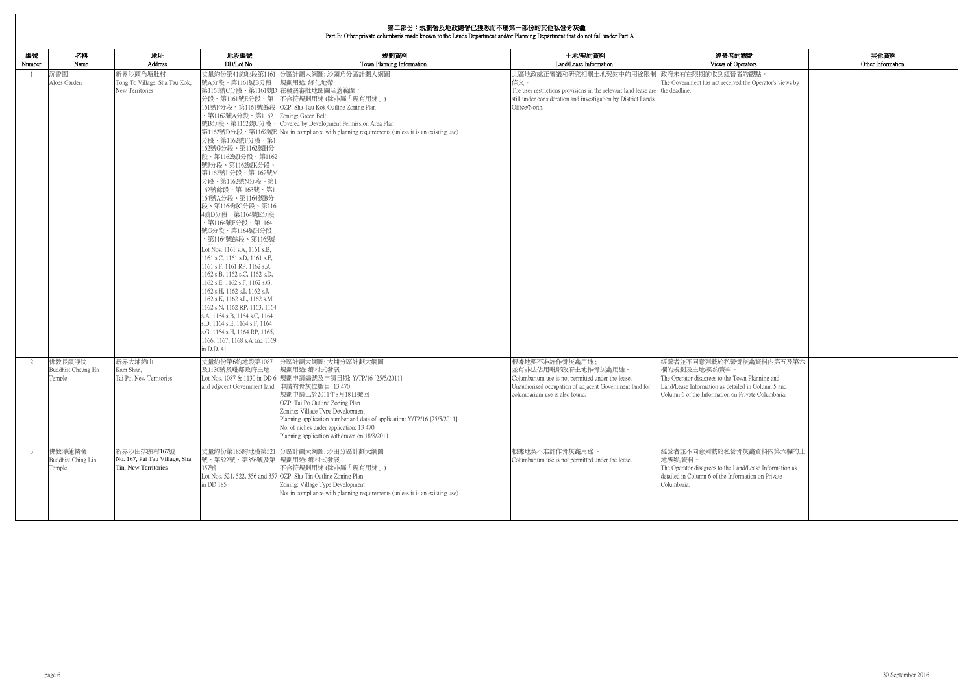|              | 第二部份:規劃署及地政總署已獲悉而不屬第一部份的其他私營骨灰龕<br>Part B: Other private columbaria made known to the Lands Department and/or Planning Department that do not fall under Part A |                                                                      |                                                                                                                                                                                                                                                                                                                                                                                                                                                                                                                                                                                                                                                                                                                                                           |                                                                                                                                                                                                                                                                                                                                                                         |                                                                                                                                                                                                                        |                                                                                                                                                                                                         |                           |
|--------------|-----------------------------------------------------------------------------------------------------------------------------------------------------------------|----------------------------------------------------------------------|-----------------------------------------------------------------------------------------------------------------------------------------------------------------------------------------------------------------------------------------------------------------------------------------------------------------------------------------------------------------------------------------------------------------------------------------------------------------------------------------------------------------------------------------------------------------------------------------------------------------------------------------------------------------------------------------------------------------------------------------------------------|-------------------------------------------------------------------------------------------------------------------------------------------------------------------------------------------------------------------------------------------------------------------------------------------------------------------------------------------------------------------------|------------------------------------------------------------------------------------------------------------------------------------------------------------------------------------------------------------------------|---------------------------------------------------------------------------------------------------------------------------------------------------------------------------------------------------------|---------------------------|
| 編號<br>Number | 名稱<br>Name                                                                                                                                                      | 地址<br>Address                                                        | 地段編號<br>DD/Lot No.                                                                                                                                                                                                                                                                                                                                                                                                                                                                                                                                                                                                                                                                                                                                        | 規劃資料<br>Town Planning Information                                                                                                                                                                                                                                                                                                                                       | 土地/契約資料<br>Land/Lease Information                                                                                                                                                                                      | 經營者的觀點<br>Views of Operators                                                                                                                                                                            | 其他資料<br>Other Information |
|              | 沉香園<br>Aloes Garden                                                                                                                                             | 新界沙頭角塘肚村<br>Tong To Village, Sha Tau Kok,<br>New Territories         | 號A分段、第1161號B分段、規劃用途: 綠化地帶<br>、第1162號A分段、第1162 Zoning: Green Belt<br>分段、第1162號F分段、第1<br>162號G分段、第1162號H分<br>段、第1162號I分段、第1162<br>號J分段、第1162號K分段、<br>第1162號L分段、第1162號M<br>分段、第1162號N分段、第1<br>162號餘段、第1163號、第1<br>164號A分段、第1164號B分<br>段、第1164號C分段、第116<br>4號D分段、第1164號E分段<br>· 第1164號F分段、第1164<br>號G分段、第1164號H分段<br>、第1164號餘段、第1165號<br>Lot Nos. 1161 s.A, 1161 s.B,<br>1161 s.C, 1161 s.D, 1161 s.E,<br>1161 s.F, 1161 RP, 1162 s.A,<br>1162 s.B, 1162 s.C, 1162 s.D,<br>1162 s.E, 1162 s.F, 1162 s.G,<br>1162 s.H, 1162 s.I, 1162 s.J,<br>1162 s.K, 1162 s.L, 1162 s.M,<br>1162 s.N, 1162 RP, 1163, 1164<br>s.A, 1164 s.B, 1164 s.C, 1164<br>s.D, 1164 s.E, 1164 s.F, 1164<br>s.G, 1164 s.H, 1164 RP, 1165,<br>1166, 1167, 1168 s.A and 1169<br>in D.D. 41 | 丈量約份第41約地段第1161 分區計劃大綱圖: 沙頭角分區計劃大綱圖<br>第1161號C分段、第1161號D 在發展審批地區圖涵蓋範圍下<br>分段、第1161號E分段、第1 不合符規劃用途(除非屬「現有用途」)<br>161號F分段、第1161號餘段 OZP: Sha Tau Kok Outline Zoning Plan<br>號B分段、第1162號C分段、 Covered by Development Permission Area Plan<br>第1162號D分段、第1162號E Not in compliance with planning requirements (unless it is an existing use)                                   | ��區地政處正審議和研究相關土地契約中的用途限制  政府未有在限期前收到經營者的觀點 <<br>條文。<br>The user restrictions provisions in the relevant land lease are the deadline.<br>still under consideration and investigation by District Lands<br>Office/North. | The Government has not received the Operator's views by                                                                                                                                                 |                           |
|              | 佛教長霞淨院<br>Buddhist Cheung Ha<br>Temple                                                                                                                          | 新界大埔錦山<br>Kam Shan,<br>Tai Po, New Territories                       | 丈量約份第6約地段第1087<br>及1130號及毗鄰政府土地<br>and adjacent Government land 申請的骨灰位數目: 13 470                                                                                                                                                                                                                                                                                                                                                                                                                                                                                                                                                                                                                                                                          | 分區計劃大綱圖: 大埔分區計劃大綱圖<br>規劃用途: 鄉村式發展<br>Lot Nos. 1087 & 1130 in DD 6  規劃申請編號及申請日期: Y/TP/16 [25/5/2011]<br> 規劃申請已於2011年8月18日撤回<br>OZP: Tai Po Outline Zoning Plan<br>Zoning: Village Type Development<br>Planning application number and date of application: Y/TP/16 [25/5/2011]<br>No. of niches under application: 13 470<br>Planning application withdrawn on 18/8/2011 | 根據地契不准許作骨灰龕用途;<br>並有非法佔用毗鄰政府土地作骨灰龕用途。<br>Columbarium use is not permitted under the lease.<br>Unauthorised occupation of adjacent Government land for<br>columbarium use is also found.                                | 經營者並不同意列載於私營骨灰龕資料內第五及第六<br>欄的規劃及土地/契約資料。<br>The Operator disagrees to the Town Planning and<br>Land/Lease Information as detailed in Column 5 and<br>Column 6 of the Information on Private Columbaria. |                           |
| -3           | 佛教淨蓮精舍<br>Buddhist Ching Lin<br>Temple                                                                                                                          | 新界沙田排頭村167號<br>No. 167, Pai Tau Village, Sha<br>Tin, New Territories | 號、第522號、第356號及第 規劃用途: 鄉村式發展<br>357號<br>in DD 185                                                                                                                                                                                                                                                                                                                                                                                                                                                                                                                                                                                                                                                                                                          | 丈量約份第185約地段第521 分區計劃大綱圖: 沙田分區計劃大綱圖<br>不合符規劃用途(除非屬「現有用途」)<br>Lot Nos. 521, 522, 356 and 357 OZP: Sha Tin Outline Zoning Plan<br>Zoning: Village Type Development<br>Not in compliance with planning requirements (unless it is an existing use)                                                                                                                          | 根據地契不准許作骨灰龕用途。<br>Columbarium use is not permitted under the lease.                                                                                                                                                    | 經營者並不同意列載於私營骨灰龕資料內第六欄的土<br>地/契約資料。<br>The Operator disagrees to the Land/Lease Information as<br>detailed in Column 6 of the Information on Private<br>Columbaria.                                      |                           |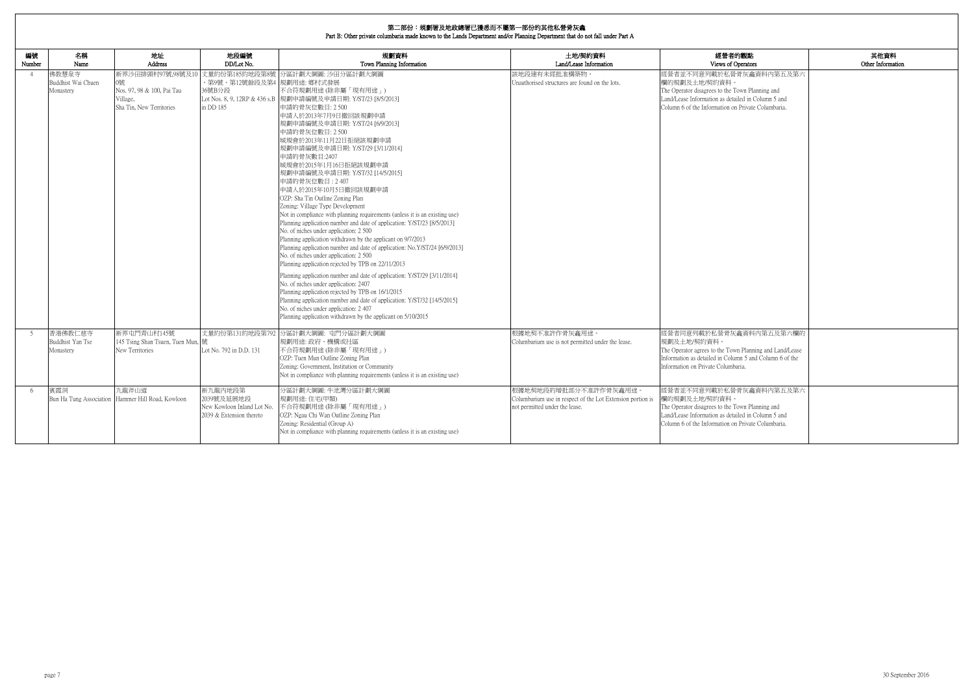| 的觀點<br>perators                                                 | 其他資料<br>Other Information |
|-----------------------------------------------------------------|---------------------------|
| 骨灰龕資料内第五及第六                                                     |                           |
| own Planning and<br>iled in Column 5 and<br>Private Columbaria. |                           |
|                                                                 |                           |
|                                                                 |                           |
|                                                                 |                           |
|                                                                 |                           |
|                                                                 |                           |
|                                                                 |                           |
|                                                                 |                           |
|                                                                 |                           |
|                                                                 |                           |
|                                                                 |                           |
|                                                                 |                           |
|                                                                 |                           |
|                                                                 |                           |
| 龕資料內第五及第六欄的                                                     |                           |
| n Planning and Land/Lease<br>nn 5 and Column 6 of the<br>aria.  |                           |
|                                                                 |                           |
| 骨灰龕資料内第五及第六                                                     |                           |
| own Planning and<br>iled in Column 5 and<br>Private Columbaria. |                           |
|                                                                 |                           |

| 編號<br>Number   | 名稱<br>Name                               | 地址<br><b>Address</b>                                                                          | 地段編號<br>DD/Lot No.                                                              | 規劃資料<br>Town Planning Information                                                                                                                                                                                                                                                                                                                                                                                                                                                                                                                                                                                                                                                                                                                                                                                                                                                                                                                                                                                                                                                                                                                                                                                                                                                            | 土地/契約資料<br>Land/Lease Information                                                                                     | 經營者的觀點<br>Views of Operators                                                                                                                                                                            |
|----------------|------------------------------------------|-----------------------------------------------------------------------------------------------|---------------------------------------------------------------------------------|----------------------------------------------------------------------------------------------------------------------------------------------------------------------------------------------------------------------------------------------------------------------------------------------------------------------------------------------------------------------------------------------------------------------------------------------------------------------------------------------------------------------------------------------------------------------------------------------------------------------------------------------------------------------------------------------------------------------------------------------------------------------------------------------------------------------------------------------------------------------------------------------------------------------------------------------------------------------------------------------------------------------------------------------------------------------------------------------------------------------------------------------------------------------------------------------------------------------------------------------------------------------------------------------|-----------------------------------------------------------------------------------------------------------------------|---------------------------------------------------------------------------------------------------------------------------------------------------------------------------------------------------------|
| $\overline{4}$ | 佛教慧泉寺<br>Buddhist Wai Chuen<br>Monastery | 新界沙田排頭村97號,98號及10<br>0號<br>Nos. 97, 98 & 100, Pai Tau<br>Village,<br>Sha Tin, New Territories | 丈量約份第185約地段第8號<br>・第9號、第12號餘段及第4  規劃用途: 郷村式發展<br>36號B分段<br>in DD 185            | 分區計劃大綱圖: 沙田分區計劃大綱圖<br>不合符規劃用途(除非屬「現有用途」)<br>Lot Nos. 8, 9, 12RP & 436 s.B  規劃申請編號及申請日期: Y/ST/23 [8/5/2013]<br>申請的骨灰位數目: 2 500<br>申請人於2013年7月9日撤回該規劃申請<br>規劃申請編號及申請日期: Y/ST/24 [6/9/2013]<br>申請的骨灰位數目: 2 500<br>城規會於2013年11月22日拒絕該規劃申請<br>規劃申請編號及申請日期: Y/ST/29 [3/11/2014]  <br>申請的骨灰數目:2407<br>城規會於2015年1月16日拒絕該規劃申請<br>規劃申請編號及申請日期: Y/ST/32 [14/5/2015]<br>申請的骨灰位數目: 2407<br>申請人於2015年10月5日撤回該規劃申請<br>OZP: Sha Tin Outline Zoning Plan<br>Zoning: Village Type Development<br>Not in compliance with planning requirements (unless it is an existing use)<br>Planning application number and date of application: Y/ST/23 [8/5/2013]<br>No. of niches under application: 2 500<br>Planning application withdrawn by the applicant on 9/7/2013<br>Planning application number and date of application: No.Y/ST/24 [6/9/2013]<br>No. of niches under application: 2 500<br>Planning application rejected by TPB on 22/11/2013<br>Planning application number and date of application: Y/ST/29 [3/11/2014]<br>No. of niches under application: 2407<br>Planning application rejected by TPB on 16/1/2015<br>Planning application number and date of application: Y/ST/32 [14/5/2015]<br>No. of niches under application: 2 407<br>Planning application withdrawn by the applicant on 5/10/2015 | 該地段建有未經批准構築物。<br>Unauthorised structures are found on the lots.                                                       | 經營者並不同意列載於私營骨灰龕資料內第五及第六<br>欄的規劃及土地/契約資料。<br>The Operator disagrees to the Town Planning and<br>Land/Lease Information as detailed in Column 5 and<br>Column 6 of the Information on Private Columbaria. |
| -5             | 香港佛教仁慈寺<br>Buddhist Yan Tse<br>Monastery | 新界屯門青山村145號<br>145 Tsing Shan Tsuen, Tuen Mun,  號<br>New Territories                          | Lot No. 792 in D.D. 131                                                         | 丈量約份第131約地段第792 分區計劃大綱圖: 屯門分區計劃大綱圖<br>規劃用途:政府、機構或社區<br>不合符規劃用途(除非屬「現有用途」)<br>OZP: Tuen Mun Outline Zoning Plan<br>Zoning: Government, Institution or Community<br>Not in compliance with planning requirements (unless it is an existing use)                                                                                                                                                                                                                                                                                                                                                                                                                                                                                                                                                                                                                                                                                                                                                                                                                                                                                                                                                                                                                                                | 根據地契不准許作骨灰龕用途。<br>Columbarium use is not permitted under the lease.                                                   | 經營者同意列載於私營骨灰龕資料內第五及第六欄的<br> 規劃及土地/契約資料。<br>The Operator agrees to the Town Planning and Land/Lease<br>Information as detailed in Column 5 and Column 6 of the<br>Information on Private Columbaria.     |
| -6             | 賓霞洞                                      | 九龍斧山道<br>Bun Ha Tung Association Hammer Hill Road, Kowloon                                    | 新九龍內地段第<br>2039號及延展地段<br>New Kowloon Inland Lot No.<br>2039 & Extension thereto | 分區計劃大綱圖:牛池灣分區計劃大綱圖<br>規劃用途:住宅(甲類)<br>不合符規劃用途(除非屬「現有用途」)<br>OZP: Ngau Chi Wan Outline Zoning Plan<br>Zoning: Residential (Group A)<br>Not in compliance with planning requirements (unless it is an existing use)                                                                                                                                                                                                                                                                                                                                                                                                                                                                                                                                                                                                                                                                                                                                                                                                                                                                                                                                                                                                                                                                             | 根據地契地段的增批部分不准許作骨灰龕用途。<br>Columbarium use in respect of the Lot Extension portion is<br>not permitted under the lease. | 經營者並不同意列載於私營骨灰龕資料內第五及第六<br>欄的規劃及十地/契約資料。<br>The Operator disagrees to the Town Planning and<br>Land/Lease Information as detailed in Column 5 and<br>Column 6 of the Information on Private Columbaria. |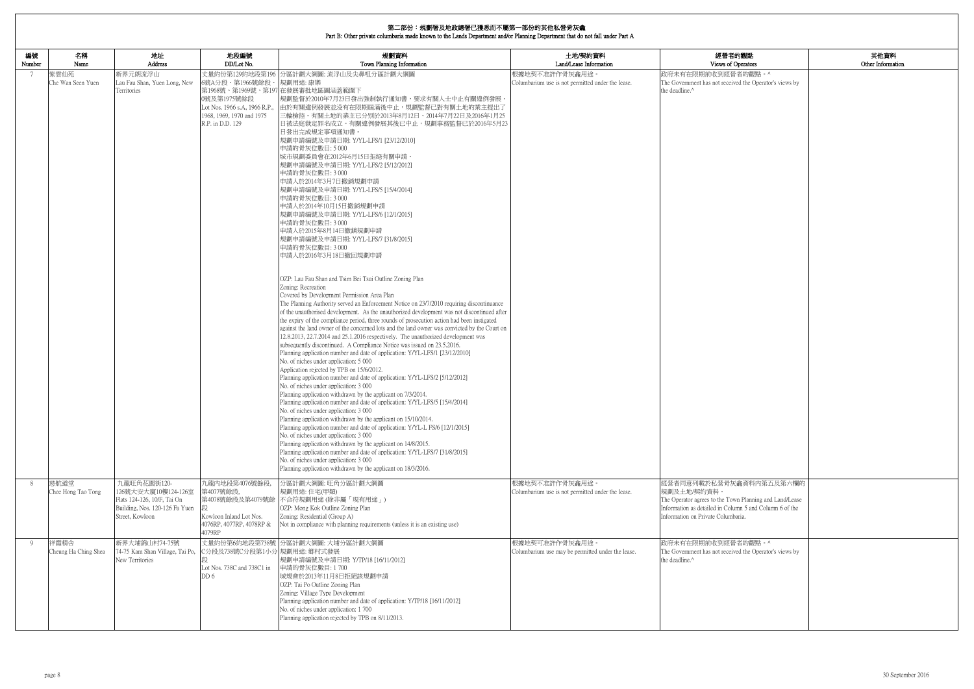|              | 第二部份:規劃署及地政總署已獲悉而不屬第一部份的其他私營骨灰龕<br>Part B: Other private columbaria made known to the Lands Department and/or Planning Department that do not fall under Part A |                                                                                                                        |                                                                                                                                     |                                                                                                                                                                                                                                                                                                                                                                                                                                                                                                                                                                                                                                                                                                                                                                                                                                                                                                                                                                                                                                                                                                                                                                                                                                                                                                                                                                                                                                                                                                                                                                                                                                                                                                                                                                                                                                                                                                                                                                                                                                                                                                                                                                                                                                                                                                                                                     |                                                                     |                                                                                                                                                                                                    |                           |
|--------------|-----------------------------------------------------------------------------------------------------------------------------------------------------------------|------------------------------------------------------------------------------------------------------------------------|-------------------------------------------------------------------------------------------------------------------------------------|-----------------------------------------------------------------------------------------------------------------------------------------------------------------------------------------------------------------------------------------------------------------------------------------------------------------------------------------------------------------------------------------------------------------------------------------------------------------------------------------------------------------------------------------------------------------------------------------------------------------------------------------------------------------------------------------------------------------------------------------------------------------------------------------------------------------------------------------------------------------------------------------------------------------------------------------------------------------------------------------------------------------------------------------------------------------------------------------------------------------------------------------------------------------------------------------------------------------------------------------------------------------------------------------------------------------------------------------------------------------------------------------------------------------------------------------------------------------------------------------------------------------------------------------------------------------------------------------------------------------------------------------------------------------------------------------------------------------------------------------------------------------------------------------------------------------------------------------------------------------------------------------------------------------------------------------------------------------------------------------------------------------------------------------------------------------------------------------------------------------------------------------------------------------------------------------------------------------------------------------------------------------------------------------------------------------------------------------------------|---------------------------------------------------------------------|----------------------------------------------------------------------------------------------------------------------------------------------------------------------------------------------------|---------------------------|
| 編號<br>Number | 名稱<br>Name                                                                                                                                                      | 地址<br>Address                                                                                                          | 地段編號<br>DD/Lot No.                                                                                                                  | 規劃資料<br>Town Planning Information                                                                                                                                                                                                                                                                                                                                                                                                                                                                                                                                                                                                                                                                                                                                                                                                                                                                                                                                                                                                                                                                                                                                                                                                                                                                                                                                                                                                                                                                                                                                                                                                                                                                                                                                                                                                                                                                                                                                                                                                                                                                                                                                                                                                                                                                                                                   | 土地/契約資料<br>Land/Lease Information                                   | 經營者的觀點<br>Views of Operators                                                                                                                                                                       | 其他資料<br>Other Information |
| 7            | 紫雲仙苑<br>Che Wan Seen Yuen                                                                                                                                       | 新界元朗流浮山<br>Lau Fau Shan, Yuen Long, New<br>Territories                                                                 | 丈量約份第129約地段第196<br>6號A分段、第1966號餘段、<br>0號及第1975號餘段<br>Lot Nos. 1966 s.A. 1966 R.P.,<br>1968, 1969, 1970 and 1975<br>R.P. in D.D. 129 | 分區計劃大綱圖: 流浮山及尖鼻咀分區計劃大綱圖<br>規劃用途:康樂<br>第1968號、第1969號、第197 在發展審批地區圖涵蓋範圍下<br>規劃監督於2010年7月23日發出強制執行通知書,要求有關人士中止有關違例發展<br>由於有關違例發展並没有在限期屆滿後中止,規劃監督已對有關土地的業主提出了<br>三輪檢控。有關土地的業主已分别於2013年8月12日、2014年7月22日及2016年1月25<br>日被法庭裁定罪名成立。有關違例發展其後已中止,規劃事務監督已於2016年5月23<br>日發出完成規定事項通知書。<br>規劃申請編號及申請日期: Y/YL-LFS/1 [23/12/2010]<br>申請的骨灰位數目:5000<br>城市規劃委員會在2012年6月15日拒絕有關申請。<br>規劃申請編號及申請日期: Y/YL-LFS/2 [5/12/2012]<br>申請的骨灰位數目: 3 000<br>申請人於2014年3月7日撤銷規劃申請<br>規劃申請編號及申請日期: Y/YL-LFS/5 [15/4/2014]<br>申請的骨灰位數目: 3 000<br>申請人於2014年10月15日撤銷規劃申請<br>規劃申請編號及申請日期: Y/YL-LFS/6 [12/1/2015]<br>申請的骨灰位數目: 3 000<br>申請人於2015年8月14日撤銷規劃申請<br>規劃申請編號及申請日期: Y/YL-LFS/7 [31/8/2015]<br>申請的骨灰位數目: 3 000<br>申請人於2016年3月18日撤回規劃申請<br>OZP: Lau Fau Shan and Tsim Bei Tsui Outline Zoning Plan<br>Zoning: Recreation<br>Covered by Development Permission Area Plan<br>The Planning Authority served an Enforcement Notice on 23/7/2010 requiring discontinuance<br>of the unauthorised development. As the unauthorized development was not discontinued after<br>the expiry of the compliance period, three rounds of prosecution action had been instigated<br>against the land owner of the concerned lots and the land owner was convicted by the Court on<br>12.8.2013, 22.7.2014 and 25.1.2016 respectively. The unauthorized development was<br>subsequently discontinued. A Compliance Notice was issued on 23.5.2016.<br>Planning application number and date of application: Y/YL-LFS/1 [23/12/2010]<br>No. of niches under application: 5 000<br>Application rejected by TPB on 15/6/2012.<br>Planning application number and date of application: Y/YL-LFS/2 [5/12/2012]<br>No. of niches under application: 3 000<br>Planning application withdrawn by the applicant on 7/3/2014.<br>Planning application number and date of application: Y/YL-LFS/5 [15/4/2014]<br>No. of niches under application: 3 000<br>Planning application withdrawn by the applicant on 15/10/2014.<br>Planning application number and date of application: Y/YL-L FS/6 [12/1/2015]<br>No. of niches under application: 3 000<br>Planning application withdrawn by the applicant on 14/8/2015.<br>Planning application number and date of application: Y/YL-LFS/7 [31/8/2015]<br>No. of niches under application: 3 000<br>Planning application withdrawn by the applicant on 18/3/2016. | 根據地契不准許作骨灰龕用途。<br>Columbarium use is not permitted under the lease. | 政府未有在限期前收到經營者的觀點。^<br>The Government has not received the Operator's views by<br>the deadline.^                                                                                                    |                           |
| 8            | 慈航道堂<br>Chee Hong Tao Tong                                                                                                                                      | 九龍旺角花園街120-<br>126號大安大廈10樓124-126室<br>Flats 124-126, 10/F, Tai On<br>Building, Nos. 120-126 Fa Yuen<br>Street, Kowloon | 九龍內地段第4076號餘段,<br>第4077號餘段.<br>第4078號餘段及第4079號餘<br>Kowloon Inland Lot Nos.<br>4076RP, 4077RP, 4078RP &<br>4079RP                    | 分區計劃大綱圖:旺角分區計劃大綱圖<br>規劃用途:住宅(甲類)<br>不合符規劃用途(除非屬「現有用途」)<br>OZP: Mong Kok Outline Zoning Plan<br>Zoning: Residential (Group A)<br>Not in compliance with planning requirements (unless it is an existing use)                                                                                                                                                                                                                                                                                                                                                                                                                                                                                                                                                                                                                                                                                                                                                                                                                                                                                                                                                                                                                                                                                                                                                                                                                                                                                                                                                                                                                                                                                                                                                                                                                                                                                                                                                                                                                                                                                                                                                                                                                                                                                                                                         | 根據地契不准許作骨灰龕用途。<br>Columbarium use is not permitted under the lease. | 經營者同意列載於私營骨灰龕資料內第五及第六欄的<br>規劃及土地/契約資料。<br>The Operator agrees to the Town Planning and Land/Lease<br>Information as detailed in Column 5 and Column 6 of the<br>Information on Private Columbaria. |                           |
| - 9          | 祥霞精舍<br>Cheung Ha Ching Shea                                                                                                                                    | 新界大埔錦山村74-75號<br>74-75 Kam Shan Village, Tai Po,<br>New Territories                                                    | C分段及738號C分段第1小分 規劃用途: 鄉村式發展<br>Lot Nos. 738C and 738C1 in<br>DD 6                                                                   | 丈量約份第6約地段第738號 分區計劃大綱圖: 大埔分區計劃大綱圖<br>規劃申請編號及申請日期: Y/TP/18 [16/11/2012]<br>申請的骨灰位數目:1700<br>城規會於2013年11月8日拒絕該規劃申請<br>OZP: Tai Po Outline Zoning Plan<br>Zoning: Village Type Development<br>Planning application number and date of application: Y/TP/18 [16/11/2012]<br>No. of niches under application: 1700<br>Planning application rejected by TPB on 8/11/2013.                                                                                                                                                                                                                                                                                                                                                                                                                                                                                                                                                                                                                                                                                                                                                                                                                                                                                                                                                                                                                                                                                                                                                                                                                                                                                                                                                                                                                                                                                                                                                                                                                                                                                                                                                                                                                                                                                                                                                                                 | 根據地契可准許作骨灰龕用途。<br>Columbarium use may be permitted under the lease. | 政府未有在限期前收到經營者的觀點。^<br>The Government has not received the Operator's views by<br>the deadline.^                                                                                                    |                           |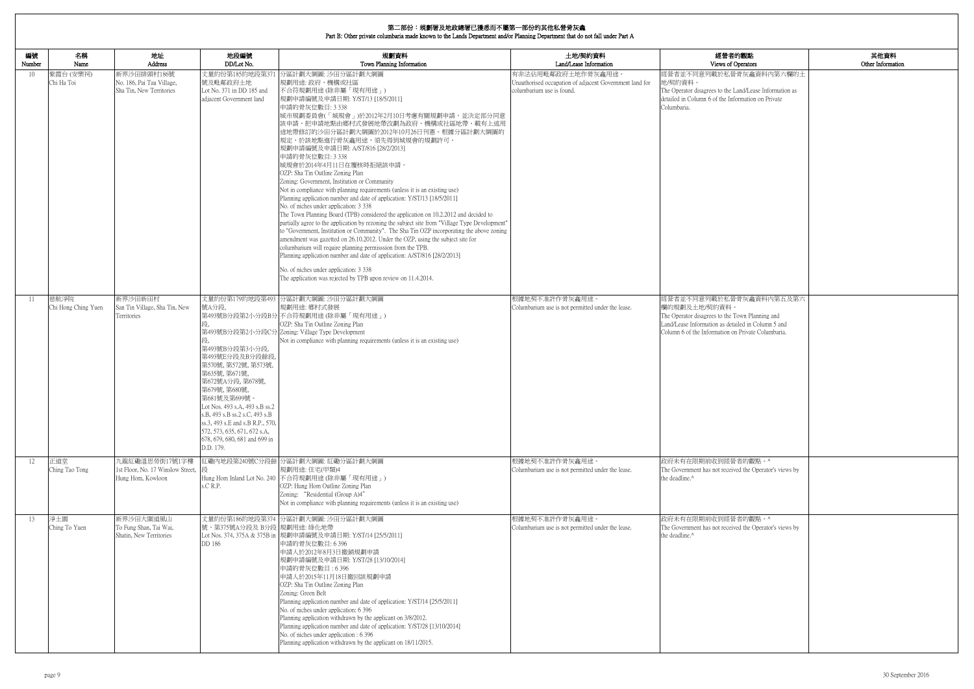| 内觀點                                                             | 其他資料              |
|-----------------------------------------------------------------|-------------------|
| perators                                                        | Other Information |
| 骨灰龕資料内第六欄的土                                                     |                   |
| and/Lease Information as<br>ormation on Private                 |                   |
|                                                                 |                   |
|                                                                 |                   |
|                                                                 |                   |
|                                                                 |                   |
|                                                                 |                   |
|                                                                 |                   |
|                                                                 |                   |
|                                                                 |                   |
|                                                                 |                   |
| 骨灰龕資料內第五及第六                                                     |                   |
| own Planning and<br>iled in Column 5 and<br>Private Columbaria. |                   |
|                                                                 |                   |
|                                                                 |                   |
|                                                                 |                   |
|                                                                 |                   |
|                                                                 |                   |
|                                                                 |                   |
| 者的觀點。^<br>ed the Operator's views by                            |                   |
|                                                                 |                   |
|                                                                 |                   |
| 者的觀點。^<br>ed the Operator's views by                            |                   |
|                                                                 |                   |
|                                                                 |                   |
|                                                                 |                   |
|                                                                 |                   |
|                                                                 |                   |
|                                                                 |                   |

| 編號<br>Number | 名稱<br>Name                  | 地址<br>Address                                                            | 地段編號<br>DD/Lot No.                                                                                                                                                                                                                                                                                                            | 規劃資料<br>Town Planning Information                                                                                                                                                                                                                                                                                                                                                                                                                                                                                                                                                                                                                                                                                                                                                                                                                                                                                                                                                                                                                                                                                                                                                                                                                                                                                    | 土地/契約資料<br>Land/Lease Information                                                                          | 經營者的觀點<br>Views of Operators                                                                                                                                                                            |
|--------------|-----------------------------|--------------------------------------------------------------------------|-------------------------------------------------------------------------------------------------------------------------------------------------------------------------------------------------------------------------------------------------------------------------------------------------------------------------------|----------------------------------------------------------------------------------------------------------------------------------------------------------------------------------------------------------------------------------------------------------------------------------------------------------------------------------------------------------------------------------------------------------------------------------------------------------------------------------------------------------------------------------------------------------------------------------------------------------------------------------------------------------------------------------------------------------------------------------------------------------------------------------------------------------------------------------------------------------------------------------------------------------------------------------------------------------------------------------------------------------------------------------------------------------------------------------------------------------------------------------------------------------------------------------------------------------------------------------------------------------------------------------------------------------------------|------------------------------------------------------------------------------------------------------------|---------------------------------------------------------------------------------------------------------------------------------------------------------------------------------------------------------|
| 10           | 紫霞台(安樂祠)<br>Chi Ha Toi      | 新界沙田排頭村186號<br>No. 186, Pai Tau Village,<br>Sha Tin, New Territories     | 號及毗鄰政府土地<br>Lot No. 371 in DD 185 and<br>adiacent Government land                                                                                                                                                                                                                                                             | 丈量約份第185約地段第371 分區計劃大綱圖: 沙田分區計劃大綱圖<br>規劃用途: 政府、機構或社區<br>不合符規劃用途(除非屬「現有用途」)<br> 規劃申請編號及申請日期: Y/ST/13 [18/5/2011]<br>申請的骨灰位數目: 3 338<br>城市規劃委員會(「城規會」)於2012年2月10日考慮有關規劃申請,並決定部分同意<br>該申請,把申請地點由鄉村式發展地帶改劃為政府、機構或社區地帶。載有上述用<br> 途地帶修訂的沙田分區計劃大綱圖於2012年10月26日刊憲。根據分區計劃大綱圖的<br>規定,於該地點進行骨灰龕用途,須先得到城規會的規劃許可。<br> 規劃申請編號及申請日期: A/ST/816 [28/2/2013]<br>申請的骨灰位數目: 3 338<br>城規會於2014年4月11日在覆核時拒絕該申請。<br>OZP: Sha Tin Outline Zoning Plan<br>Zoning: Government, Institution or Community<br>Not in compliance with planning requirements (unless it is an existing use)<br>Planning application number and date of application: Y/ST/13 [18/5/2011]<br>No. of niches under application: 3 338<br>The Town Planning Board (TPB) considered the application on 10.2.2012 and decided to<br>partially agree to the application by rezoning the subject site from "Village Type Development"<br>to "Government, Institution or Community". The Sha Tin OZP incorporating the above zoning<br>amendment was gazetted on 26.10.2012. Under the OZP, using the subject site for<br>columbarium will require planning permisssion from the TPB.<br>Planning application number and date of application: A/ST/816 [28/2/2013]<br>No. of niches under application: 3 338<br>The application was rejected by TPB upon review on 11.4.2014. | 有非法佔用毗鄰政府土地作骨灰龕用途。<br>Unauthorised occupation of adjacent Government land for<br>columbarium use is found. | 經營者並不同意列載於私營骨灰龕資料內第六欄的土<br>地/契約資料。<br>The Operator disagrees to the Land/Lease Information as<br>detailed in Column 6 of the Information on Private<br>Columbaria.                                      |
| 11           | 慈航淨院<br>Chi Hong Ching Yuen | 新界沙田新田村<br>San Tin Village, Sha Tin, New<br>Territories                  | 號A分段,<br>第493號B分段第3小分段,<br>第493號E分段及B分段餘段,<br>第570號, 第572號, 第573號,<br>第635號, 第671號,<br>第672號A分段, 第678號,<br>第679號, 第680號,<br>第681號及第699號<br>Lot Nos. 493 s.A, 493 s.B ss.2<br>s.B, 493 s.B ss.2 s.C, 493 s.B<br>ss.3, 493 s.E and s.B R.P., 570,<br>572, 573, 635, 671, 672 s.A.<br>678, 679, 680, 681 and 699 in<br>D.D. 179. | 丈量約份第179約地段第493 分區計劃大綱圖: 沙田分區計劃大綱圖<br>規劃用途: 鄉村式發展<br>第493號B分段第2小分段B分不合符規劃用途(除非屬「現有用途」)<br>OZP: Sha Tin Outline Zoning Plan<br>第493號B分段第2小分段C分 Zoning: Village Type Development<br>Not in compliance with planning requirements (unless it is an existing use)                                                                                                                                                                                                                                                                                                                                                                                                                                                                                                                                                                                                                                                                                                                                                                                                                                                                                                                                                                                                                                                        | 根據地契不准許作骨灰龕用途<br>Columbarium use is not permitted under the lease.                                         | 經營者並不同意列載於私營骨灰龕資料內第五及第六<br>欄的規劃及土地/契約資料。<br>The Operator disagrees to the Town Planning and<br>Land/Lease Information as detailed in Column 5 and<br>Column 6 of the Information on Private Columbaria. |
| 12           | 正道堂<br>Ching Tao Tong       | 九龍紅磡溫思勞街17號1字樓<br>1st Floor, No. 17 Winslow Street,<br>Hung Hom, Kowloon | s.C R.P.                                                                                                                                                                                                                                                                                                                      | 紅磡內地段第240號C分段餘 分區計劃大綱圖: 紅磡分區計劃大綱圖<br>規劃用途:住宅(甲類)4<br>Hung Hom Inland Lot No. 240 不合符規劃用途 (除非屬「現有用途」)<br>OZP: Hung Hom Outline Zoning Plan<br>Zoning: "Residential (Group A)4"<br>Not in compliance with planning requirements (unless it is an existing use)                                                                                                                                                                                                                                                                                                                                                                                                                                                                                                                                                                                                                                                                                                                                                                                                                                                                                                                                                                                                                                                         | 根據地契不准許作骨灰龕用途<br>Columbarium use is not permitted under the lease.                                         | 政府未有在限期前收到經營者的觀點。^<br>The Government has not received the Operator's views by<br>the deadline.^                                                                                                         |
| 13           | 淨土園<br>Ching To Yuen        | 新界沙田大圍道風山<br>To Fung Shan, Tai Wai,<br>Shatin, New Territories           | 號、第375號A分段及 B分段 規劃用途: 綠化地帶<br>DD 186                                                                                                                                                                                                                                                                                          | 丈量約份第186約地段第374 分區計劃大綱圖: 沙田分區計劃大綱圖<br>Lot Nos. 374, 375A & 375B in  規劃申請編號及申請日期: Y/ST/14 [25/5/2011]<br>申請的骨灰位數目: 6 396<br>申請人於2012年8月3日撤銷規劃申請<br> 規劃申請編號及申請日期: Y/ST/28 [13/10/2014]<br>申請的骨灰位數目: 6396<br>申請人於2015年11月18日撤回該規劃申請<br>OZP: Sha Tin Outline Zoning Plan<br>Zoning: Green Belt<br>Planning application number and date of application: Y/ST/14 [25/5/2011]<br>No. of niches under application: 6 396<br>Planning application withdrawn by the applicant on 3/8/2012.<br>Planning application number and date of application: Y/ST/28 [13/10/2014]<br>No. of niches under application : 6 396<br>Planning application withdrawn by the applicant on 18/11/2015.                                                                                                                                                                                                                                                                                                                                                                                                                                                                                                                                                                                                                                           | 根據地契不准許作骨灰龕用途。<br>Columbarium use is not permitted under the lease.                                        | 政府未有在限期前收到經營者的觀點。^<br>The Government has not received the Operator's views by<br>the deadline.^                                                                                                         |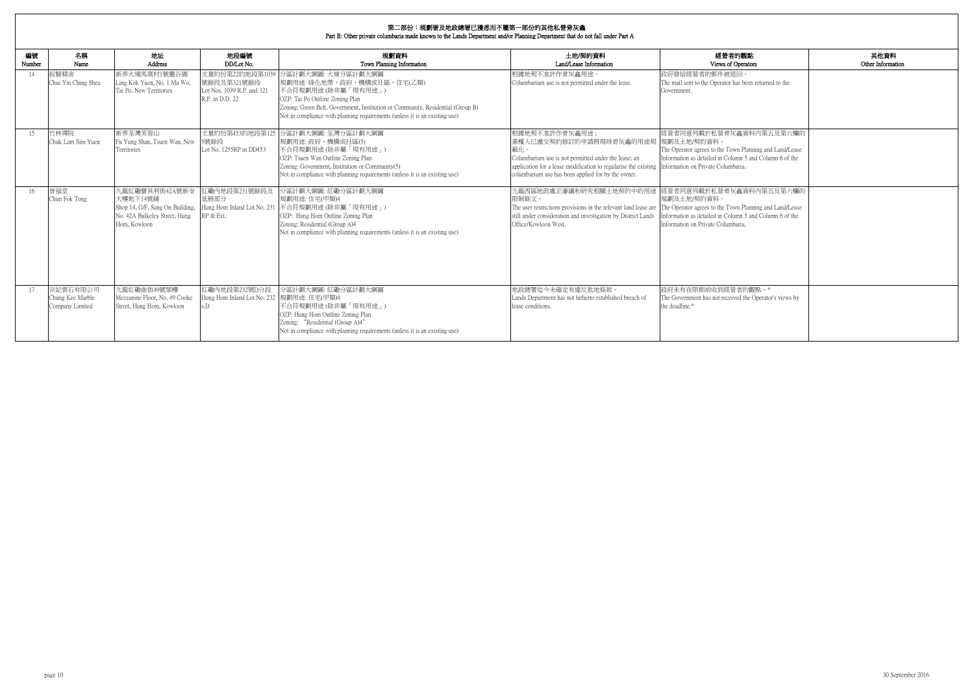| 的觀點                                                            | 其他資料              |
|----------------------------------------------------------------|-------------------|
| )perators                                                      | Other Information |
| $\overline{\mathbb{E}}$<br>as been returned to the             |                   |
|                                                                |                   |
| 龕資料內第五及第六欄的                                                    |                   |
| n Planning and Land/Lease<br>mn 5 and Column 6 of the<br>aria. |                   |
| 龕資料內第五及第六欄的                                                    |                   |
| n Planning and Land/Lease<br>mn 5 and Column 6 of the<br>aria. |                   |
|                                                                |                   |
| 者的觀點。^<br>ed the Operator's views by                           |                   |

| 編號<br>Number | 名稱<br>Name                                      | 地址<br>Address                                                                                                  | 地段編號<br>DD/Lot No.                                                              | 規劃資料<br>Town Planning Information                                                                                                                                                                                                                                           | 土地/契約資料<br>Land/Lease Information                                                                                                                                                                                                                                    | 經營者的觀點<br>Views of Operators                                                                                                                                                                       |
|--------------|-------------------------------------------------|----------------------------------------------------------------------------------------------------------------|---------------------------------------------------------------------------------|-----------------------------------------------------------------------------------------------------------------------------------------------------------------------------------------------------------------------------------------------------------------------------|----------------------------------------------------------------------------------------------------------------------------------------------------------------------------------------------------------------------------------------------------------------------|----------------------------------------------------------------------------------------------------------------------------------------------------------------------------------------------------|
| 14           | 叙賢精舍<br>Chui Yin Ching Shea                     | 新界大埔馬窩村1號靈谷園<br>Ling Kok Yuen, No. 1 Ma Wo,<br>Tai Po, New Territories                                         | 丈量約份第22約地段第1039<br>號餘段及第321號餘段<br>Lot Nos. 1039 R.P. and 321<br>R.P. in D.D. 22 | 分區計劃大綱圖: 大埔分區計劃大綱圖<br>規劃用途: 綠化地帶、政府、機構或社區、住宅(乙類)<br>不合符規劃用途(除非屬「現有用途」)<br>OZP: Tai Po Outline Zoning Plan<br>Zoning: Green Belt, Government, Institution or Community, Residential (Group B)<br>Not in compliance with planning requirements (unless it is an existing use) | 根據地契不准許作骨灰龕用途。<br>Columbarium use is not permitted under the lease.                                                                                                                                                                                                  | 政府發給經營者的郵件被退回。<br>The mail sent to the Operator has been returned to the<br>Government.                                                                                                            |
| 15           | 竹林禪院<br>Chuk Lam Sim Yuen                       | 新界荃灣芙蓉山<br>Fu Yung Shan, Tsuen Wan, New<br>Territories                                                         | 丈量約份第453約地段第125<br>5號餘段<br>Lot No. 1255RP in DD453                              | 分區計劃大綱圖: 荃灣分區計劃大綱圖<br>規劃用途: 政府、機構或社區(5)<br> 不合符規劃用途(除非屬「現有用途」)<br>OZP: Tsuen Wan Outline Zoning Plan<br>Zoning: Government, Institution or Community(5)<br>Not in compliance with planning requirements (unless it is an existing use)                                      | 根據地契不准許作骨灰龕用途;<br>業權人已遞交契約修訂的申請將現時骨灰龕的用途規<br>範化。<br>Columbarium use is not permitted under the lease; an<br>application for a lease modification to regularise the existing Information on Private Columbaria.<br>columbarium use has been applied for by the owner. | 經營者同意列載於私營骨灰龕資料內第五及第六欄的<br> 規劃及土地/契約資料。<br>The Operator agrees to the Town Planning and Land/Lease<br>Information as detailed in Column 5 and Column 6 of the                                      |
| 16           | 晉福堂<br>Chun Fok Tong                            | 九龍紅磡寶其利街42A號新安<br>大樓地下14號舖<br>Shop 14, G/F, Sang On Building,<br>No. 42A Bulkeley Street, Hung<br>Hom, Kowloon | 紅磡内地段第231號餘段及<br>延展部分<br>Hung Hom Inland Lot No. 231<br>RP & Ext.               | 分區計劃大綱圖: 紅磡分區計劃大綱圖<br>規劃用途:住宅(甲類)4<br>不合符規劃用途(除非屬「現有用途」)<br>OZP: Hung Hom Outline Zoning Plan<br>Zoning: Residential (Group A)4<br>Not in compliance with planning requirements (unless it is an existing use)                                                              | 九龍西區地政處正審議和研究相關土地契約中的用途<br>限制條文。<br>The user restrictions provisions in the relevant land lease are<br>still under consideration and investigation by District Lands<br>Office/Kowloon West.                                                                         | 經營者同意列載於私營骨灰龕資料內第五及第六欄的<br>規劃及十地/契約資料。<br>The Operator agrees to the Town Planning and Land/Lease<br>information as detailed in Column 5 and Column 6 of the<br>Information on Private Columbaria. |
| 17           | 宗記雲石有限公司<br>Chung Kee Marble<br>Company Limited | 九龍紅磡曲街49號閣樓<br>Mezzanine Floor, No. 49 Cooke<br>Street, Hung Hom, Kowloon                                      | 紅磡內地段第232號D分段<br>Hung Hom Inland Lot No. 232  規劃用途: 住宅(甲類)4<br>$\sqrt{D}$       | 分區計劃大綱圖: 紅磡分區計劃大綱圖<br>不合符規劃用途(除非屬「現有用途」)<br>OZP: Hung Hom Outline Zoning Plan<br>Zoning: "Residential (Group A)4"<br>Not in compliance with planning requirements (unless it is an existing use)                                                                            | 地政總署迄今未確定有違反批地條款。<br>Lands Department has not hitherto established breach of<br>lease conditions.                                                                                                                                                                    | 政府未有在限期前收到經營者的觀點。^<br>The Government has not received the Operator's views by<br>the deadline.^                                                                                                    |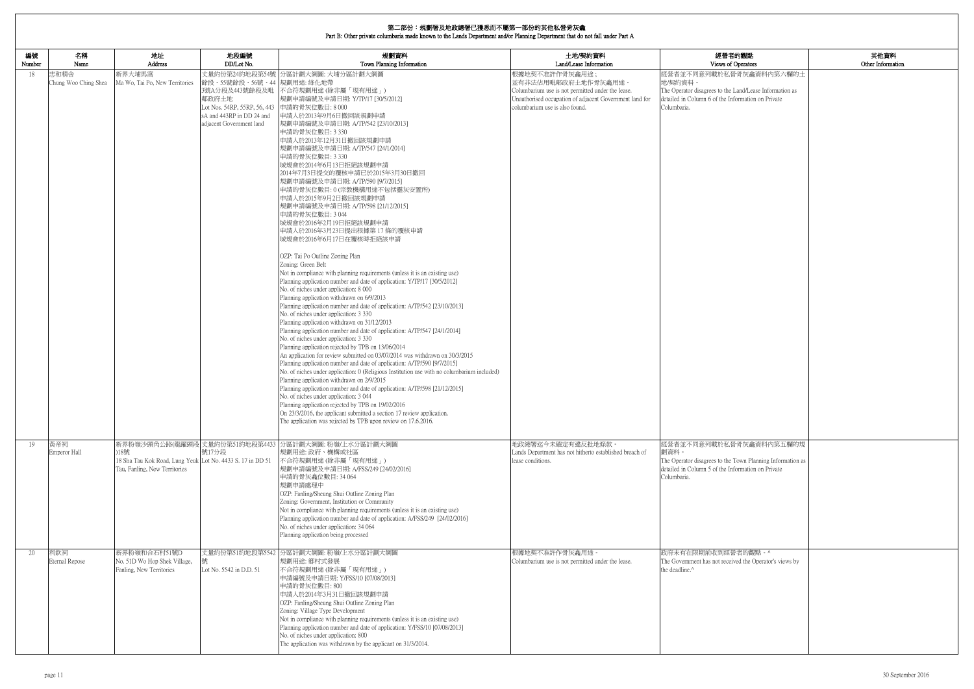| 内觀點                                                | 其他資料<br>Other Information |
|----------------------------------------------------|---------------------------|
| perators<br>骨灰龕資料内第六欄的土                            |                           |
|                                                    |                           |
| and/Lease Information as<br>ormation on Private    |                           |
|                                                    |                           |
|                                                    |                           |
|                                                    |                           |
|                                                    |                           |
|                                                    |                           |
|                                                    |                           |
|                                                    |                           |
|                                                    |                           |
|                                                    |                           |
|                                                    |                           |
|                                                    |                           |
|                                                    |                           |
|                                                    |                           |
|                                                    |                           |
|                                                    |                           |
|                                                    |                           |
|                                                    |                           |
|                                                    |                           |
|                                                    |                           |
|                                                    |                           |
|                                                    |                           |
|                                                    |                           |
|                                                    |                           |
|                                                    |                           |
|                                                    |                           |
|                                                    |                           |
|                                                    |                           |
|                                                    |                           |
|                                                    |                           |
| 骨灰龕資料內第五欄的規                                        |                           |
|                                                    |                           |
| own Planning Information as<br>ormation on Private |                           |
|                                                    |                           |
|                                                    |                           |
|                                                    |                           |
|                                                    |                           |
|                                                    |                           |
|                                                    |                           |
|                                                    |                           |
| 者的觀點。^<br>ed the Operator's views by               |                           |
|                                                    |                           |
|                                                    |                           |
|                                                    |                           |
|                                                    |                           |
|                                                    |                           |
|                                                    |                           |
|                                                    |                           |
|                                                    |                           |

| 編號<br>Number | 名稱<br>Name                   | 地址<br>Address                                                                                       | 地段編號<br>DD/Lot No.                                                                                                                             | 規劃資料<br>Town Planning Information                                                                                                                                                                                                                                                                                                                                                                                                                                                                                                                                                                                                                                                                                                                                                                                                                                                                                                                                                                                                                                                                                                                                                                                                                                                                                                                                                                                                                                                                                                                                                                                                                                                                                                                                                                                                                                                   | 土地/契約資料<br>Land/Lease Information                                                                                                                                                       | 經營者的觀點<br>Views of Operators                                                                                                                                       |
|--------------|------------------------------|-----------------------------------------------------------------------------------------------------|------------------------------------------------------------------------------------------------------------------------------------------------|-------------------------------------------------------------------------------------------------------------------------------------------------------------------------------------------------------------------------------------------------------------------------------------------------------------------------------------------------------------------------------------------------------------------------------------------------------------------------------------------------------------------------------------------------------------------------------------------------------------------------------------------------------------------------------------------------------------------------------------------------------------------------------------------------------------------------------------------------------------------------------------------------------------------------------------------------------------------------------------------------------------------------------------------------------------------------------------------------------------------------------------------------------------------------------------------------------------------------------------------------------------------------------------------------------------------------------------------------------------------------------------------------------------------------------------------------------------------------------------------------------------------------------------------------------------------------------------------------------------------------------------------------------------------------------------------------------------------------------------------------------------------------------------------------------------------------------------------------------------------------------------|-----------------------------------------------------------------------------------------------------------------------------------------------------------------------------------------|--------------------------------------------------------------------------------------------------------------------------------------------------------------------|
| 18           | 忠和精舍<br>Chung Woo Ching Shea | 新界大埔馬窩<br>Ma Wo, Tai Po, New Territories                                                            | 餘段、55號餘段、56號、44 規劃用途: 綠化地帶<br>3號A分段及443號餘段及毗<br>鄰政府土地<br>Lot Nos. 54RP, 55RP, 56, 443<br>sA and 443RP in DD 24 and<br>adjacent Government land | 丈量約份第24約地段第54號 分區計劃大綱圖: 大埔分區計劃大綱圖<br>不合符規劃用途 (除非屬「現有用途」)<br>規劃申請編號及申請日期: Y/TP/17 [30/5/2012]<br>申請的骨灰位數目:8000<br>申請人於2013年9月6日撤回該規劃申請<br>規劃申請編號及申請日期: A/TP/542 [23/10/2013]<br>申請的骨灰位數目: 3 330<br>申請人於2013年12月31日撤回該規劃申請<br>規劃申請編號及申請日期: A/TP/547 [24/1/2014]<br>申請的骨灰位數目: 3 330<br>城規會於2014年6月13日拒絕該規劃申請<br>2014年7月3日提交的覆核申請已於2015年3月30日撤回<br>規劃申請編號及申請日期: A/TP/590 [9/7/2015]<br>申請的骨灰位數目:0(宗教機構用途不包括靈灰安置所)<br>申請人於2015年9月2日撤回該規劃申請<br>規劃申請編號及申請日期: A/TP/598 [21/12/2015]<br>申請的骨灰位數目: 3044<br>城規會於2016年2月19日拒絕該規劃申請<br>申請人於2016年3月23日提出根據第17條的覆核申請<br>城規會於2016年6月17日在覆核時拒絕該申請<br>OZP: Tai Po Outline Zoning Plan<br>Zoning: Green Belt<br>Not in compliance with planning requirements (unless it is an existing use)<br>Planning application number and date of application: Y/TP/17 [30/5/2012]<br>No. of niches under application: 8 000<br>Planning application withdrawn on 6/9/2013<br>Planning application number and date of application: A/TP/542 [23/10/2013]<br>No. of niches under application: 3 330<br>Planning application withdrawn on 31/12/2013<br>Planning application number and date of application: A/TP/547 [24/1/2014]<br>No. of niches under application: 3 330<br>Planning application rejected by TPB on 13/06/2014<br>An application for review submitted on 03/07/2014 was withdrawn on 30/3/2015<br>Planning application number and date of application: A/TP/590 [9/7/2015]<br>No. of niches under application: 0 (Religious Institution use with no columbarium included)<br>Planning application withdrawn on 2/9/2015<br>Planning application number and date of application: A/TP/598 [21/12/2015]<br>No. of niches under application: 3 044<br>Planning application rejected by TPB on 19/02/2016<br>On 23/3/2016, the applicant submitted a section 17 review application.<br>The application was rejected by TPB upon review on 17.6.2016. | 根據地契不准許作骨灰龕用途;<br>並有非法佔用毗鄰政府土地作骨灰龕用途。<br>Columbarium use is not permitted under the lease.<br>Unauthorised occupation of adjacent Government land for<br>columbarium use is also found. | 經營者並不同意列載於私營骨灰龕資料內第六欄的土<br>地/契約資料。<br>The Operator disagrees to the Land/Lease Information as<br>detailed in Column 6 of the Information on Private<br>Columbaria. |
| 19           | 黃帝祠<br>Emperor Hall          | )18號<br>18 Sha Tau Kok Road, Lung Yeuk Lot No. 4433 S. 17 in DD 51<br>Tau, Fanling, New Territories | 號17分段                                                                                                                                          | 新界粉嶺沙頭角公路(龍躍頭段 丈量約份第51約地段第4433 分區計劃大綱圖:粉嶺/上水分區計劃大綱圖<br>規劃用途: 政府、機構或社區<br>不合符規劃用途 (除非屬「現有用途」)<br>規劃申請編號及申請日期: A/FSS/249 [24/02/2016]<br>申請的骨灰龕位數目: 34 064<br>規劃申請處理中<br>OZP: Fanling/Sheung Shui Outline Zoning Plan<br>Zoning: Government, Institution or Community<br>Not in compliance with planning requirements (unless it is an existing use)<br>Planning application number and date of application: A/FSS/249 [24/02/2016]<br>No. of niches under application: 34 064<br>Planning application being processed                                                                                                                                                                                                                                                                                                                                                                                                                                                                                                                                                                                                                                                                                                                                                                                                                                                                                                                                                                                                                                                                                                                                                                                                                                                                                                                                                                | 地政總署迄今未確定有違反批地條款。<br>Lands Department has not hitherto established breach of<br>lease conditions.                                                                                       | 經營者並不同意列載於私營骨灰龕資料內第五欄的規<br>劃資料。<br>The Operator disagrees to the Town Planning Information as<br>detailed in Column 5 of the Information on Private<br>Columbaria. |
| 20           | 利欽祠<br>Eternal Repose        | 新界粉嶺和合石村51號D<br>No. 51D Wo Hop Shek Village,<br>Fanling, New Territories                            | Lot No. 5542 in D.D. 51                                                                                                                        | 丈量約份第51約地段第5542 分區計劃大綱圖: 粉嶺/上水分區計劃大綱圖<br>規劃用途: 鄉村式發展<br>不合符規劃用途(除非屬「現有用途」)<br>申請編號及申請日期: Y/FSS/10 [07/08/2013]<br>申請的骨灰位數目:800<br>申請人於2014年3月31日撤回該規劃申請<br>OZP: Fanling/Sheung Shui Outline Zoning Plan<br>Zoning: Village Type Development<br>Not in compliance with planning requirements (unless it is an existing use)<br>Planning application number and date of application: Y/FSS/10 [07/08/2013]<br>No. of niches under application: 800<br>The application was withdrawn by the applicant on 31/3/2014.                                                                                                                                                                                                                                                                                                                                                                                                                                                                                                                                                                                                                                                                                                                                                                                                                                                                                                                                                                                                                                                                                                                                                                                                                                                                                                                                                                    | 根據地契不准許作骨灰龕用途。<br>Columbarium use is not permitted under the lease.                                                                                                                     | 政府未有在限期前收到經營者的觀點。^<br>The Government has not received the Operator's views by<br>the deadline. <sup>^</sup>                                                        |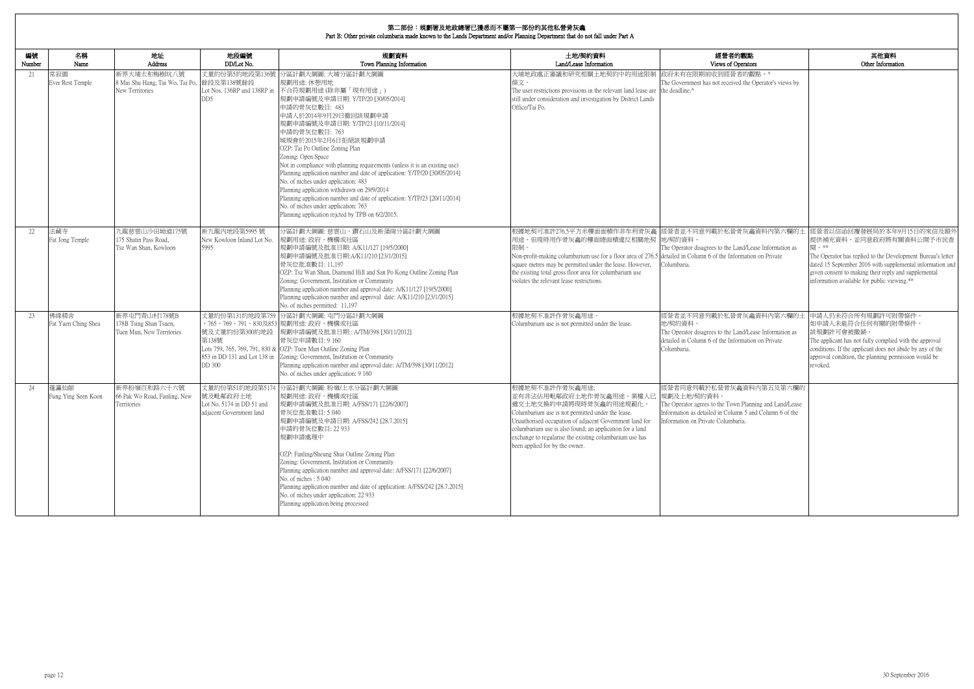# **第二部<del>公:坦劃</del>單**及地政總單已獲采而不屬第二部公的甘*斯*到著是在金

| 編號<br>Number | 名稱<br>Name                  | 地址<br>Address                                                       | 地段編號<br>DD/Lot No.                                                 | 規劃資料<br>Town Planning Information                                                                                                                                                                                                                                                                                                                                                                                                                                                                                                                                                                                                                                                                                                     | 土地/契約資料<br>Land/Lease Information                                                                                                                                                                                                                                                                                                                         | 經營者的觀點<br>Views of Operators                                                                                                                                                         | 其他資料<br>Other Information                                                                                                                                                                                                                                                                                                                             |
|--------------|-----------------------------|---------------------------------------------------------------------|--------------------------------------------------------------------|---------------------------------------------------------------------------------------------------------------------------------------------------------------------------------------------------------------------------------------------------------------------------------------------------------------------------------------------------------------------------------------------------------------------------------------------------------------------------------------------------------------------------------------------------------------------------------------------------------------------------------------------------------------------------------------------------------------------------------------|-----------------------------------------------------------------------------------------------------------------------------------------------------------------------------------------------------------------------------------------------------------------------------------------------------------------------------------------------------------|--------------------------------------------------------------------------------------------------------------------------------------------------------------------------------------|-------------------------------------------------------------------------------------------------------------------------------------------------------------------------------------------------------------------------------------------------------------------------------------------------------------------------------------------------------|
| 21           | 常寂園<br>Ever Rest Temple     | 新界大埔太和梅樹坑八號<br>8 Mui Shu Hang, Tai Wo, Tai Po,<br>New Territories   | 丈量約份第5約地段第136號<br>餘段及第138號餘段<br>DD5                                | 分區計劃大綱圖: 大埔分區計劃大綱圖<br>規劃用途: 休憩用地<br>Lot Nos. 136RP and 138RP in 不合符規劃用途 (除非屬「現有用途」)<br>規劃申請編號及申請日期: Y/TP/20 [30/05/2014]<br>申請的骨灰位數目: 483<br>申請人於2014年9月29日撤回該規劃申請<br>規劃申請編號及申請日期: Y/TP/23 [10/11/2014]<br>申請的骨灰位數目: 763<br>城規會於2015年2月6日拒絕該規劃申請<br>OZP: Tai Po Outline Zoning Plan<br>Zoning: Open Space<br>Not in compliance with planning requirements (unless it is an existing use)<br>Planning application number and date of application: Y/TP/20 [30/05/2014]<br>No. of niches under application: 483<br>Planning application withdrawn on 29/9/2014<br>Planning application number and date of application: Y/TP/23 [20/11/2014]<br>No. of niches under application: 763<br>Planning application rejcted by TPB on 6/2/2015. | 大埔地政處正審議和研究相關土地契約中的用途限制<br>條文。<br>The user restrictions provisions in the relevant land lease are the deadline.^<br>still under consideration and investigation by District Lands<br>Office/Tai Po.                                                                                                                                                       | 政府未有在限期前收到經營者的觀點。^<br>The Government has not received the Operator's views by                                                                                                        |                                                                                                                                                                                                                                                                                                                                                       |
| 22           | 法藏寺<br>Fat Jong Temple      | 九龍慈雲山沙田坳道175號<br>175 Shatin Pass Road,<br>Tsz Wan Shan, Kowloon     | 新九龍內地段第5995號<br>New Kowloon Inland Lot No.<br>5995                 | 分區計劃大綱圖: 慈雲山、鑽石山及新蒲崗分區計劃大綱圖<br>規劃用途: 政府、機構或社區<br>規劃申請編號及批准日期: A/K11/127 [19/5/2000]<br>規劃申請編號及批准日期:A/K11/210 [23/1/2015]<br>骨灰位批准數目: 11,197<br>OZP: Tsz Wan Shan, Diamond Hill and San Po Kong Outline Zoning Plan<br>Zoning: Government, Institution or Community<br>Planning application number and approval date: A/K11/127 [19/5/2000]<br>Planning application number and approval date: A/K11/210 [23/1/2015]<br>No. of niches permitted: 11,197                                                                                                                                                                                                                                                                                 | 用途。但現時用作骨灰龕的樓面總面積違反相關地契 地/契約資料。<br>限制<br>Non-profit-making columbarium use for a floor area of 276.5 detailed in Column 6 of the Information on Private<br>square metres may be permitted under the lease. However,<br>the existing total gross floor area for columbarium use<br>violates the relevant lease restrictions.                               | The Operator disagrees to the Land/Lease Information as<br>Columbaria.                                                                                                               | 根據地契可准許276.5平方米樓面面積作非牟利骨灰龕  經營者並不同意列載於私營骨灰龕資料內第六欄的土  經營者以信函回覆發展局於本年9月15日的來信及額外<br>提供補充資料,並同意政府將有關資料公開予市民查<br>思 。**<br>The Operator has replied to the Development Bureau's letter<br>dated 15 September 2016 with supplemental information and<br>given consent to making their reply and supplemental<br>information available for public viewing.** |
| 23           | 佛緣精舍<br>Fat Yuen Ching Shea | 新界屯門青山村178號B<br>178B Tsing Shan Tsuen,<br>Tuen Mun, New Territories | 號及丈量約份第300約地段<br>第138號<br>DD 300                                   | 丈量約份第131約地段第759 分區計劃大綱圖: 屯門分區計劃大綱圖<br>、765、769、791、830及853  規劃用途: 政府、機構或社區<br>規劃申請編號及批准日期:: A/TM/398 [30/11/2012]<br>骨灰位申請數目: 9 160<br>Lots 759, 765, 769, 791, 830 & OZP: Tuen Mun Outline Zoning Plan<br>853 in DD 131 and Lot 138 in Zoning: Government, Institution or Community<br>Planning application number and approval date: A/TM/398 [30/11/2012]<br>No. of niches under application: 9 160                                                                                                                                                                                                                                                                                                                                | 根據地契不准許作骨灰龕用途<br>Columbarium use is not permitted under the lease.                                                                                                                                                                                                                                                                                        | 經營者並不同意列載於私營骨灰龕資料內第六欄的土 申請人仍未符合所有規劃許可附帶條件。<br>地/契約資料<br>The Operator disagrees to the Land/Lease Information as<br>detailed in Column 6 of the Information on Private<br>Columbaria. | 如申請人未能符合任何有關的附帶條件,<br>該規劃許可會被撤銷。<br>The applicant has not fully complied with the approval<br>conditions. If the applicant does not abide by any of the<br>approval condition, the planning permission would be<br>revoked.                                                                                                                           |
| 24           | 蓬瀛仙館<br>Fung Ying Seen Koon | 新界粉嶺百和路六十六號<br>66 Pak Wo Road, Fanling, New<br>Territories          | 號发毗鄰政府土地 <br>Lot No. 5174 in DD 51 and<br>adjacent Government land | 丈量約份第51約地段第5174 分區計劃大綱圖: 粉嶺/上水分區計劃大綱圖<br>規劃用途: 政府、機構或社區<br>規劃申請編號及批准日期: A/FSS/171 [22/6/2007]<br>骨灰位批准數目:5040<br>規劃申請編號及申請日期: A/FSS/242 [28.7.2015]<br>申請的骨灰位數目: 22 933<br>規劃申請處理中<br>OZP: Fanling/Sheung Shui Outline Zoning Plan<br>Zoning: Government, Institution or Community<br>Planning application number and approval date: A/FSS/171 [22/6/2007]<br>No. of niches: 5 040<br>Planning application number and date of application: A/FSS/242 [28.7.2015]<br>No. of niches under application: 22 933<br>Planning application being processed                                                                                                                                                                                   | 根據地契不准許作骨灰龕用涂:<br>並有非法佔用毗鄰政府土地作骨灰龕用途。業權人已 規劃及土地/契約資料。<br> 遞交土地交換的申請將現時骨灰龕的用途規範化。<br>Columbarium use is not permitted under the lease.<br>Unauthorised occupation of adjacent Government land for<br>columbarium use is also found; an application for a land<br>exchange to regularise the existing columbarium use has<br>been applied for by the owner. | 經營者同意列載於私營骨灰龕資料內第五及第六欄的<br>The Operator agrees to the Town Planning and Land/Lease<br>Information as detailed in Column 5 and Column 6 of the<br>Information on Private Columbaria.  |                                                                                                                                                                                                                                                                                                                                                       |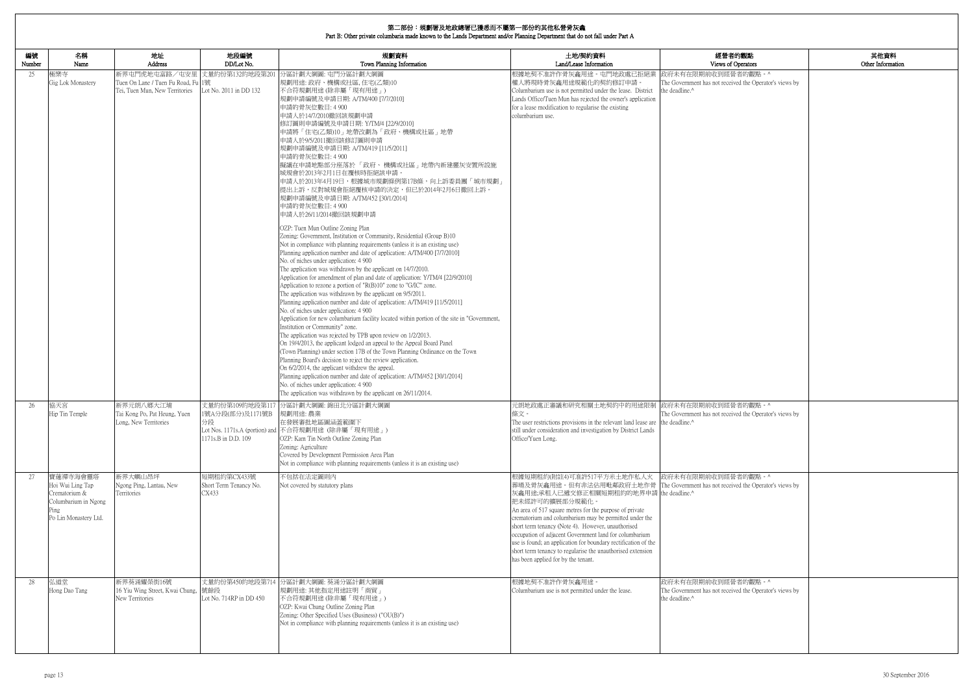|              |                                                                                                        |                                                                                                       |                                                | 第二部份:規劃署及地政總署已獲悉而不屬第一部份的其他私營骨灰龕<br>Part B: Other private columbaria made known to the Lands Department and/or Planning Department that do not fall under Part A                                                                                                                                                                                                                                                                                                                                                                                                                                                                                                                                                                                                                                                                                                                                                                                                                                                                                                                                                                                                                                                                                                                                                                                                 |                                                                                                                                                                                                                                                                                                                                                                                                                                                                                                                                                                                                             |                                                                                                             |                           |
|--------------|--------------------------------------------------------------------------------------------------------|-------------------------------------------------------------------------------------------------------|------------------------------------------------|-----------------------------------------------------------------------------------------------------------------------------------------------------------------------------------------------------------------------------------------------------------------------------------------------------------------------------------------------------------------------------------------------------------------------------------------------------------------------------------------------------------------------------------------------------------------------------------------------------------------------------------------------------------------------------------------------------------------------------------------------------------------------------------------------------------------------------------------------------------------------------------------------------------------------------------------------------------------------------------------------------------------------------------------------------------------------------------------------------------------------------------------------------------------------------------------------------------------------------------------------------------------------------------------------------------------------------------------------------------------|-------------------------------------------------------------------------------------------------------------------------------------------------------------------------------------------------------------------------------------------------------------------------------------------------------------------------------------------------------------------------------------------------------------------------------------------------------------------------------------------------------------------------------------------------------------------------------------------------------------|-------------------------------------------------------------------------------------------------------------|---------------------------|
| 編號<br>Number | 名稱<br>Name                                                                                             | 地址<br>Address                                                                                         | 地段編號<br>DD/Lot No.                             | 規劃資料<br>Town Planning Information                                                                                                                                                                                                                                                                                                                                                                                                                                                                                                                                                                                                                                                                                                                                                                                                                                                                                                                                                                                                                                                                                                                                                                                                                                                                                                                               | 土地/契約資料<br>Land/Lease Information                                                                                                                                                                                                                                                                                                                                                                                                                                                                                                                                                                           | 經營者的觀點<br>Views of Operators                                                                                | 其他資料<br>Other Information |
| 25           | 極樂寺<br>Gig Lok Monastery                                                                               | 新界屯門虎地屯富路/屯安里 丈量約份第132約地段第201<br>Tuen On Lane / Tuen Fu Road, Fu 1號<br>Tei, Tuen Mun, New Territories | Lot No. 2011 in DD 132                         | 分區計劃大綱圖: 屯門分區計劃大綱圖<br> 規劃用途: 政府、機構或社區, 住宅(乙類)10<br>不合符規劃用途 (除非屬「現有用途」)<br> 規劃申請編號及申請日期: A/TM/400 [7/7/2010] <br>申請的骨灰位數目: 4 900<br>申請人於14/7/2010撤回該規劃申請<br> 修訂圖則申請編號及申請日期: Y/TM/4 [22/9/2010]<br> 申請將「住宅(乙類)10」地帶改劃為「政府、機構或社區」地帶<br>申請人於9/5/2011撤回該修訂圖則申請<br> 規劃申請編號及申請日期: A/TM/419 [11/5/2011]<br>申請的骨灰位數目: 4 900<br>擬議在申請地點部分座落於「政府、機構或社區」地帶內新建靈灰安置所設施<br>城規會於2013年2月1日在覆核時拒絕該申請。<br> 申請人於2013年4月19日,根據城市規劃條例第17B條,向上訴委員團「城市規劃」<br>提出上訴,反對城規會拒絕覆核申請的決定,但已於2014年2月6日撤回上訴。<br> 規劃申請編號及申請日期: A/TM/452 [30/1/2014] <br>申請的骨灰位數目: 4 900<br>申請人於26/11/2014撤回該規劃申請<br>OZP: Tuen Mun Outline Zoning Plan                                                                                                                                                                                                                                                                                                                                                                                                                                                                                                                                                                                                                                                                                                                                                              | 根據地契不准許作骨灰龕用途。屯門地政處已拒絕業<br>權人將現時骨灰龕用途規範化的契約修訂申請。<br>Columbarium use is not permitted under the lease. District<br>Lands Office/Tuen Mun has rejected the owner's application<br>for a lease modification to regularise the existing<br>columbarium use.                                                                                                                                                                                                                                                                                                                                                     | 政府未有在限期前收到經營者的觀點。^<br>The Government has not received the Operator's views by<br>the deadline. <sup>^</sup> |                           |
|              |                                                                                                        |                                                                                                       |                                                | Zoning: Government, Institution or Community, Residential (Group B)10<br>Not in compliance with planning requirements (unless it is an existing use)<br>Planning application number and date of application: A/TM/400 [7/7/2010]<br>No. of niches under application: 4 900<br>The application was withdrawn by the applicant on 14/7/2010.<br>Application for amendment of plan and date of application: Y/TM/4 [22/9/2010]<br>Application to rezone a portion of " $R(B)10$ " zone to "G/IC" zone.<br>The application was withdrawn by the applicant on 9/5/2011.<br>Planning application number and date of application: A/TM/419 [11/5/2011]<br>No. of niches under application: 4 900<br>Application for new columbarium facility located within portion of the site in "Government,<br>Institution or Community" zone.<br>The application was rejected by TPB upon review on 1/2/2013.<br>On 19/4/2013, the applicant lodged an appeal to the Appeal Board Panel<br>(Town Planning) under section 17B of the Town Planning Ordinance on the Town<br>Planning Board's decision to reject the review application.<br>On 6/2/2014, the applicant withdrew the appeal.<br>Planning application number and date of application: A/TM/452 [30/1/2014]<br>No. of niches under application: 4 900<br>The application was withdrawn by the applicant on 26/11/2014. |                                                                                                                                                                                                                                                                                                                                                                                                                                                                                                                                                                                                             |                                                                                                             |                           |
| 26           | 協天宮<br>Hip Tin Temple                                                                                  | 新界元朗八鄉大江埔<br>Tai Kong Po, Pat Heung, Yuen<br>Long, New Territories                                    | 1號A分段(部分)及1171號B<br>分段<br>1171s.B in D.D. 109  | 丈量約份第109約地段第117 分區計劃大綱圖: 錦田北分區計劃大綱圖<br>規劃用途: 農業<br>在發展審批地區圖涵蓋範圍下<br>Lot Nos. 1171s.A (portion) and 不合符規劃用途 (除非屬「現有用途」)<br>OZP: Kam Tin North Outline Zoning Plan<br>Zoning: Agriculture<br>Covered by Development Permission Area Plan<br>Not in compliance with planning requirements (unless it is an existing use)                                                                                                                                                                                                                                                                                                                                                                                                                                                                                                                                                                                                                                                                                                                                                                                                                                                                                                                                                                                                                                           | 元朗地政處正審議和研究相關土地契約中的用途限制 政府未有在限期前收到經營者的觀點。^<br>條文。<br>The user restrictions provisions in the relevant land lease are the deadline.^<br>still under consideration and investigation by District Lands<br>Office/Yuen Long.                                                                                                                                                                                                                                                                                                                                                                                   | The Government has not received the Operator's views by                                                     |                           |
| 27           | 寶蓮禪寺海會靈塔<br>Hoi Wui Ling Tap<br>Crematorium &<br>Columbarium in Ngong<br>Ping<br>Po Lin Monastery Ltd. | 新界大嶼山昂坪<br>Ngong Ping, Lantau, New<br>Territories                                                     | 短期租約第CX433號<br>Short Term Tenancy No.<br>CX433 | 不包括在法定圖則內<br>Not covered by statutory plans                                                                                                                                                                                                                                                                                                                                                                                                                                                                                                                                                                                                                                                                                                                                                                                                                                                                                                                                                                                                                                                                                                                                                                                                                                                                                                                     | 根據短期租約(附註4)可准許517平方米土地作私人火  政府未有在限期前收到經營者的觀點。^<br>葬場及骨灰龕用途。但有非法佔用毗鄰政府土地作骨 The Government has not received the Operator's views by<br>灰龕用途;承租人已遞交修正相關短期租約的地界申請 the deadline.^<br>把未經許可的擴展部分規範化。<br>An area of 517 square metres for the purpose of private<br>crematorium and columbarium may be permitted under the<br>short term tenancy (Note 4). However, unauthorised<br>occupation of adjacent Government land for columbarium<br>use is found; an application for boundary rectification of the<br>short term tenancy to regularise the unauthorised extension<br>has been applied for by the tenant. |                                                                                                             |                           |
| 28           | 弘道堂<br>Hong Dao Tang                                                                                   | 新界葵涌耀榮街16號<br>16 Yiu Wing Street, Kwai Chung, 號餘段<br>New Territories                                  | Lot No. 714RP in DD 450                        | 丈量約份第450約地段第714 分區計劃大綱圖: 葵涌分區計劃大綱圖<br>規劃用途: 其他指定用途註明「商貿」<br>不合符規劃用途 (除非屬「現有用途」)<br>OZP: Kwai Chung Outline Zoning Plan<br>Zoning: Other Specified Uses (Business) ("OU(B)")<br>Not in compliance with planning requirements (unless it is an existing use)                                                                                                                                                                                                                                                                                                                                                                                                                                                                                                                                                                                                                                                                                                                                                                                                                                                                                                                                                                                                                                                                                                      | 根據地契不准許作骨灰龕用途。<br>Columbarium use is not permitted under the lease.                                                                                                                                                                                                                                                                                                                                                                                                                                                                                                                                         | 政府未有在限期前收到經營者的觀點。^<br>The Government has not received the Operator's views by<br>the deadline.^             |                           |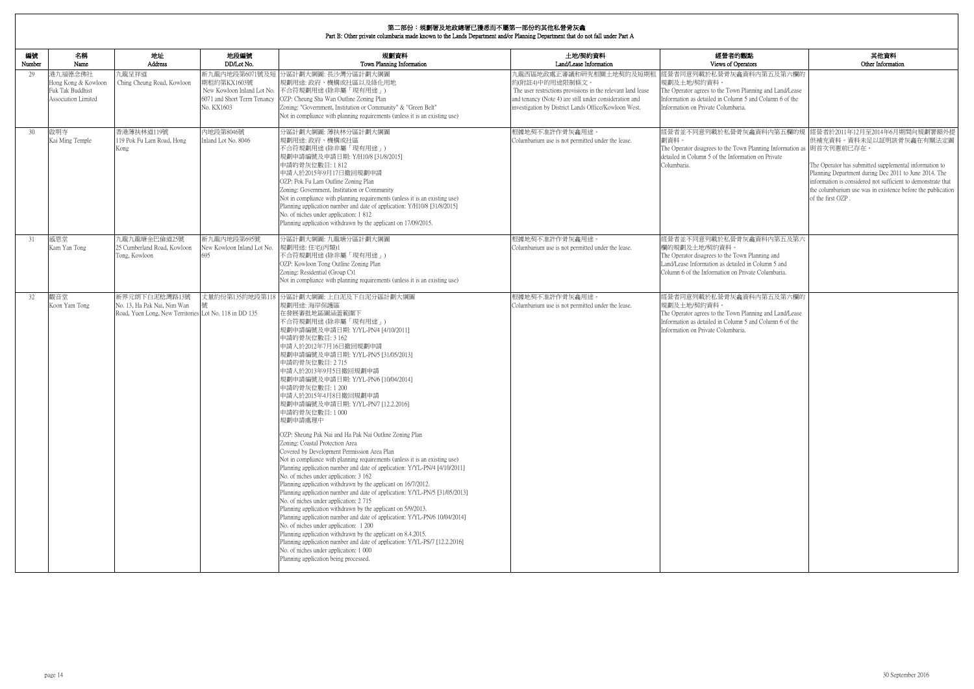|              | Part B: Other private columbaria made known to the Lands Department and/or Planning Department that do not fall under Part A |                                                                                                        |                                                                            |                                                                                                                                                                                                                                                                                                                                                                                                                                                                                                                                                                                                                                                                                                                                                                                                                                                                                                                                                                                                                                                                                                                                                                                                                                                                                                                                                                        |                                                                                                                                                                                                                             |                                                                                                                                                                                                         |                                                                                                                                                                                                                                                                                                                                                         |  |
|--------------|------------------------------------------------------------------------------------------------------------------------------|--------------------------------------------------------------------------------------------------------|----------------------------------------------------------------------------|------------------------------------------------------------------------------------------------------------------------------------------------------------------------------------------------------------------------------------------------------------------------------------------------------------------------------------------------------------------------------------------------------------------------------------------------------------------------------------------------------------------------------------------------------------------------------------------------------------------------------------------------------------------------------------------------------------------------------------------------------------------------------------------------------------------------------------------------------------------------------------------------------------------------------------------------------------------------------------------------------------------------------------------------------------------------------------------------------------------------------------------------------------------------------------------------------------------------------------------------------------------------------------------------------------------------------------------------------------------------|-----------------------------------------------------------------------------------------------------------------------------------------------------------------------------------------------------------------------------|---------------------------------------------------------------------------------------------------------------------------------------------------------------------------------------------------------|---------------------------------------------------------------------------------------------------------------------------------------------------------------------------------------------------------------------------------------------------------------------------------------------------------------------------------------------------------|--|
| 編號<br>Number | 名稱<br>Name                                                                                                                   | 地址<br>Address                                                                                          | 地段編號<br>DD/Lot No.                                                         | 規劃資料<br>Town Planning Information                                                                                                                                                                                                                                                                                                                                                                                                                                                                                                                                                                                                                                                                                                                                                                                                                                                                                                                                                                                                                                                                                                                                                                                                                                                                                                                                      | 土地/契約資料<br>Land/Lease Information                                                                                                                                                                                           | 經營者的觀點<br>Views of Operators                                                                                                                                                                            | 其他資料<br>Other Information                                                                                                                                                                                                                                                                                                                               |  |
| 29           | 港九福德念佛社<br>Hong Kong & Kowloon<br>Fuk Tak Buddhist<br>Association Limited                                                    | 九龍呈祥道<br>Ching Cheung Road, Kowloon                                                                    | 新九龍內地段第6071號及知<br>期租約第KX1603號<br>6071 and Short Term Tenancy<br>No. KX1603 | 分區計劃大綱圖: 長沙灣分區計劃大綱圖<br>規劃用途: 政府、機構或社區以及綠化用地<br>New Kowloon Inland Lot No. 不合符規劃用途(除非屬「現有用途」)<br>OZP: Cheung Sha Wan Outline Zoning Plan<br>Zoning: "Government, Institution or Community" & "Green Belt"<br>Not in compliance with planning requirements (unless it is an existing use)                                                                                                                                                                                                                                                                                                                                                                                                                                                                                                                                                                                                                                                                                                                                                                                                                                                                                                                                                                                                                                                                                | 九龍西區地政處正審議和研究相關土地契約及短期租<br>約(附註4)中的用途限制條文。<br>The user restrictions provisions in the relevant land lease<br>and tenancy (Note 4) are still under consideration and<br>investigation by District Lands Office/Kowloon West. | 經營者同意列載於私營骨灰龕資料內第五及第六欄的<br>規劃及土地/契約資料。<br>The Operator agrees to the Town Planning and Land/Lease<br>Information as detailed in Column 5 and Column 6 of the<br>Information on Private Columbaria.      |                                                                                                                                                                                                                                                                                                                                                         |  |
| 30           | 啟明寺<br>Kai Ming Temple                                                                                                       | 香港薄扶林道119號<br>119 Pok Fu Lam Road, Hong<br>Kong                                                        | 内地段第8046號<br>Inland Lot No. 8046                                           | 分區計劃大綱圖: 薄扶林分區計劃大綱圖<br>規劃用途:政府、機構或社區<br>不合符規劃用途 (除非屬「現有用途」)<br>規劃申請編號及申請日期: Y/H10/8 [31/8/2015]<br>申請的骨灰位數目:1812<br>申請人於2015年9月17日撤回規劃申請<br>OZP: Pok Fu Lam Outline Zoning Plan<br>Zoning: Government, Institution or Community<br>Not in compliance with planning requirements (unless it is an existing use)<br>Planning application number and date of application: Y/H10/8 [31/8/2015]<br>No. of niches under application: 1812<br>Planning application withdrawn by the applicant on 17/09/2015.                                                                                                                                                                                                                                                                                                                                                                                                                                                                                                                                                                                                                                                                                                                                                                                                                                                                  | 根據地契不准許作骨灰龕用途。<br>Columbarium use is not permitted under the lease.                                                                                                                                                         | 劃資料。<br>The Operator disagrees to the Town Planning Information as  則首次刊憲前已存在。<br>detailed in Column 5 of the Information on Private<br>Columbaria.                                                     | 經營者並不同意列載於私營骨灰龕資料內第五欄的規 經營者於2011年12月至2014年6月期間向規劃署額外提<br>供補充資料。資料未足以証明該骨灰龕在有關法定圖<br>The Operator has submitted supplemental information to<br>Planning Department during Dec 2011 to June 2014. The<br>information is considered not sufficient to demonstrate that<br>the columbarium use was in existence before the publication<br>of the first OZP. |  |
| 31           | 感恩堂<br>Kam Yan Tong                                                                                                          | 九龍九龍塘金巴倫道25號<br>25 Cumberland Road, Kowloon<br>Tong, Kowloon                                           | 新九龍內地段第695號<br>New Kowloon Inland Lot No.                                  | 分區計劃大綱圖:九龍塘分區計劃大綱圖<br>規劃用途:住宅(丙類)1<br>不合符規劃用途 (除非屬「現有用途」)<br>OZP: Kowloon Tong Outline Zoning Plan<br>Zoning: Residential (Group C)1<br>Not in compliance with planning requirements (unless it is an existing use)                                                                                                                                                                                                                                                                                                                                                                                                                                                                                                                                                                                                                                                                                                                                                                                                                                                                                                                                                                                                                                                                                                                                                    | 根據地契不准許作骨灰龕用途。<br>Columbarium use is not permitted under the lease.                                                                                                                                                         | 經營者並不同意列載於私營骨灰龕資料內第五及第六<br>欄的規劃及土地/契約資料。<br>The Operator disagrees to the Town Planning and<br>Land/Lease Information as detailed in Column 5 and<br>Column 6 of the Information on Private Columbaria. |                                                                                                                                                                                                                                                                                                                                                         |  |
| 32           | 觀音堂<br>Koon Yam Tong                                                                                                         | 新界元朗下白泥稔灣路13號<br>No. 13, Ha Pak Nai, Nim Wan<br>Road, Yuen Long, New Territories Lot No. 118 in DD 135 | 丈量約份第135約地段第11                                                             | 分區計劃大綱圖: 上白泥及下白泥分區計劃大綱圖<br>規劃用途: 海岸保護區<br>在發展審批地區圖涵蓋範圍下<br>不合符規劃用途 (除非屬「現有用途」)<br> 規劃申請編號及申請日期: Y/YL-PN/4 [4/10/2011]<br>申請的骨灰位數目: 3 162<br>申請人於2012年7月16日撤回規劃申請<br>規劃申請編號及申請日期: Y/YL-PN/5 [31/05/2013]<br>申請的骨灰位數目: 2715<br>申請人於2013年9月5日撤回規劃申請<br>規劃申請編號及申請日期: Y/YL-PN/6 [10/04/2014]<br>申請的骨灰位數目:1200<br>申請人於2015年4月8日撤回規劃申請<br>規劃申請編號及申請日期: Y/YL-PN/7 [12.2.2016]<br>申請的骨灰位數目:1000<br>規劃申請處理中<br>OZP: Sheung Pak Nai and Ha Pak Nai Outline Zoning Plan<br>Zoning: Coastal Protection Area<br>Covered by Development Permission Area Plan<br>Not in compliance with planning requirements (unless it is an existing use)<br>Planning application number and date of application: Y/YL-PN/4 [4/10/2011]<br>No. of niches under application: 3 162<br>Planning application withdrawn by the applicant on 16/7/2012.<br>Planning application number and date of application: Y/YL-PN/5 [31/05/2013]<br>No. of niches under application: 2715<br>Planning application withdrawn by the applicant on 5/9/2013.<br>Planning application number and date of application: Y/YL-PN/6 10/04/2014]<br>No. of niches under application: 1 200<br>Planning application withdrawn by the applicant on 8.4.2015.<br>Planning application number and date of application: Y/YL-PS/7 [12.2.2016]<br>No. of niches under application: 1 000<br>Planning application being processed. | 根據地契不准許作骨灰龕用途。<br>Columbarium use is not permitted under the lease.                                                                                                                                                         | 經營者同意列載於私營骨灰龕資料內第五及第六欄的<br>規劃及土地/契約資料。<br>The Operator agrees to the Town Planning and Land/Lease<br>Information as detailed in Column 5 and Column 6 of the<br>Information on Private Columbaria.      |                                                                                                                                                                                                                                                                                                                                                         |  |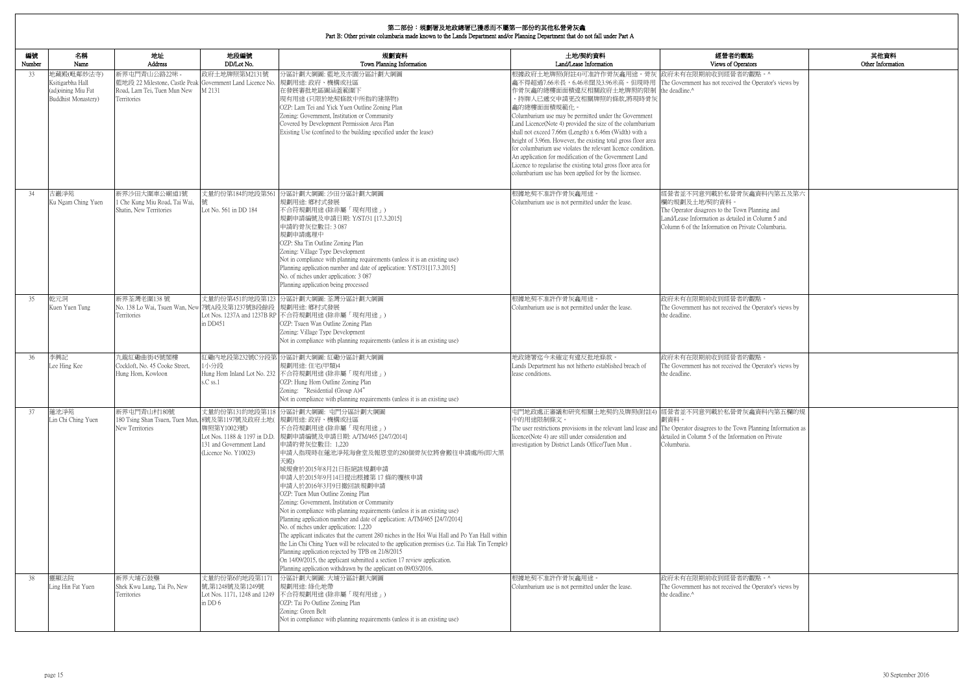| 的觀點                                      | 其他資料              |
|------------------------------------------|-------------------|
| )perators                                | Other Information |
| 者的觀點。^                                   |                   |
| ed the Operator's views by               |                   |
|                                          |                   |
|                                          |                   |
|                                          |                   |
|                                          |                   |
|                                          |                   |
|                                          |                   |
|                                          |                   |
|                                          |                   |
| 骨灰龕資料内第五及第六                              |                   |
|                                          |                   |
| own Planning and<br>iled in Column 5 and |                   |
| 1 Private Columbaria.                    |                   |
|                                          |                   |
|                                          |                   |
|                                          |                   |
|                                          |                   |
|                                          |                   |
| 者的觀點。                                    |                   |
| ed the Operator's views by               |                   |
|                                          |                   |
|                                          |                   |
|                                          |                   |
| 者的觀點。                                    |                   |
| ed the Operator's views by               |                   |
|                                          |                   |
|                                          |                   |
|                                          |                   |
| 骨灰龕資料內第五欄的規                              |                   |
| 'own Planning Information as             |                   |
| ormation on Private                      |                   |
|                                          |                   |
|                                          |                   |
|                                          |                   |
|                                          |                   |
|                                          |                   |
|                                          |                   |
|                                          |                   |
|                                          |                   |
|                                          |                   |
|                                          |                   |
|                                          |                   |
| 者的觀點。^                                   |                   |
| ed the Operator's views by               |                   |
|                                          |                   |
|                                          |                   |
|                                          |                   |

| 編號<br>Number | 名稱<br>Name                                                                  | 地址<br>Address                                                                                                            | 地段編號<br>DD/Lot No.                                                                             | 規劃資料<br>Town Planning Information                                                                                                                                                                                                                                                                                                                                                                                                                                                                                                                                                                                                                                                                                                                                                                                                                                                                                                                   | 土地/契約資料<br>Land/Lease Information                                                                                                                                                                                                                                                                                                                                                                                                                                                                                                                                                                                                                         | 經營者的觀點<br>Views of Operators                                                                                                                                                                           |
|--------------|-----------------------------------------------------------------------------|--------------------------------------------------------------------------------------------------------------------------|------------------------------------------------------------------------------------------------|-----------------------------------------------------------------------------------------------------------------------------------------------------------------------------------------------------------------------------------------------------------------------------------------------------------------------------------------------------------------------------------------------------------------------------------------------------------------------------------------------------------------------------------------------------------------------------------------------------------------------------------------------------------------------------------------------------------------------------------------------------------------------------------------------------------------------------------------------------------------------------------------------------------------------------------------------------|-----------------------------------------------------------------------------------------------------------------------------------------------------------------------------------------------------------------------------------------------------------------------------------------------------------------------------------------------------------------------------------------------------------------------------------------------------------------------------------------------------------------------------------------------------------------------------------------------------------------------------------------------------------|--------------------------------------------------------------------------------------------------------------------------------------------------------------------------------------------------------|
| 33           | 地藏殿(毗鄰妙法寺)<br>Ksitigarbha Hall<br>(adjoining Miu Fat<br>Buddhist Monastery) | 新界屯門青山公路22咪 -<br>藍地段 22 Milestone, Castle Peak Government Land Licence No.<br>Road, Lam Tei, Tuen Mun New<br>Territories | 政府土地牌照第M2131號<br>M 2131                                                                        | 分區計劃大綱圖: 藍地及亦園分區計劃大綱圖<br> 規劃用途: 政府、機構或社區<br>在發展審批地區圖涵蓋範圍下<br>現有用途(只限於地契條款中所指的建築物)<br>OZP: Lam Tei and Yick Yuen Outline Zoning Plan<br>Zoning: Government, Institution or Community<br>Covered by Development Permission Area Plan<br>Existing Use (confined to the building specified under the lease)                                                                                                                                                                                                                                                                                                                                                                                                                                                                                                                                                                                                                                             | 根據政府土地牌照(附註4)可准許作骨灰龕用途。骨灰 政府未有在限期前收到經營者的觀點。^<br>龕不得超過7.66米長,6.46米闊及3.96米高。但現時用<br>作骨灰龕的總樓面面積違反相關政府土地牌照的限制<br>。持牌人已遞交申請更改相關牌照的條款,將現時骨灰<br>龕的總樓面面積規範化。<br>Columbarium use may be permitted under the Government<br>Land Licence(Note 4) provided the size of the columbarium<br>shall not exceed 7.66m (Length) x 6.46m (Width) with a<br>height of 3.96m. However, the existing total gross floor area<br>for columbarium use violates the relevant licence condition.<br>An application for modification of the Government Land<br>Licence to regularise the existing total gross floor area for<br>columbarium use has been applied for by the licensee. | The Government has not received the Operator's views by<br>the deadline.^                                                                                                                              |
| 34           | 古巖淨苑<br>Ku Ngam Ching Yuen                                                  | 新界沙田大圍車公廟道1號<br>1 Che Kung Miu Road, Tai Wai,<br>Shatin, New Territories                                                 | 丈量約份第184約地段第561<br>Lot No. 561 in DD 184                                                       | 分區計劃大綱圖: 沙田分區計劃大綱圖<br>規劃用途: 鄉村式發展<br>不合符規劃用途(除非屬「現有用途」)<br>規劃申請編號及申請日期: Y/ST/31 [17.3.2015]<br>申請的骨灰位數目: 3087<br>規劃申請處理中<br>OZP: Sha Tin Outline Zoning Plan<br>Zoning: Village Type Development<br>Not in compliance with planning requirements (unless it is an existing use)<br>Planning application number and date of application: Y/ST/31[17.3.2015]<br>No. of niches under application: 3 087<br>Planning application being processed                                                                                                                                                                                                                                                                                                                                                                                                                                                                                                        | 根據地契不准許作骨灰龕用途。<br>Columbarium use is not permitted under the lease.                                                                                                                                                                                                                                                                                                                                                                                                                                                                                                                                                                                       | 經營者並不同意列載於私營骨灰龕資料內第五及第六<br>欄的規劃及土地/契約資料<br>The Operator disagrees to the Town Planning and<br>Land/Lease Information as detailed in Column 5 and<br>Column 6 of the Information on Private Columbaria. |
| 35           | 乾元洞<br>Kuen Yuen Tung                                                       | 新界荃灣老圍138號<br>No. 138 Lo Wai, Tsuen Wan, New<br>Territories                                                              | 7號A段及第1237號B段餘段<br>in DD451                                                                    | 丈量約份第451約地段第123 分區計劃大綱圖: 荃灣分區計劃大綱圖<br>規劃用途: 鄉村式發展<br>Lot Nos. 1237A and 1237B RP 不合符規劃用途 (除非屬「現有用途」)<br>OZP: Tsuen Wan Outline Zoning Plan<br>Zoning: Village Type Development<br>Not in compliance with planning requirements (unless it is an existing use)                                                                                                                                                                                                                                                                                                                                                                                                                                                                                                                                                                                                                                                                                       | 根據地契不准許作骨灰龕用途。<br>Columbarium use is not permitted under the lease.                                                                                                                                                                                                                                                                                                                                                                                                                                                                                                                                                                                       | 政府未有在限期前收到經營者的觀點。<br>The Government has not received the Operator's views by<br>the deadline.                                                                                                          |
| 36           | 李興記<br>Lee Hing Kee                                                         | 九龍紅磡曲街45號閣樓<br>Cockloft, No. 45 Cooke Street,<br>Hung Hom, Kowloon                                                       | 1小分段<br>s.C ss.1                                                                               | 紅磡內地段第232號C分段第 分區計劃大綱圖: 紅磡分區計劃大綱圖<br>規劃用途:住宅(甲類)4<br>Hung Hom Inland Lot No. 232 不合符規劃用途 (除非屬「現有用途」)<br>OZP: Hung Hom Outline Zoning Plan<br>Zoning: "Residential (Group A)4"<br>Not in compliance with planning requirements (unless it is an existing use)                                                                                                                                                                                                                                                                                                                                                                                                                                                                                                                                                                                                                                                                                        | 地政總署迄今未確定有違反批地條款。<br>Lands Department has not hitherto established breach of<br>lease conditions.                                                                                                                                                                                                                                                                                                                                                                                                                                                                                                                                                         | 政府未有在限期前收到經營者的觀點。<br>The Government has not received the Operator's views by<br>the deadline.                                                                                                          |
| 37           | 蓮池淨苑<br>Lin Chi Ching Yuen                                                  | 新界屯門青山村180號<br>180 Tsing Shan Tsuen, Tuen Mun, 8號及第1197號及政府土地( 規劃用途: 政府、機構或社區<br>New Territories                         | 牌照第Y10023號)<br>Lot Nos. 1188 & 1197 in D.D.<br>131 and Government Land<br>(Licence No. Y10023) | 丈量約份第131約地段第118 分區計劃大綱圖: 屯門分區計劃大綱圖<br>不合符規劃用途(除非屬「現有用途」)<br>規劃申請編號及申請日期: A/TM/465 [24/7/2014]<br>申請的骨灰位數目: 1,220<br> 申請人指現時在蓮池淨苑海會堂及報恩堂的280個骨灰位將會搬往申請處所(即大黑<br>天殿)<br>城規會於2015年8月21日拒絕該規劃申請<br>申請人於2015年9月14日提出根據第17條的覆核申請<br>申請人於2016年3月9日撤回該規劃申請<br>OZP: Tuen Mun Outline Zoning Plan<br>Zoning: Government, Institution or Community<br>Not in compliance with planning requirements (unless it is an existing use)<br>Planning application number and date of application: A/TM/465 [24/7/2014]<br>No. of niches under application: 1,220<br>The applicant indicates that the current 280 niches in the Hoi Wui Hall and Po Yan Hall within<br>the Lin Chi Ching Yuen will be relocated to the application premises (i.e. Tai Hak Tin Temple)<br>Planning application rejected by TPB on 21/8/2015<br>On 14/09/2015, the applicant submitted a section 17 review application.<br>Planning application withdrawn by the applicant on 09/03/2016. | 屯門地政處正審議和研究相關土地契約及牌照(附註4) 經營者並不同意列載於私營骨灰龕資料內第五欄的規<br>中的用途限制條文。<br>The user restrictions provisions in the relevant land lease and The Operator disagrees to the Town Planning Information as<br>licence(Note 4) are still under consideration and<br>investigation by District Lands Office/Tuen Mun.                                                                                                                                                                                                                                                                                                                                                     | 劃資料。<br>detailed in Column 5 of the Information on Private<br>Columbaria.                                                                                                                              |
| -38          | 靈顯法院<br>Ling Hin Fat Yuen                                                   | 新界大埔石鼓壟<br>Shek Kwu Lung, Tai Po, New<br>Territories                                                                     | 丈量約份第6約地段第117<br>號,第1248號及第1249號<br>Lot Nos. 1171, 1248 and 1249<br>in DD 6                    | 分區計劃大綱圖: 大埔分區計劃大綱圖<br>規劃用途: 綠化地帶<br>不合符規劃用途 (除非屬「現有用途」)<br>OZP: Tai Po Outline Zoning Plan<br>Zoning: Green Belt<br>Not in compliance with planning requirements (unless it is an existing use)                                                                                                                                                                                                                                                                                                                                                                                                                                                                                                                                                                                                                                                                                                                                                     | 根據地契不准許作骨灰龕用途。<br>Columbarium use is not permitted under the lease.                                                                                                                                                                                                                                                                                                                                                                                                                                                                                                                                                                                       | 政府未有在限期前收到經營者的觀點。^<br>The Government has not received the Operator's views by<br>the deadline.^                                                                                                        |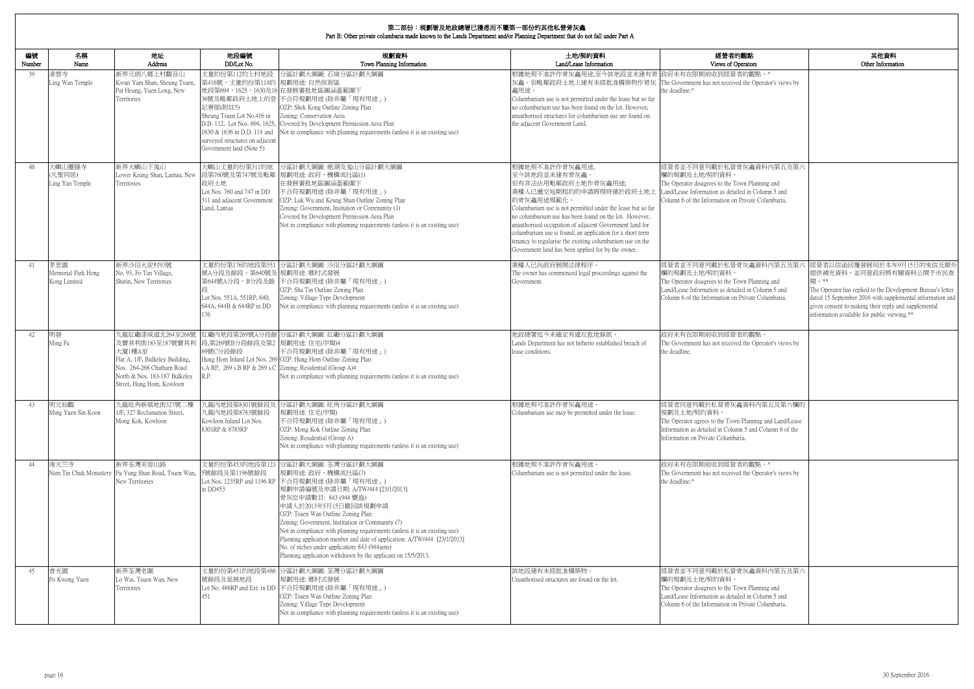| 的觀點<br>perators                                                                   | 其他資料<br>Other Information                                                                                                                                                                                                                                                                       |
|-----------------------------------------------------------------------------------|-------------------------------------------------------------------------------------------------------------------------------------------------------------------------------------------------------------------------------------------------------------------------------------------------|
| 者的觀點。^<br>ed the Operator's views by                                              |                                                                                                                                                                                                                                                                                                 |
| 骨灰龕資料内第五及第六                                                                       |                                                                                                                                                                                                                                                                                                 |
| 'own Planning and<br>iled in Column 5 and<br>1 Private Columbaria.                |                                                                                                                                                                                                                                                                                                 |
| 骨灰龕資料內第五及第六<br>'own Planning and<br>iled in Column 5 and<br>1 Private Columbaria. | 經營者以信函回覆發展局於本年9月15日的來信及額外<br>提供補充資料,並同意政府將有關資料公開予市民查<br>閱。**<br>The Operator has replied to the Development Bureau's letter<br>dated 15 September 2016 with supplemental information and<br>given consent to making their reply and supplemental<br>information available for public viewing.** |
| 者的觀點。<br>ed the Operator's views by                                               |                                                                                                                                                                                                                                                                                                 |
| 龕資料內第五及第六欄的<br>n Planning and Land/Lease<br>mn 5 and Column 6 of the<br>aria.     |                                                                                                                                                                                                                                                                                                 |
| 者的觀點。^<br>ed the Operator's views by                                              |                                                                                                                                                                                                                                                                                                 |
| 骨灰龕資料内第五及第六<br>'own Planning and<br>iled in Column 5 and<br>1 Private Columbaria. |                                                                                                                                                                                                                                                                                                 |

| 編號<br>Number | 名稱<br>Name                                | 地址<br>Address                                                                                                                                                                | 地段編號<br>DD/Lot No.                                                                                                                                                                   | 規劃資料<br>Town Planning Information                                                                                                                                                                                                                                                                                                                                                                                                                                                                                                                                           | 土地/契約資料<br>Land/Lease Information                                                                                                                                                                                                                                                                                                                                                                                                                                   | 經營者的觀點<br>Views of Operators                                                                                                                                                                            |
|--------------|-------------------------------------------|------------------------------------------------------------------------------------------------------------------------------------------------------------------------------|--------------------------------------------------------------------------------------------------------------------------------------------------------------------------------------|-----------------------------------------------------------------------------------------------------------------------------------------------------------------------------------------------------------------------------------------------------------------------------------------------------------------------------------------------------------------------------------------------------------------------------------------------------------------------------------------------------------------------------------------------------------------------------|---------------------------------------------------------------------------------------------------------------------------------------------------------------------------------------------------------------------------------------------------------------------------------------------------------------------------------------------------------------------------------------------------------------------------------------------------------------------|---------------------------------------------------------------------------------------------------------------------------------------------------------------------------------------------------------|
| 39           | 凌雲寺<br>Ling Wan Temple                    | 新界元朗八鄉上村觀音山<br>Kwun Yam Shan, Sheung Tsuen,<br>Pat Heung, Yuen Long, New<br>Territories                                                                                      | 丈量約份第112約上村地段<br>第416號、丈量約份第114約 規劃用途: 自然保育區<br>記寮屋(附註5)<br>Sheung Tsuen Lot No.416 in<br>1630 & 1636 in D.D. 114 and<br>surveyed structures on adjacent<br>Government land (Note 5) | 分區計劃大綱圖: 石崗分區計劃大綱圖<br>地段第694、1625、1630及16 在發展審批地區圖涵蓋範圍下<br>36號及毗鄰政府土地上的登 不合符規劃用途 (除非屬「現有用途」)<br>OZP: Shek Kong Outline Zoning Plan<br>Zoning: Conservation Area<br>D.D. 112, Lot Nos. 694, 1625, Covered by Development Permission Area Plan<br>Not in compliance with planning requirements (unless it is an existing use)                                                                                                                                                                                                                                                 | 根據地契不准許作骨灰龕用途,至今該地段並未建有骨  政府未有在限期前收到經營者的觀點。^<br>灰龕。但毗鄰政府土地上建有未經批准構築物作骨灰 The Government has not received the Operator's views by<br>龕用途。<br>Columbarium use is not permitted under the lease but so far<br>no columbarium use has been found on the lot. However,<br>unauthorised structures for columbarium use are found on<br>the adjacent Government Land.                                                                                                       | the deadline.^                                                                                                                                                                                          |
| 40           | 大嶼山靈隱寺<br>(凡聖同居)<br>Ling Yan Temple       | 新界大嶼山下羗山<br>Lower Keung Shan, Lantau, New<br>Territories                                                                                                                     | 大嶼山丈量約份第311約地<br>政府土地<br>Lot Nos. 760 and 747 in DD<br>311 and adjacent Government<br>Land, Lantau                                                                                   | 分區計劃大綱圖: 鹿湖及羗山分區計劃大綱圖<br>段第760號及第747號及毗鄰 規劃用途: 政府、機構或社區(1)<br>在發展審批地區圖涵蓋範圍下<br>不合符規劃用途 (除非屬「現有用途」)<br>OZP: Luk Wu and Keung Shan Outline Zoning Plan<br>Zoning: Government, Insitution or Community (1)<br>Covered by Development Permission Area Plan<br>Not in compliance with planning requirements (unless it is an existing use)                                                                                                                                                                                                                                       | 根據地契不准許作骨灰龕用途,<br>至今該地段並未建有骨灰龕。<br>但有非法佔用毗鄰政府土地作骨灰龕用途;<br>業權人已遞交短期租約的申請將現時建於政府土地上<br>的骨灰龕用途規範化。<br>Columbarium use is not permitted under the lease but so far<br>no columbarium use has been found on the lot. However,<br>unauthorised occupation of adjacent Government land for<br>columbarium use is found; an application for a short term<br>tenancy to regularise the existing columbarium use on the<br>Government land has been applied for by the owner. | 經營者並不同意列載於私營骨灰龕資料內第五及第六<br>欄的規劃及土地/契約資料<br>The Operator disagrees to the Town Planning and<br>Land/Lease Information as detailed in Column 5 and<br>Column 6 of the Information on Private Columbaria.  |
| 41           | 孝思園<br>Memorial Park Hong<br>Kong Limited | 新界沙田火炭村93號<br>No. 93, Fo Tan Village,<br>Shatin, New Territories                                                                                                             | 號A分段及餘段、第640號及 規劃用途: 鄉村式發展<br>Lot Nos. 551A, 551RP, 640,<br>644A, 644B & 644RP in DD<br>176                                                                                          | 丈量約份第176約地段第551 分區計劃大綱圖: 沙田分區計劃大綱圖<br>第644號A分段、B分段及餘 不合符規劃用途(除非屬「現有用途」)<br>OZP: Sha Tin Outline Zoning Plan<br>Zoning: Village Type Development<br>Not in compliance with planning requirements (unless it is an existing use)                                                                                                                                                                                                                                                                                                                                              | 業權人已向政府展開法律程序。<br>The owner has commenced legal proceedings against the<br>Government.                                                                                                                                                                                                                                                                                                                                                                              | 經營者並不同意列載於私營骨灰龕資料內第五及第六<br>欄的規劃及土地/契約資料<br>The Operator disagrees to the Town Planning and<br>Land/Lease Information as detailed in Column 5 and<br>Column 6 of the Information on Private Columbaria.  |
| 42.          | 明發<br>Ming Fa                             | 九龍紅磡漆咸道北264至268號<br>及寶其利街183至187號寶其利<br>大廈1樓A室<br>Flat A, 1/F, Bulkeley Building,<br>Nos. 264-268 Chatham Road<br>North & Nos. 183-187 Bulkeley<br>Street, Hung Hom, Kowloon | 段,第269號B分段餘段及第2 規劃用途:住宅(甲類)4<br>69號C分段餘段<br>R.P.                                                                                                                                     | 紅磡內地段第269號A分段餘 分區計劃大綱圖: 紅磡分區計劃大綱圖<br>不合符規劃用途(除非屬「現有用途」)<br>Hung Hom Inland Lot Nos. 269 OZP: Hung Hom Outline Zoning Plan<br>s.A RP, 269 s.B RP & 269 s.C Zoning: Residential (Group A)4<br>Not in compliance with planning requirements (unless it is an existing use)                                                                                                                                                                                                                                                                                                     | 地政總署迄今未確定有違反批地條款。<br>Lands Department has not hitherto established breach of<br>lease conditions.                                                                                                                                                                                                                                                                                                                                                                   | 政府未有在限期前收到經營者的觀點。<br>The Government has not received the Operator's views by<br>the deadline.                                                                                                           |
| 43           | 明元仙觀<br>Ming Yuen Sin Koon                | 九龍旺角新填地街327號二樓<br>1/F, 327 Reclamation Street,<br>Mong Kok, Kowloon                                                                                                          | 九龍内地段第8783號餘段<br>Kowloon Inland Lot Nos.<br>8301RP & 8783RP                                                                                                                          | 九龍內地段第8301號餘段及 分區計劃大綱圖: 旺角分區計劃大綱圖<br>規劃用途:住宅(甲類)<br>不合符規劃用途(除非屬「現有用途」)<br>OZP: Mong Kok Outline Zoning Plan<br>Zoning: Residential (Group A)<br>Not in compliance with planning requirements (unless it is an existing use)                                                                                                                                                                                                                                                                                                                                                 | 根據地契可准許作骨灰龕用途<br>Columbarium use may be permitted under the lease.                                                                                                                                                                                                                                                                                                                                                                                                  | 經營者同意列載於私營骨灰龕資料內第五及第六欄的<br> 規劃及土地/契約資料。<br>The Operator agrees to the Town Planning and Land/Lease<br>Information as detailed in Column 5 and Column 6 of the<br>Information on Private Columbaria.     |
| 44           | 南天竺寺                                      | 新界荃灣芙蓉山路<br>Nam Tin Chuk Monastery Fu Yung Shan Road, Tsuen Wan,<br>New Territories                                                                                          | 5號餘段及第1196號餘段<br>in DD453                                                                                                                                                            | 丈量約份第453約地段第123 分區計劃大綱圖: 荃灣分區計劃大綱圖<br>規劃用途: 政府、機構或社區(7)<br>Lot Nos. 1235RP and 1196 RP 不合符規劃用途 (除非屬「現有用途」)<br> 規劃申請編號及申請日期: A/TW/444 [23/1/2013]<br>骨灰位申請數目: 843 (944 甕盎)<br>申請人於2013年5月15日撤回該規劃申請<br>OZP: Tsuen Wan Outline Zoning Plan<br>Zoning: Government, Institution or Community (7)<br>Not in compliance with planning requirements (unless it is an existing use)<br>Planning application number and date of application: A/TW/444 [23/1/2013]<br>No. of niches under application: 843 (944urns)<br>Planning application withdrawn by the applicant on 15/5/2013. | 根據地契不准許作骨灰龕用途。<br>Columbarium use is not permitted under the lease.                                                                                                                                                                                                                                                                                                                                                                                                 | 政府未有在限期前收到經營者的觀點。^<br>The Government has not received the Operator's views by<br>the deadline.^                                                                                                         |
| 45           | 普光園<br>Po Kwong Yuen                      | 新界荃灣老圍<br>Lo Wai, Tsuen Wan, New<br>Territories                                                                                                                              | 號餘段及延展地段<br>451                                                                                                                                                                      | 丈量約份第451約地段第486 分區計劃大綱圖: 荃灣分區計劃大綱圖<br>規劃用途: 鄉村式發展<br>Lot No. 486RP and Ext. in DD 不合符規劃用途 (除非屬「現有用途」)<br>OZP: Tsuen Wan Outline Zoning Plan<br>Zoning: Village Type Development<br>Not in compliance with planning requirements (unless it is an existing use)                                                                                                                                                                                                                                                                                                              | 該地段建有未經批准構築物。<br>Unauthorised structures are found on the lot.                                                                                                                                                                                                                                                                                                                                                                                                      | 經營者並不同意列載於私營骨灰龕資料內第五及第六<br>欄的規劃及土地/契約資料。<br>The Operator disagrees to the Town Planning and<br>Land/Lease Information as detailed in Column 5 and<br>Column 6 of the Information on Private Columbaria. |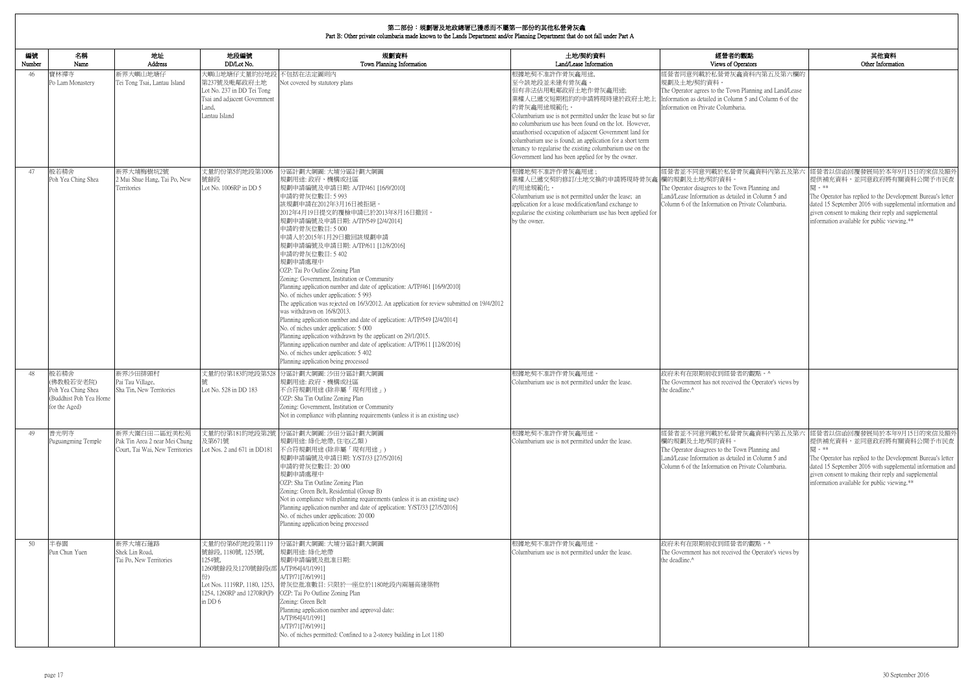|              | 布一叫以 勿调者及心以秘者已退心而干周不一叫以可天心似合为人<br>Part B: Other private columbaria made known to the Lands Department and/or Planning Department that do not fall under Part A |                                                                                  |                                                                                                                      |                                                                                                                                                                                                                                                                                                                                                                                                                                                                                                                                                                                                                                                                                                                                                                                                                                                                                                                                                                                                         |                                                                                                                                                                                                                                                                                                                                                                                                                                                                    |                                                                                                                                                                                                         |                                                                                                                                                                                                                                                                                                  |  |  |  |
|--------------|----------------------------------------------------------------------------------------------------------------------------------------------------------------|----------------------------------------------------------------------------------|----------------------------------------------------------------------------------------------------------------------|---------------------------------------------------------------------------------------------------------------------------------------------------------------------------------------------------------------------------------------------------------------------------------------------------------------------------------------------------------------------------------------------------------------------------------------------------------------------------------------------------------------------------------------------------------------------------------------------------------------------------------------------------------------------------------------------------------------------------------------------------------------------------------------------------------------------------------------------------------------------------------------------------------------------------------------------------------------------------------------------------------|--------------------------------------------------------------------------------------------------------------------------------------------------------------------------------------------------------------------------------------------------------------------------------------------------------------------------------------------------------------------------------------------------------------------------------------------------------------------|---------------------------------------------------------------------------------------------------------------------------------------------------------------------------------------------------------|--------------------------------------------------------------------------------------------------------------------------------------------------------------------------------------------------------------------------------------------------------------------------------------------------|--|--|--|
| 編號<br>Number | 名稱<br>Name                                                                                                                                                     | 地址<br>Address                                                                    | 地段編號<br>DD/Lot No.                                                                                                   | 規劃資料<br>Town Planning Information                                                                                                                                                                                                                                                                                                                                                                                                                                                                                                                                                                                                                                                                                                                                                                                                                                                                                                                                                                       | 土地/契約資料<br>Land/Lease Information                                                                                                                                                                                                                                                                                                                                                                                                                                  | 經營者的觀點<br>Views of Operators                                                                                                                                                                            | 其他資料<br>Other Information                                                                                                                                                                                                                                                                        |  |  |  |
| 46           | 寶林禪寺<br>Po Lam Monastery                                                                                                                                       | 新界大嶼山地塘仔<br>Tei Tong Tsai, Lantau Island                                         | 大嶼山地塘仔丈量約份地自<br>第237號及毗鄰政府土地<br>Lot No. 237 in DD Tei Tong<br>Tsai and adjacent Government<br>Land,<br>Lantau Island | 不包括在法定圖則内<br>Not covered by statutory plans                                                                                                                                                                                                                                                                                                                                                                                                                                                                                                                                                                                                                                                                                                                                                                                                                                                                                                                                                             | 根據地契不准許作骨灰龕用途,<br>至今該地段並未建有骨灰龕。<br>但有非法佔用毗鄰政府土地作骨灰龕用途;<br>業權人已遞交短期租約的申請將現時建於政府土地<br>的骨灰龕用途規範化。<br>Columbarium use is not permitted under the lease but so far<br>no columbarium use has been found on the lot. However,<br>unauthorised occupation of adjacent Government land for<br>columbarium use is found; an application for a short term<br>tenancy to regularise the existing columbarium use on the<br>Government land has been applied for by the owner. | 經營者同意列載於私營骨灰龕資料內第五及第六欄的<br>規劃及土地/契約資料<br>The Operator agrees to the Town Planning and Land/Lease<br>Information as detailed in Column 5 and Column 6 of the<br>Information on Private Columbaria.       |                                                                                                                                                                                                                                                                                                  |  |  |  |
| 47           | 般若精舍<br>Poh Yea Ching Shea                                                                                                                                     | 新界大埔梅樹坑2號<br>2 Mui Shue Hang, Tai Po, New<br>Territories                         | 丈量約份第5約地段第1006<br>號餘段<br>Lot No. 1006RP in DD 5                                                                      | 分區計劃大綱圖: 大埔分區計劃大綱圖<br>規劃用途:政府、機構或社區<br>規劃申請編號及申請日期: A/TP/461 [16/9/2010]<br>申請的骨灰位數目: 5 993<br>該規劃申請在2012年3月16日被拒絕<br>2012年4月19日提交的覆檢申請已於2013年8月16日撤回。<br>規劃申請編號及申請日期: A/TP/549 [2/4/2014]<br>申請的骨灰位數目: 5 000<br>申請人於2015年1月29日撤回該規劃申請<br>規劃申請編號及申請日期: A/TP/611 [12/8/2016]<br>申請的骨灰位數目: 5 402<br>規劃申請處理中<br>OZP: Tai Po Outline Zoning Plan<br>Zoning: Government, Institution or Community<br>Planning application number and date of application: A/TP/461 [16/9/2010]<br>No. of niches under application: 5 993<br>The application was rejected on 16/3/2012. An application for review submitted on 19/4/2012<br>was withdrawn on 16/8/2013.<br>Planning application number and date of application: A/TP/549 [2/4/2014]<br>No. of niches under application: 5 000<br>Planning application withdrawn by the applicant on 29/1/2015.<br>Planning application number and date of application: A/TP/611 [12/8/2016]<br>No. of niches under application: 5 402<br>Planning application being processed | 根據地契不准許作骨灰龕用途;<br>業權人已遞交契約修訂/土地交換的申請將現時骨灰龕 欄的規劃及土地/契約資料<br>的用途規範化。<br>Columbarium use is not permitted under the lease; an<br>application for a lease modification/land exchange to<br>regularise the existing columbarium use has been applied for<br>by the owner.                                                                                                                                                                                               | 經營者並不同意列載於私營骨灰龕資料內第五及第六<br>The Operator disagrees to the Town Planning and<br>Land/Lease Information as detailed in Column 5 and<br>Column 6 of the Information on Private Columbaria.                  | 經營者以信函回覆發展局於本年9月15日的來信及額外<br>提供補充資料,並同意政府將有關資料公開予市民查<br>閣 。**<br>The Operator has replied to the Development Bureau's letter<br>dated 15 September 2016 with supplemental information and<br>given consent to making their reply and supplemental<br>information available for public viewing.** |  |  |  |
| 48           | 般若精舍<br>(佛教般若安老院)<br>Poh Yea Ching Shea<br>(Buddhist Poh Yea Home<br>for the Aged)                                                                             | 新界沙田排頭村<br>Pai Tau Village,<br>Sha Tin, New Territories                          | 丈量約份第183約地段第528<br>Lot No. 528 in DD 183                                                                             | 分區計劃大綱圖: 沙田分區計劃大綱圖<br>規劃用途:政府、機構或社區<br>不合符規劃用途 (除非屬「現有用途」)<br>OZP: Sha Tin Outline Zoning Plan<br>Zoning: Government, Institution or Community<br>Not in compliance with planning requirements (unless it is an existing use)                                                                                                                                                                                                                                                                                                                                                                                                                                                                                                                                                                                                                                                                                                                                                                           | 根據地契不准許作骨灰龕用途。<br>Columbarium use is not permitted under the lease.                                                                                                                                                                                                                                                                                                                                                                                                | 政府未有在限期前收到經營者的觀點。^<br>The Government has not received the Operator's views by<br>the deadline.^                                                                                                         |                                                                                                                                                                                                                                                                                                  |  |  |  |
| 49           | 普光明寺<br>Puguangming Temple                                                                                                                                     | 新界大圍白田二區近美松苑<br>Pak Tin Area 2 near Mei Chung<br>Court, Tai Wai, New Territories | 及第671號<br>Lot Nos. 2 and 671 in DD181                                                                                | 丈量約份第181約地段第2號 分區計劃大綱圖: 沙田分區計劃大綱圖<br>規劃用途: 綠化地帶, 住宅(乙類)<br>不合符規劃用途(除非屬「現有用途」)<br>規劃申請編號及申請日期: Y/ST/33 [27/5/2016]<br>申請的骨灰位數目: 20 000<br>規劃申請處理中<br>OZP: Sha Tin Outline Zoning Plan<br>Zoning: Green Belt, Residential (Group B)<br>Not in compliance with planning requirements (unless it is an existing use)<br>Planning application number and date of application: Y/ST/33 [27/5/2016]<br>No. of niches under application: 20 000<br>Planning application being processed                                                                                                                                                                                                                                                                                                                                                                                                                                                                                                                         | 根據地契不准許作骨灰龕用途。<br>Columbarium use is not permitted under the lease.                                                                                                                                                                                                                                                                                                                                                                                                | 經營者並不同意列載於私營骨灰龕資料內第五及第六<br>欄的規劃及土地/契約資料。<br>The Operator disagrees to the Town Planning and<br>Land/Lease Information as detailed in Column 5 and<br>Column 6 of the Information on Private Columbaria. | 經營者以信函回覆發展局於本年9月15日的來信及額外<br>提供補充資料,並同意政府將有關資料公開予市民查<br>関 。**<br>The Operator has replied to the Development Bureau's letter<br>dated 15 September 2016 with supplemental information and<br>given consent to making their reply and supplemental<br>information available for public viewing.** |  |  |  |
| 50           | 半春園<br>Pun Chun Yuen                                                                                                                                           | 新界大埔石蓮路<br>Shek Lin Road.<br>Tai Po, New Territories                             | 丈量約份第6約地段第1119<br>號餘段, 1180號, 1253號,<br>1254號,<br>1260號餘段及1270號餘段(部 A/TP/64[4/1/1991]<br>in DD 6                     | 分區計劃大綱圖: 大埔分區計劃大綱圖<br>規劃用途: 綠化地帶<br>規劃申請編號及批准日期:<br>A/TP/71[7/6/1991]<br>Lot Nos. 1119RP, 1180, 1253, 骨灰位批准數目: 只限於一座位於1180地段內兩層高建築物<br>1254, 1260RP and 1270RP(P) OZP: Tai Po Outline Zoning Plan<br>Zoning: Green Belt<br>Planning application number and approval date:<br>A/TP/64[4/1/1991]<br>A/TP/71[7/6/1991]<br>No. of niches permitted: Confined to a 2-storey building in Lot 1180                                                                                                                                                                                                                                                                                                                                                                                                                                                                                                                                                                                                             | 根據地契不准許作骨灰龕用途<br>Columbarium use is not permitted under the lease.                                                                                                                                                                                                                                                                                                                                                                                                 | 政府未有在限期前收到經營者的觀點。^<br>The Government has not received the Operator's views by<br>the deadline.^                                                                                                         |                                                                                                                                                                                                                                                                                                  |  |  |  |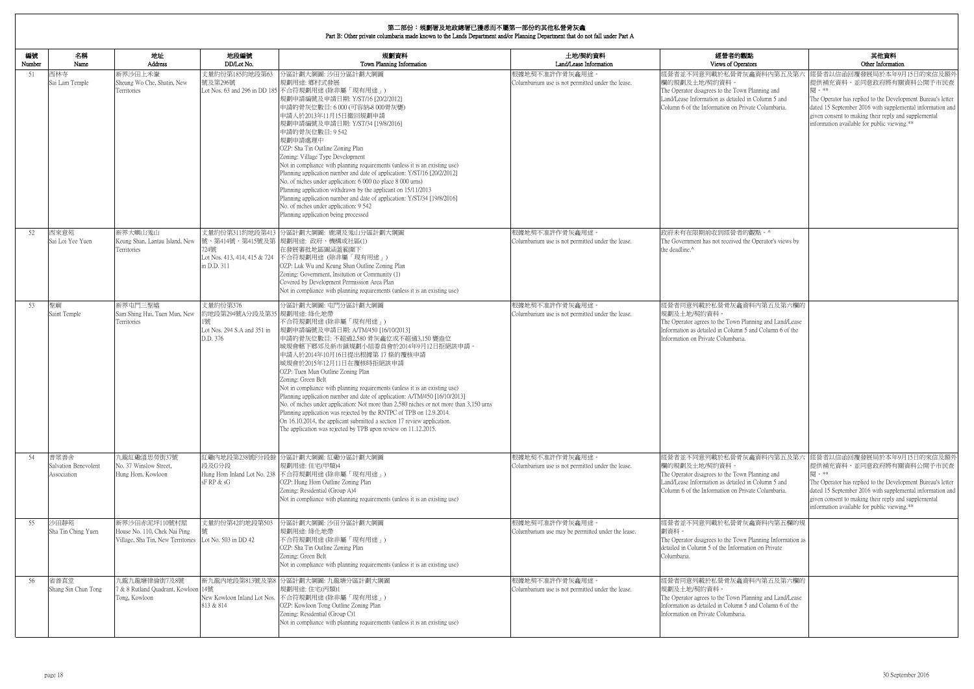| 的觀點                                                                            | 其他資料                                                                                                                                                                                                                                                                                            |
|--------------------------------------------------------------------------------|-------------------------------------------------------------------------------------------------------------------------------------------------------------------------------------------------------------------------------------------------------------------------------------------------|
| )perators                                                                      | Other Information                                                                                                                                                                                                                                                                               |
| 骨灰龕資料內第五及第六<br>own Planning and<br>iled in Column 5 and<br>Private Columbaria. | 經營者以信函回覆發展局於本年9月15日的來信及額外<br>提供補充資料,並同意政府將有關資料公開予市民查<br>閱。**<br>The Operator has replied to the Development Bureau's letter<br>dated 15 September 2016 with supplemental information and<br>given consent to making their reply and supplemental<br>information available for public viewing.** |
| 者的觀點。^                                                                         |                                                                                                                                                                                                                                                                                                 |
| ed the Operator's views by                                                     |                                                                                                                                                                                                                                                                                                 |
| 龕資料內第五及第六欄的                                                                    |                                                                                                                                                                                                                                                                                                 |
| n Planning and Land/Lease<br>nn 5 and Column 6 of the<br>aria.                 |                                                                                                                                                                                                                                                                                                 |
| 骨灰龕資料内第五及第六                                                                    | 經營者以信函回覆發展局於本年9月15日的來信及額外                                                                                                                                                                                                                                                                       |
| own Planning and<br>iled in Column 5 and<br>l Private Columbaria.              | 提供補充資料,並同意政府將有關資料公開予市民查<br>閱。**<br>The Operator has replied to the Development Bureau's letter<br>dated 15 September 2016 with supplemental information and<br>given consent to making their reply and supplemental<br>information available for public viewing.**                              |
| 骨灰龕資料內第五欄的規                                                                    |                                                                                                                                                                                                                                                                                                 |
| own Planning Information as<br>ormation on Private                             |                                                                                                                                                                                                                                                                                                 |
| 龕資料內第五及第六欄的                                                                    |                                                                                                                                                                                                                                                                                                 |
| n Planning and Land/Lease<br>nn 5 and Column 6 of the<br>aria.                 |                                                                                                                                                                                                                                                                                                 |

| 編號<br>Number | 名稱<br>Name                                  | 地址<br><b>Address</b>                                                               | 地段編號<br>DD/Lot No.                                                                 | 規劃資料<br>Town Planning Information                                                                                                                                                                                                                                                                                                                                                                                                                                                                                                                                                                                                                                                                                                                                                      | 土地/契約資料<br>Land/Lease Information                                   | 經營者的觀點<br>Views of Operators                                                                                                                                                                            |
|--------------|---------------------------------------------|------------------------------------------------------------------------------------|------------------------------------------------------------------------------------|----------------------------------------------------------------------------------------------------------------------------------------------------------------------------------------------------------------------------------------------------------------------------------------------------------------------------------------------------------------------------------------------------------------------------------------------------------------------------------------------------------------------------------------------------------------------------------------------------------------------------------------------------------------------------------------------------------------------------------------------------------------------------------------|---------------------------------------------------------------------|---------------------------------------------------------------------------------------------------------------------------------------------------------------------------------------------------------|
| 51           | 西林寺<br>Sai Lam Temple                       | 新界沙田上禾輋<br>Sheung Wo Che, Shatin, New<br>Territories                               | 丈量約份第185約地段第63<br>號及第296號                                                          | 分區計劃大綱圖: 沙田分區計劃大綱圖<br>規劃用途: 鄉村式發展<br>Lot Nos. 63 and 296 in DD 185 不合符規劃用途 (除非屬「現有用途」)<br>規劃申請編號及申請日期: Y/ST/16 [20/2/2012]<br>申請的骨灰位數目:6000 (可容納 8000骨灰甕)<br>申請人於2013年11月15日撤回規劃申請<br>規劃申請編號及申請日期: Y/ST/34 [19/8/2016]<br>申請的骨灰位數目: 9 542<br>規劃申請處理中<br>OZP: Sha Tin Outline Zoning Plan<br>Zoning: Village Type Development<br>Not in compliance with planning requirements (unless it is an existing use)<br>Planning application number and date of application: Y/ST/16 [20/2/2012]<br>No. of niches under application: 6 000 (to place 8 000 urns)<br>Planning application withdrawn by the applicant on 15/11/2013<br>Planning application number and date of application: Y/ST/34 [19/8/2016]<br>No. of niches under application: 9 542<br>Planning application being processed | 根據地契不准許作骨灰龕用途。<br>Columbarium use is not permitted under the lease. | 經營者並不同意列載於私營骨灰龕資料內第五及第六<br>欄的規劃及土地/契約資料。<br>The Operator disagrees to the Town Planning and<br>Land/Lease Information as detailed in Column 5 and<br>Column 6 of the Information on Private Columbaria. |
| 52           | 西來意苑<br>Sai Loi Yee Yuen                    | 新界大嶼山羗山<br>Keung Shan, Lantau Island, New<br>Territories                           | 724號<br>Lot Nos. 413, 414, 415 & 724<br>in D.D. 311                                | 丈量約份第311約地段第413 分區計劃大綱圖: 鹿湖及羗山分區計劃大綱圖<br>號、第414號、第415號及第 規劃用途: 政府、機構或社區(1)<br>在發展審批地區圖涵蓋範圍下<br> 不合符規劃用途 (除非屬「現有用途」)<br>OZP: Luk Wu and Keung Shan Outline Zoning Plan<br>Zoning: Government, Insitution or Community (1)<br>Covered by Development Permission Area Plan<br>Not in compliance with planning requirements (unless it is an existing use)                                                                                                                                                                                                                                                                                                                                                                                                                                 | 根據地契不准許作骨灰龕用途。<br>Columbarium use is not permitted under the lease. | 政府未有在限期前收到經營者的觀點。^<br>The Government has not received the Operator's views by<br>the deadline.^                                                                                                         |
| 53           | 聖廟<br>Saint Temple                          | 新界屯門三聖墟<br>Sam Shing Hui, Tuen Mun, New<br>Territories                             | 丈量約份第376<br>約地段第294號A分段及第35  規劃用途: 綠化地帶<br>Lot Nos. 294 S.A and 351 in<br>D.D. 376 | 分區計劃大綱圖: 屯門分區計劃大綱圖<br>不合符規劃用途(除非屬「現有用途」)<br> 規劃申請編號及申請日期: A/TM/450 [16/10/2013]<br>申請的骨灰位數目: 不超過2,580 骨灰龕位或不超過3,150 甕盎位<br>城規會轄下鄉郊及新市鎮規劃小組委員會於2014年9月12日拒絕該申請。<br>申請人於2014年10月16日提出根據第17條的覆核申請<br>城規會於2015年12月11日在覆核時拒絕該申請<br>OZP: Tuen Mun Outline Zoning Plan<br>Zoning: Green Belt<br>Not in compliance with planning requirements (unless it is an existing use)<br>Planning application number and date of application: A/TM/450 [16/10/2013]<br>No. of niches under application: Not more than 2,580 niches or not more than 3,150 urns<br>Planning application was rejected by the RNTPC of TPB on 12.9.2014.<br>On 16.10.2014, the applicant submitted a section 17 review application.<br>The application was rejected by TPB upon review on 11.12.2015.                      | 根據地契不准許作骨灰龕用途。<br>Columbarium use is not permitted under the lease. | 經營者同意列載於私營骨灰龕資料內第五及第六欄的<br>規劃及土地/契約資料。<br>The Operator agrees to the Town Planning and Land/Lease<br>Information as detailed in Column 5 and Column 6 of the<br>Information on Private Columbaria.      |
| 54           | 普眾善舍<br>Salvation Benevolent<br>Association | 九龍紅磡溫思勞街37號<br>No. 37 Winslow Street,<br>Hung Hom, Kowloon                         | 段及G分段<br>sFRP & sG                                                                 | 江磡内地段第238號F分段餘│分區計劃大綱圖: 紅磡分區計劃大綱圖<br>規劃用途:住宅(甲類)4<br>Hung Hom Inland Lot No. 238 不合符規劃用途 (除非屬「現有用途」)<br>OZP: Hung Hom Outline Zoning Plan<br>Zoning: Residential (Group A)4<br>Not in compliance with planning requirements (unless it is an existing use)                                                                                                                                                                                                                                                                                                                                                                                                                                                                                                                             | 根據地契不准許作骨灰龕用途。<br>Columbarium use is not permitted under the lease. | 經營者並不同意列載於私營骨灰龕資料內第五及第六<br>欄的規劃及十地/契約資料。<br>The Operator disagrees to the Town Planning and<br>Land/Lease Information as detailed in Column 5 and<br>Column 6 of the Information on Private Columbaria. |
| 55           | 沙田靜苑<br>Sha Tin Ching Yuen                  | 新界沙田赤泥坪110號村屋<br>House No. 110, Chek Nai Ping<br>Village, Sha Tin, New Territories | 丈量約份第42約地段第503<br>Lot No. 503 in DD 42                                             | 分區計劃大綱圖: 沙田分區計劃大綱圖<br>規劃用途: 綠化地帶<br>不合符規劃用途 (除非屬「現有用途」)<br>OZP: Sha Tin Outline Zoning Plan<br>Zoning: Green Belt<br>Not in compliance with planning requirements (unless it is an existing use)                                                                                                                                                                                                                                                                                                                                                                                                                                                                                                                                                                                       | 根據地契可准許作骨灰龕用途。<br>Columbarium use may be permitted under the lease. | 經營者並不同意列載於私營骨灰龕資料內第五欄的規<br>劃資料。<br>The Operator disagrees to the Town Planning Information as<br>detailed in Column 5 of the Information on Private<br>Columbaria.                                      |
| 56           | 省善真堂<br>Shang Sin Chun Tong                 | 九龍九龍塘律倫街7及8號<br>& 8 Rutland Quadrant, Kowloon 14號<br>Tong, Kowloon                 | 813 & 814                                                                          | 新九龍內地段第813號及第8 分區計劃大綱圖: 九龍塘分區計劃大綱圖<br>規劃用途:住宅(丙類)1<br>New Kowloon Inland Lot Nos. 不合符規劃用途 (除非屬「現有用途」)<br>OZP: Kowloon Tong Outline Zoning Plan<br>Zoning: Residential (Group C)1<br>Not in compliance with planning requirements (unless it is an existing use)                                                                                                                                                                                                                                                                                                                                                                                                                                                                                                                        | 根據地契不准許作骨灰龕用途。<br>Columbarium use is not permitted under the lease. | 經營者同意列載於私營骨灰龕資料內第五及第六欄的<br>規劃及土地/契約資料。<br>The Operator agrees to the Town Planning and Land/Lease<br>Information as detailed in Column 5 and Column 6 of the<br>Information on Private Columbaria.      |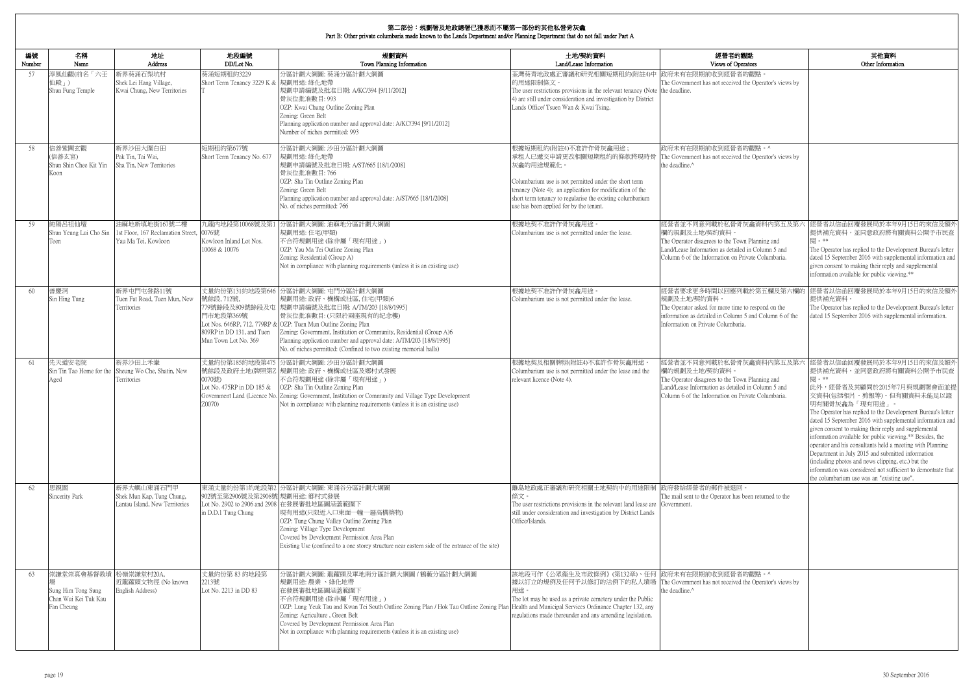|              | 第二部份:規劃署及地政總署已獲悉而不屬第一部份的其他私營骨灰龕<br>Part B: Other private columbaria made known to the Lands Department and/or Planning Department that do not fall under Part A |                                                                                  |                                                                              |                                                                                                                                                                                                                                                                                                                                                                                                                                    |                                                                                                                                                                                                                                                                                            |                                                                                                                                                                                                         |                                                                                                                                                                                                                                                                                                                                                                                                                                                                                                                                                                                                                                                                                 |  |  |
|--------------|-----------------------------------------------------------------------------------------------------------------------------------------------------------------|----------------------------------------------------------------------------------|------------------------------------------------------------------------------|------------------------------------------------------------------------------------------------------------------------------------------------------------------------------------------------------------------------------------------------------------------------------------------------------------------------------------------------------------------------------------------------------------------------------------|--------------------------------------------------------------------------------------------------------------------------------------------------------------------------------------------------------------------------------------------------------------------------------------------|---------------------------------------------------------------------------------------------------------------------------------------------------------------------------------------------------------|---------------------------------------------------------------------------------------------------------------------------------------------------------------------------------------------------------------------------------------------------------------------------------------------------------------------------------------------------------------------------------------------------------------------------------------------------------------------------------------------------------------------------------------------------------------------------------------------------------------------------------------------------------------------------------|--|--|
| 編號<br>Number | 名稱<br>Name                                                                                                                                                      | 地址<br>Address                                                                    | 地段編號<br>DD/Lot No.                                                           | 規劃資料<br>Town Planning Information                                                                                                                                                                                                                                                                                                                                                                                                  | 土地/契約資料<br>Land/Lease Information                                                                                                                                                                                                                                                          | 經營者的觀點<br>Views of Operators                                                                                                                                                                            | 其他資料<br>Other Information                                                                                                                                                                                                                                                                                                                                                                                                                                                                                                                                                                                                                                                       |  |  |
| 57           | 享風仙觀(前名「六壬<br>山殿」)<br>Shun Fung Temple                                                                                                                          | 新界葵涌石梨坑村<br>Shek Lei Hang Village,<br>Kwai Chung, New Territories                | 葵涌短期租約3229<br>Short Term Tenancy 3229 K & 規劃用途: 綠化地帶                         | 分區計劃大綱圖: 葵涌分區計劃大綱圖<br>規劃申請編號及批准日期: A/KC/394 [9/11/2012]<br>骨灰位批准數目: 993<br>OZP: Kwai Chung Outline Zoning Plan<br>Zoning: Green Belt<br>Planning application number and approval date: A/KC/394 [9/11/2012]<br>Number of niches permitted: 993                                                                                                                                                                                     | 荃灣葵青地政處正審議和研究相關短期租約(附註4)中<br>的用涂限制條文。<br>The user restrictions provisions in the relevant tenancy (Note the deadline.<br>4) are still under consideration and investigation by District<br>Lands Office/ Tsuen Wan & Kwai Tsing.                                                           | 政府未有在限期前收到經營者的觀點<br>The Government has not received the Operator's views by                                                                                                                             |                                                                                                                                                                                                                                                                                                                                                                                                                                                                                                                                                                                                                                                                                 |  |  |
| 58           | 言善紫闕玄觀<br>信善玄宮)<br>Shun Shin Chee Kit Yin<br>Koon                                                                                                               | 新界沙田大圍白田<br>Pak Tin, Tai Wai,<br>Sha Tin, New Territories                        | 短期租約第677號<br>Short Term Tenancy No. 677                                      | 分區計劃大綱圖: 沙田分區計劃大綱圖<br>規劃用途: 綠化地帶<br>規劃申請編號及批准日期: A/ST/665 [18/1/2008]<br>骨灰位批准數目: 766<br>OZP: Sha Tin Outline Zoning Plan<br>Zoning: Green Belt<br>Planning application number and approval date: A/ST/665 [18/1/2008]<br>No. of niches permitted: 766                                                                                                                                                                             | 根據短期租約(附註4)不准許作骨灰龕用途;<br>承租人已遞交申請更改相關短期租約的條款將現時骨<br>灰龕的用途規範化。<br>Columbarium use is not permitted under the short term<br>tenancy (Note 4); an application for modification of the<br>short term tenancy to regularise the existing columbarium<br>use has been applied for by the tenant. | 政府未有在限期前收到經營者的觀點。^<br>The Government has not received the Operator's views by<br>the deadline.^                                                                                                         |                                                                                                                                                                                                                                                                                                                                                                                                                                                                                                                                                                                                                                                                                 |  |  |
| 59           | 連陽呂祖仙壇<br>Shun Yeung Lui Cho Sin<br>leen                                                                                                                        | 油麻地新填地街167號二樓<br>1st Floor, 167 Reclamation Street, 0076號<br>Yau Ma Tei, Kowloon | 九龍内地段第10068號及第1<br>Kowloon Inland Lot Nos.<br>10068 & 10076                  | 分區計劃大綱圖: 油麻地分區計劃大綱圖<br>規劃用途:住宅(甲類)<br>不合符規劃用途 (除非屬「現有用途」)<br>OZP: Yau Ma Tei Outline Zoning Plan<br>Zoning: Residential (Group A)<br>Not in compliance with planning requirements (unless it is an existing use)                                                                                                                                                                                                                   | 根據地契不准許作骨灰龕用途。<br>Columbarium use is not permitted under the lease.                                                                                                                                                                                                                        | 經營者並不同意列載於私營骨灰龕資料內第五及第六<br>欄的規劃及土地/契約資料。<br>The Operator disagrees to the Town Planning and<br>Land/Lease Information as detailed in Column 5 and<br>Column 6 of the Information on Private Columbaria. | 經營者以信函回覆發展局於本年9月15日的來信及額外<br>提供補充資料,並同意政府將有關資料公開予市民查<br>The Operator has replied to the Development Bureau's letter<br>dated 15 September 2016 with supplemental information and<br>given consent to making their reply and supplemental<br>information available for public viewing.**                                                                                                                                                                                                                                                                                                                                                                                         |  |  |
| 60           | 善慶洞<br>Sin Hing Tung                                                                                                                                            | 新界屯門屯發路11號<br>Tuen Fat Road, Tuen Mun, New<br>Territories                        | 號餘段, 712號,<br>門市地段第369號<br>809RP in DD 131, and Tuen<br>Mun Town Lot No. 369 | 丈量約份第131約地段第646 分區計劃大綱圖: 屯門分區計劃大綱圖<br>規劃用途: 政府、機構或社區, 住宅(甲類)6<br>779號餘段及809號餘段及屯 規劃申請編號及批准日期: A/TM/203 [18/8/1995]<br>骨灰位批准數目:(只限於兩座現有的紀念樓)<br>Lot Nos. 646RP, 712, 779RP & OZP: Tuen Mun Outline Zoning Plan<br>Zoning: Government, Institution or Community, Residential (Group A)6<br>Planning application number and approval date: A/TM/203 [18/8/1995]<br>No. of niches permitted: (Confined to two existing memorial halls) | 根據地契不准許作骨灰龕用途。<br>Columbarium use is not permitted under the lease.                                                                                                                                                                                                                        | 經營者要求更多時間以回應列載於第五欄及第六欄的<br>規劃及土地/契約資料。<br>The Operator asked for more time to respond on the<br>information as detailed in Column 5 and Column 6 of the<br>Information on Private Columbaria.           | 經營者以信函回覆發展局於本年9月15日的來信及額外<br>提供補充資料。<br>The Operator has replied to the Development Bureau's letter<br>dated 15 September 2016 with supplemental information.                                                                                                                                                                                                                                                                                                                                                                                                                                                                                                                   |  |  |
| 61           | 先天道安老院<br>∖ged                                                                                                                                                  | 新界沙田上禾輋<br>Sin Tin Tao Home for the Sheung Wo Che, Shatin, New<br>Territories    | 0070號)<br>Lot No. 475RP in DD 185 &<br>Z0070)                                | 丈量約份第185約地段第475 分區計劃大綱圖: 沙田分區計劃大綱圖<br>號餘段及政府土地(牌照第Z 規劃用途: 政府、機構或社區及鄉村式發展<br>不合符規劃用途 (除非屬「現有用途」)<br>OZP: Sha Tin Outline Zoning Plan<br>Government Land (Licence No. Zoning: Government, Institution or Community and Village Type Development<br>Not in compliance with planning requirements (unless it is an existing use)                                                                                                       | 根據地契及相關牌照(附註4)不准許作骨灰龕用途。<br>Columbarium use is not permitted under the lease and the<br>relevant licence (Note 4).                                                                                                                                                                         | 經營者並不同意列載於私營骨灰龕資料內第五及第六<br>欄的規劃及土地/契約資料。<br>The Operator disagrees to the Town Planning and<br>Land/Lease Information as detailed in Column 5 and<br>Column 6 of the Information on Private Columbaria. | 經營者以信函回覆發展局於本年9月15日的來信及額外<br>提供補充資料,並同意政府將有關資料公開予市民查<br>関 。**<br>此外,經營者及其顧問於2015年7月與規劃署會面並提<br>交資料(包括相片、剪報等)。但有關資料未能足以證<br>明有關骨灰龕為「現有用途」。<br>The Operator has replied to the Development Bureau's letter<br>dated 15 September 2016 with supplemental information and<br>given consent to making their reply and supplemental<br>information available for public viewing.** Besides, the<br>operator and his consultants held a meeting with Planning<br>Department in July 2015 and submitted information<br>(including photos and news clipping, etc.) but the<br>information was considered not sufficient to demontrate that<br>the columbarium use was an "existing use". |  |  |
| 62           | 思親園<br>Sincerity Park                                                                                                                                           | 新界大嶼山東涌石門甲<br>Shek Mun Kap, Tung Chung,<br>Lantau Island, New Territories        | 902號至第2906號及第2908號 規劃用途: 鄉村式發展<br>in D.D.1 Tung Chung                        | 東涌丈量約份第1約地段第2 分區計劃大綱圖: 東涌谷分區計劃大綱圖<br>Lot No. 2902 to 2906 and 2908 在發展審批地區圖涵蓋範圍下<br> 現有用途(只限近入口東面一幢一層高構築物)<br>OZP: Tung Chung Valley Outline Zoning Plan<br>Zoning: Village Type Development<br>Covered by Development Permission Area Plan<br>Existing Use (confined to a one storey structure near eastern side of the entrance of the site)                                                                                     | 離島地政處正審議和研究相關土地契約中的用途限制 政府發給經營者的郵件被退回。<br>條文。<br>The user restrictions provisions in the relevant land lease are Government.<br>still under consideration and investigation by District Lands<br>Office/Islands.                                                                           | The mail sent to the Operator has been returned to the                                                                                                                                                  |                                                                                                                                                                                                                                                                                                                                                                                                                                                                                                                                                                                                                                                                                 |  |  |
| 63           | 崇謙堂崇真會基督教墳 粉嶺崇謙堂村20A,<br>Sung Him Tong Sung<br>Chan Wui Kei Tuk Kau<br>Fan Cheung                                                                               | 近龍躍頭文物徑 (No known<br>English Address)                                            | 丈量約份第83約地段第<br>2213號<br>Lot No. 2213 in DD 83                                | 分區計劃大綱圖: 龍躍頭及軍地南分區計劃大綱圖 / 鶴藪分區計劃大綱圖<br>規劃用途:農業、綠化地帶<br>在發展審批地區圖涵蓋範圍下<br>不合符規劃用途(除非屬「現有用途」)<br>OZP: Lung Yeuk Tau and Kwan Tei South Outline Zoning Plan / Hok Tau Outline Zoning Plan Health and Municipal Services Ordinance Chapter 132, any<br>Zoning: Agriculture, Green Belt<br>Covered by Development Permission Area Plan<br>Not in compliance with planning requirements (unless it is an existing use)                    | 該地段可作《公眾衞生及市政條例》(第132章)、任何  政府未有在限期前收到經營者的觀點。^<br> 據以訂立的規例及任何予以修訂的法例下的私人墳場  The Government has not received the Operator's views by<br>用途。<br>The lot may be used as a private cemetery under the Public<br>regulations made thereunder and any amending legislation.                      | the deadline.^                                                                                                                                                                                          |                                                                                                                                                                                                                                                                                                                                                                                                                                                                                                                                                                                                                                                                                 |  |  |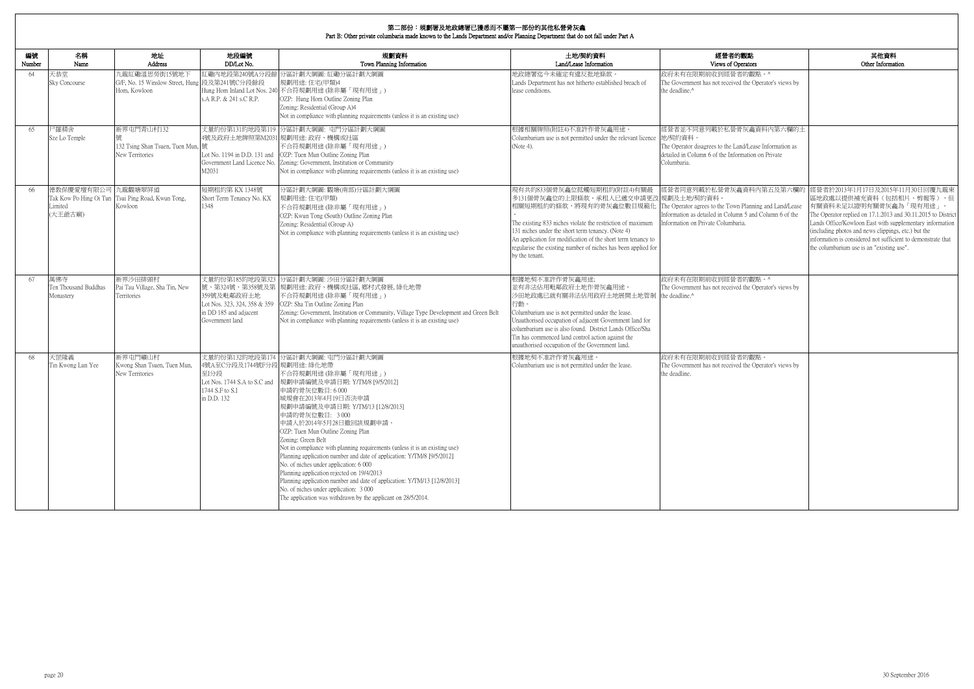| 的觀點                                                                           | 其他資料                                                                                                                                                                                                                                                                                                                                                                                              |
|-------------------------------------------------------------------------------|---------------------------------------------------------------------------------------------------------------------------------------------------------------------------------------------------------------------------------------------------------------------------------------------------------------------------------------------------------------------------------------------------|
| )perators                                                                     | Other Information                                                                                                                                                                                                                                                                                                                                                                                 |
| 者的觀點。^<br>ed the Operator's views by                                          |                                                                                                                                                                                                                                                                                                                                                                                                   |
| 骨灰龕資料內第六欄的土                                                                   |                                                                                                                                                                                                                                                                                                                                                                                                   |
| and/Lease Information as<br>ormation on Private                               |                                                                                                                                                                                                                                                                                                                                                                                                   |
| 龕資料內第五及第六欄的<br>n Planning and Land/Lease<br>mn 5 and Column 6 of the<br>aria. | 經營者於2013年1月17日及2015年11月30日回覆九龍東<br>區地政處以提供補充資料(包括相片、剪報等),但<br>有關資料未足以證明有關骨灰龕為「現有用途」<br>$^{\circ}$<br>The Operator replied on 17.1.2013 and 30.11.2015 to District<br>Lands Office/Kowloon East with supplementary information<br>(including photos and news clippings, etc.) but the<br>information is considered not sufficient to demonstrate that<br>the columbarium use is an "existing use". |
| 者的觀點。^<br>ed the Operator's views by                                          |                                                                                                                                                                                                                                                                                                                                                                                                   |
| 者的觀點。<br>ed the Operator's views by                                           |                                                                                                                                                                                                                                                                                                                                                                                                   |

| 編號<br>Number | 名稱<br>Name                               | 地址<br>Address                                                      | 地段編號<br>DD/Lot No.                                                                                          | 規劃資料<br>Town Planning Information                                                                                                                                                                                                                                                                                                                                                                                                                                                                                                                                                                                                                                                                                     | 土地/契約資料<br>Land/Lease Information                                                                                                                                                                                                                                                                                                                                    | 經營者的觀點<br>Views of Operators                                                                                                                                                        |
|--------------|------------------------------------------|--------------------------------------------------------------------|-------------------------------------------------------------------------------------------------------------|-----------------------------------------------------------------------------------------------------------------------------------------------------------------------------------------------------------------------------------------------------------------------------------------------------------------------------------------------------------------------------------------------------------------------------------------------------------------------------------------------------------------------------------------------------------------------------------------------------------------------------------------------------------------------------------------------------------------------|----------------------------------------------------------------------------------------------------------------------------------------------------------------------------------------------------------------------------------------------------------------------------------------------------------------------------------------------------------------------|-------------------------------------------------------------------------------------------------------------------------------------------------------------------------------------|
| 64           | 天恭堂<br><b>Sky Concourse</b>              | 九龍紅磡溫思勞街15號地下<br>G/F, No. 15 Winslow Street, Hung<br>Hom. Kowloon  | 段及第241號C分段餘段<br>s.A R.P. & 241 s.C R.P.                                                                     | 紅磡內地段第240號A分段餘 分區計劃大綱圖: 紅磡分區計劃大綱圖<br>規劃用途:住宅(甲類)4<br>Hung Hom Inland Lot Nos. 240 不合符規劃用途 (除非屬「現有用途」)<br>OZP: Hung Hom Outline Zoning Plan<br>Zoning: Residential (Group A)4<br>Not in compliance with planning requirements (unless it is an existing use)                                                                                                                                                                                                                                                                                                                                                                                                                                                           | 地政總署迄今未確定有違反批地條款。<br>Lands Department has not hitherto established breach of<br>lease conditions.                                                                                                                                                                                                                                                                    | 政府未有在限期前收到經營者的觀點。^<br>The Government has not received the Operator's views by<br>the deadline.^                                                                                     |
| 65           | 尸羅精舍<br>Sze Lo Temple                    | 新界屯門青山村132<br>132 Tsing Shan Tsuen, Tuen Mun, 號<br>New Territories | Lot No. 1194 in D.D. 131 and<br>M2031                                                                       | 丈量約份第131約地段第119 分區計劃大綱圖: 屯門分區計劃大綱圖<br>4號及政府土地牌照第M2031 規劃用途: 政府、機構或社區<br>不合符規劃用途(除非屬「現有用途」)<br>OZP: Tuen Mun Outline Zoning Plan<br>Government Land Licence No. Zoning: Government, Institution or Community<br>Not in compliance with planning requirements (unless it is an existing use)                                                                                                                                                                                                                                                                                                                                                                                                                            | 根據相關牌照(附註4)不准許作骨灰龕用途<br>Columbarium use is not permitted under the relevant licence 地契約資料。<br>(Note 4).                                                                                                                                                                                                                                                              | 經營者並不同意列載於私營骨灰龕資料內第六欄的土<br>The Operator disagrees to the Land/Lease Information as<br>detailed in Column 6 of the Information on Private<br>Columbaria.                             |
| 66           | 德教保慶愛壇有限公司 九龍觀塘翠屏道<br>Limited<br>(大王爺古廟) | Tak Kow Po Hing Oi Tun Tsui Ping Road, Kwun Tong,<br>Kowloon       | 短期租約第 KX 1348號<br>Short Term Tenancy No. KX<br>1348                                                         | 分區計劃大綱圖:觀塘(南部)分區計劃大綱圖<br>規劃用途: 住宅(甲類)<br>不合符規劃用途(除非屬「現有用途」)<br>OZP: Kwun Tong (South) Outline Zoning Plan<br>Zoning: Residential (Group A)<br>Not in compliance with planning requirements (unless it is an existing use)                                                                                                                                                                                                                                                                                                                                                                                                                                                                                             | 現有共約833個骨灰龕位抵觸短期租約(附註4)有關最<br>多131個骨灰龕位的上限條款。承租人已遞交申請更改 規劃及土地/契約資料。<br>相關短期租約的條款,將現有的骨灰龕位數目規範化<br>The existing 833 niches violate the restriction of maximum<br>131 niches under the short term tenancy. (Note 4)<br>An application for modification of the short term tenancy to<br>regularise the existing number of niches has been applied for<br>by the tenant. | 經營者同意列載於私營骨灰龕資料內第五及第六欄的<br>The Operator agrees to the Town Planning and Land/Lease<br>Information as detailed in Column 5 and Column 6 of the<br>Information on Private Columbaria. |
| 67           | 萬佛寺<br>Ten Thousand Buddhas<br>Monastery | 新界沙田排頭村<br>Pai Tau Village, Sha Tin, New<br>Territories            | 丈量約份第185約地段第323<br>359號及毗鄰政府土地<br>Lot Nos. 323, 324, 358 & 359<br>in DD 185 and adjacent<br>Government land | 分區計劃大綱圖: 沙田分區計劃大綱圖<br>號、第324號、第358號及第 規劃用途: 政府、機構或社區, 鄉村式發展, 綠化地帶<br>不合符規劃用途(除非屬「現有用途」)<br>OZP: Sha Tin Outline Zoning Plan<br>Zoning: Government, Institution or Community, Village Type Development and Green Belt<br>Not in compliance with planning requirements (unless it is an existing use)                                                                                                                                                                                                                                                                                                                                                                                                                   | 根據地契不准許作骨灰龕用途;<br>並有非法佔用毗鄰政府土地作骨灰龕用途。<br>沙田地政處已就有關非法佔用政府土地展開土地管制<br>行動。<br>Columbarium use is not permitted under the lease.<br>Unauthorised occupation of adjacent Government land for<br>columbarium use is also found. District Lands Office/Sha<br>Tin has commenced land control action against the<br>unauthorised occupation of the Government land.          | 政府未有在限期前收到經營者的觀點。^<br>The Government has not received the Operator's views by<br>the deadline.^                                                                                     |
| 68           | 天罡隆義<br>Tin Kwong Lun Yee                | 新界屯門礦山村<br>Kwong Shan Tsuen, Tuen Mun.<br>New Territories          | 4號A至C分段及1744號F分段 規劃用途: 綠化地帶<br>至I分段<br>Lot Nos. 1744 S.A to S.C and<br>1744 S.F to S.I<br>in D.D. 132       | 丈量約份第132約地段第174 分區計劃大綱圖: 屯門分區計劃大綱圖<br>不合符規劃用途(除非屬「現有用途」)<br>規劃申請編號及申請日期: Y/TM/8 [9/5/2012]<br>申請的骨灰位數目: 6 000<br>城規會在2013年4月19日否決申請<br>規劃申請編號及申請日期: Y/TM/13 [12/8/2013]<br>申請的骨灰位數目: 3000<br>申請人於2014年5月28日撤回該規劃申請。<br>OZP: Tuen Mun Outline Zoning Plan<br>Zoning: Green Belt<br>Not in compliance with planning requirements (unless it is an existing use)<br>Planning application number and date of application: Y/TM/8 [9/5/2012]<br>No. of niches under application: 6 000<br>Planning application rejected on 19/4/2013<br>Planning application number and date of application: Y/TM/13 [12/8/2013]<br>No. of niches under application: 3 000<br>The application was withdrawn by the applicant on 28/5/2014. | 根據地契不准許作骨灰龕用途。<br>Columbarium use is not permitted under the lease.                                                                                                                                                                                                                                                                                                  | 政府未有在限期前收到經營者的觀點。<br>The Government has not received the Operator's views by<br>the deadline.                                                                                       |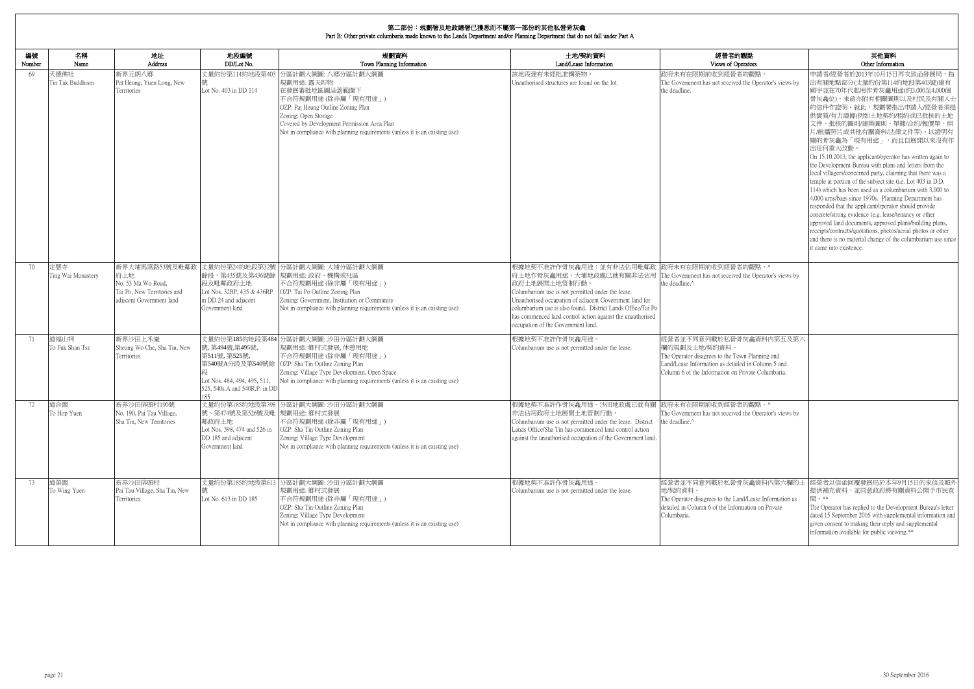| 編號     | 名稱                        | 地址                                                                                                     | 地段編號                                                                                                           | 規劃資料                                                                                                                                                                                                                                                                                | 土地/契約資料                                                                                                                                                                                                                                                                                                                                                                   | 經營者的觀點                                                                                                                                                                                                  | 其他資料                                                                                                                                                                                                                                                                                                                                                                                                                                                                                                                                                                                                                                                                                                                                                                                                                                                                                                                                                                                              |
|--------|---------------------------|--------------------------------------------------------------------------------------------------------|----------------------------------------------------------------------------------------------------------------|-------------------------------------------------------------------------------------------------------------------------------------------------------------------------------------------------------------------------------------------------------------------------------------|---------------------------------------------------------------------------------------------------------------------------------------------------------------------------------------------------------------------------------------------------------------------------------------------------------------------------------------------------------------------------|---------------------------------------------------------------------------------------------------------------------------------------------------------------------------------------------------------|---------------------------------------------------------------------------------------------------------------------------------------------------------------------------------------------------------------------------------------------------------------------------------------------------------------------------------------------------------------------------------------------------------------------------------------------------------------------------------------------------------------------------------------------------------------------------------------------------------------------------------------------------------------------------------------------------------------------------------------------------------------------------------------------------------------------------------------------------------------------------------------------------------------------------------------------------------------------------------------------------|
| Number | Name                      | Address                                                                                                | DD/Lot No.                                                                                                     | Town Planning Information                                                                                                                                                                                                                                                           | Land/Lease Information                                                                                                                                                                                                                                                                                                                                                    | Views of Operators                                                                                                                                                                                      | Other Information                                                                                                                                                                                                                                                                                                                                                                                                                                                                                                                                                                                                                                                                                                                                                                                                                                                                                                                                                                                 |
| 69     | 天德佛社<br>Tin Tak Buddhism  | 新界元朗八鄉<br>Pat Heung, Yuen Long, New<br>Territories                                                     | Lot No. 403 in DD 114                                                                                          | 丈量約份第114約地段第403 分區計劃大綱圖: 八鄉分區計劃大綱圖<br>規劃用途: 露天貯物<br>在發展審批地區圖涵蓋範圍下<br>不合符規劃用途(除非屬「現有用途」)<br>OZP: Pat Heung Outline Zoning Plan<br>Zoning: Open Storage<br>Covered by Development Permission Area Plan<br>Not in compliance with planning requirements (unless it is an existing use) | 該地段建有未經批准構築物<br>Unauthorised structures are found on the lot.                                                                                                                                                                                                                                                                                                             | 政府未有在限期前收到經營者的觀點。<br>The Government has not received the Operator's views by<br>the deadline.                                                                                                           | 申請者/經營者於2013年10月15日再次致函發展局,指<br>出有關地點部分(丈量約份第114約地段第403號)建有<br>廟宇並在70年代起用作骨灰龕用途(約3,000至4,000個<br>骨灰龕位),來函亦附有相關圖則以及村民及有關人士<br>的信件作證明。就此,規劃署指出申請人/經營者須摂<br>供實質/有力證據(例如土地契約/租約或已批核的土地<br>文件、批核的圖則/建築圖則、單據/合約/報價單、照<br>片/航攝照片或其他有關資料/法律文件等),以證明有<br>關的骨灰龕為「現有用途」,而且自展開以來沒有作<br>出任何重大改動<br>On 15.10.2013, the applicant/operator has written again to<br>the Development Bureau with plans and letters from the<br>local villagers/concerned party, claiming that there was a<br>temple at portion of the subject site (i.e. Lot 403 in D.D.<br>114) which has been used as a columbarium with 3,000 to<br>4,000 urns/bags since 1970s. Planning Department has<br>responded that the applicant/operator should provide<br>concrete/strong evidence (e.g. lease/tenancy or other<br>approved land documents, approved plans/building plans,<br>receipts/contracts/quotations, photos/aerial photos or other<br>and there is no material change of the columbarium use since<br>it came into existence. |
| 70     | 定慧寺<br>Ting Wai Monastery | 新界大埔馬窩路53號及毗鄰政<br>府土地<br>No. 53 Ma Wo Road.<br>Tai Po, New Territories and<br>adjacent Government land | 段及毗鄰政府土地<br>Lot Nos. 32RP, 435 & 436RP<br>in DD 24 and adjacent<br>Government land                             | 丈量約份第24約地段第32號 分區計劃大綱圖: 大埔分區計劃大綱圖<br>餘段、第435號及第436號餘 規劃用途: 政府、機構或社區<br>不合符規劃用途(除非屬「現有用途」)<br>OZP: Tai Po Outline Zoning Plan<br>Zoning: Government, Institution or Community<br>Not in compliance with planning requirements (unless it is an existing use)                         | 根據地契不准許作骨灰龕用途;並有非法佔用毗鄰政 政府未有在限期前收到經營者的觀點。^<br>府土地作骨灰龕用途。大埔地政處已就有關非法佔用<br>政府土地展開土地管制行動。<br>Columbarium use is not permitted under the lease.<br>Unauthorised occupation of adjacent Government land for<br>columbarium use is also found. District Lands Office/Tai Po<br>has commenced land control action against the unauthorised<br>occupation of the Government land. | The Government has not received the Operator's views by<br>he deadline. <sup>^</sup>                                                                                                                    |                                                                                                                                                                                                                                                                                                                                                                                                                                                                                                                                                                                                                                                                                                                                                                                                                                                                                                                                                                                                   |
| 71     | 道福山祠<br>To Fuk Shan Tsz   | 新界沙田上禾輋<br>Sheung Wo Che, Sha Tin, New<br>Territories                                                  | 號,第494號,第495號,<br>第511號, 第525號,<br>Lot Nos. 484, 494, 495, 511,<br>525, 540s.A and 540R.P. in DD<br>185        | 丈量約份第185約地段第484 分區計劃大綱圖: 沙田分區計劃大綱圖<br> 規劃用途: 鄉村式發展, 休憩用地<br>不合符規劃用途(除非屬「現有用途」)<br>第540號A分段及第540號餘 OZP: Sha Tin Outline Zoning Plan<br>Zoning: Village Type Development, Open Space<br>Not in compliance with planning requirements (unless it is an existing use)                   | 根據地契不准許作骨灰龕用途。<br>Columbarium use is not permitted under the lease.                                                                                                                                                                                                                                                                                                       | 經營者並不同意列載於私營骨灰龕資料內第五及第六<br>欄的規劃及土地/契約資料。<br>The Operator disagrees to the Town Planning and<br>Land/Lease Information as detailed in Column 5 and<br>Column 6 of the Information on Private Columbaria. |                                                                                                                                                                                                                                                                                                                                                                                                                                                                                                                                                                                                                                                                                                                                                                                                                                                                                                                                                                                                   |
| 72     | 道合園<br>To Hop Yuen        | 新界沙田排頭村190號<br>No. 190, Pai Tau Village,<br>Sha Tin, New Territories                                   | 號、第474號及第526號及毗 規劃用途: 鄉村式發展<br>鄰政府土地<br>Lot Nos. 398, 474 and 526 in<br>DD 185 and adjacent<br>Government land | 丈量約份第185約地段第398 分區計劃大綱圖: 沙田分區計劃大綱圖<br>不合符規劃用途(除非屬「現有用途」)<br>OZP: Sha Tin Outline Zoning Plan<br>Zoning: Village Type Development<br>Not in compliance with planning requirements (unless it is an existing use)                                                                     | 根據地契不准許作骨灰龕用途。沙田地政處已就有關 政府未有在限期前收到經營者的觀點。^<br>非法佔用政府土地展開土地管制行動<br>Columbarium use is not permitted under the lease. District<br>Lands Office/Sha Tin has commenced land control action<br>against the unauthorised occupation of the Government land.                                                                                                                     | The Government has not received the Operator's views by<br>the deadline. <sup>^</sup>                                                                                                                   |                                                                                                                                                                                                                                                                                                                                                                                                                                                                                                                                                                                                                                                                                                                                                                                                                                                                                                                                                                                                   |
| 73     | 道榮園<br>To Wing Yuen       | 新界沙田排頭村<br>Pai Tau Village, Sha Tin, New<br>Territories                                                | Lot No. 613 in DD 185                                                                                          | 丈量約份第185約地段第613 分區計劃大綱圖: 沙田分區計劃大綱圖<br>規劃用途: 鄉村式發展<br>不合符規劃用途(除非屬「現有用途」)<br>OZP: Sha Tin Outline Zoning Plan<br>Zoning: Village Type Development<br>Not in compliance with planning requirements (unless it is an existing use)                                                      | 根據地契不准許作骨灰龕用途。<br>Columbarium use is not permitted under the lease.                                                                                                                                                                                                                                                                                                       | 地/契約資料。<br>The Operator disagrees to the Land/Lease Information as<br>detailed in Column 6 of the Information on Private<br>Columbaria.                                                                 | 經營者並不同意列載於私營骨灰龕資料內第六欄的土  經營者以信函回覆發展局於本年9月15日的來信及額外<br>提供補充資料,並同意政府將有關資料公開予市民查<br>閣 。**<br>The Operator has replied to the Development Bureau's letter<br>dated 15 September 2016 with supplemental information and<br>given consent to making their reply and supplemental<br>information available for public viewing.**                                                                                                                                                                                                                                                                                                                                                                                                                                                                                                                                                                                                                                                                         |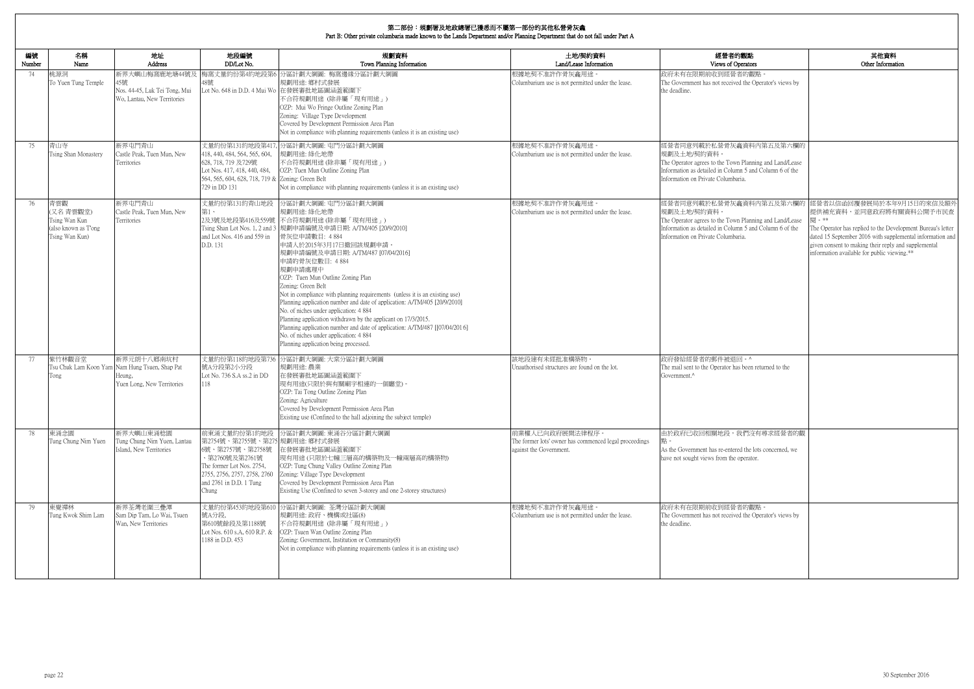| <b>内観點</b>                 | 其他資料                                                                                                              |
|----------------------------|-------------------------------------------------------------------------------------------------------------------|
| perators                   | Other Information                                                                                                 |
| 者的觀點。                      |                                                                                                                   |
| ed the Operator's views by |                                                                                                                   |
|                            |                                                                                                                   |
|                            |                                                                                                                   |
|                            |                                                                                                                   |
|                            |                                                                                                                   |
|                            |                                                                                                                   |
| 龕資料內第五及第六欄的                |                                                                                                                   |
| n Planning and Land/Lease  |                                                                                                                   |
| nn 5 and Column 6 of the   |                                                                                                                   |
| aria.                      |                                                                                                                   |
|                            |                                                                                                                   |
| 龕資料內第五及第六欄的                | 經營者以信函回覆發展局於本年9月15日的來信及額外<br>提供補充資料,並同意政府將有關資料公開予市民查                                                              |
| n Planning and Land/Lease  | 閱。**                                                                                                              |
| nn 5 and Column 6 of the   | The Operator has replied to the Development Bureau's letter                                                       |
| aria.                      | dated 15 September 2016 with supplemental information and<br>given consent to making their reply and supplemental |
|                            | information available for public viewing.**                                                                       |
|                            |                                                                                                                   |
|                            |                                                                                                                   |
|                            |                                                                                                                   |
|                            |                                                                                                                   |
|                            |                                                                                                                   |
|                            |                                                                                                                   |
|                            |                                                                                                                   |
|                            |                                                                                                                   |
| □ 。 ^                      |                                                                                                                   |
| as been returned to the    |                                                                                                                   |
|                            |                                                                                                                   |
|                            |                                                                                                                   |
|                            |                                                                                                                   |
|                            |                                                                                                                   |
|                            |                                                                                                                   |
| 我們沒有尋求經營者的觀                |                                                                                                                   |
| ed the lots concerned, we  |                                                                                                                   |
| operator.                  |                                                                                                                   |
|                            |                                                                                                                   |
|                            |                                                                                                                   |
|                            |                                                                                                                   |
| 者的觀點。                      |                                                                                                                   |
| ed the Operator's views by |                                                                                                                   |
|                            |                                                                                                                   |
|                            |                                                                                                                   |
|                            |                                                                                                                   |
|                            |                                                                                                                   |
|                            |                                                                                                                   |

| 編號<br>Number | 名稱<br>Name                                                                 | 地址<br>Address                                                                                        | 地段編號<br>DD/Lot No.                                                                                                                                                    | 規劃資料<br>Town Planning Information                                                                                                                                                                                                                                                                                                                                                                                                                                                                                                                                                                                                                                                                                                                              | 土地/契約資料<br>Land/Lease Information                                                                    | 經營者的觀點<br>Views of Operators                                                                                                                                                                       |
|--------------|----------------------------------------------------------------------------|------------------------------------------------------------------------------------------------------|-----------------------------------------------------------------------------------------------------------------------------------------------------------------------|----------------------------------------------------------------------------------------------------------------------------------------------------------------------------------------------------------------------------------------------------------------------------------------------------------------------------------------------------------------------------------------------------------------------------------------------------------------------------------------------------------------------------------------------------------------------------------------------------------------------------------------------------------------------------------------------------------------------------------------------------------------|------------------------------------------------------------------------------------------------------|----------------------------------------------------------------------------------------------------------------------------------------------------------------------------------------------------|
| 74           | 桃源洞<br>To Yuen Tung Temple                                                 | 新界大嶼山梅窩鹿地塘44號及<br>45號<br>Nos. 44-45, Luk Tei Tong, Mui<br>Wo, Lantau, New Territories                | 48號                                                                                                                                                                   | 梅窩丈量約份第4約地段第6 分區計劃大綱圖: 梅窩邊緣分區計劃大綱圖<br>規劃用途: 鄉村式發展<br>Lot No. 648 in D.D. 4 Mui Wo 在發展審批地區圖涵蓋範圍下<br>不合符規劃用途 (除非屬「現有用途」)<br>OZP: Mui Wo Fringe Outline Zoning Plan<br>Zoning: Village Type Development<br>Covered by Development Permission Area Plan<br>Not in compliance with planning requirements (unless it is an existing use)                                                                                                                                                                                                                                                                                                                                                                                                                             | 根據地契不准許作骨灰龕用途<br>Columbarium use is not permitted under the lease.                                   | 政府未有在限期前收到經營者的觀點<br>The Government has not received the Operator's views by<br>the deadline.                                                                                                       |
| 75           | 青山寺<br>Tsing Shan Monastery                                                | 新界屯門青山<br>Castle Peak, Tuen Mun, New<br>Territories                                                  | 418, 440, 484, 564, 565, 604,<br>628, 718, 719 及729號<br>Lot Nos. 417, 418, 440, 484,<br>564, 565, 604, 628, 718, 719 & Zoning: Green Belt<br>729 in DD 131            | 丈量約份第131約地段第417, 分區計劃大綱圖: 屯門分區計劃大綱圖<br>規劃用途: 綠化地帶<br>不合符規劃用途(除非屬「現有用途」)<br>OZP: Tuen Mun Outline Zoning Plan<br>Not in compliance with planning requirements (unless it is an existing use)                                                                                                                                                                                                                                                                                                                                                                                                                                                                                                                                                                    | 根據地契不准許作骨灰龕用途<br>Columbarium use is not permitted under the lease.                                   | 經營者同意列載於私營骨灰龕資料內第五及第六欄的<br>規劃及土地/契約資料。<br>The Operator agrees to the Town Planning and Land/Lease<br>Information as detailed in Column 5 and Column 6 of the<br>Information on Private Columbaria. |
| 76           | 青雲觀<br>(又名青雲觀堂)<br>Tsing Wan Kun<br>(also known as T'ong<br>Tsing Wan Kun) | 新界屯門青山<br>Castle Peak, Tuen Mun, New<br>Territories                                                  | 丈量約份第131約青山地段<br>第1、<br>and Lot Nos. 416 and 559 in<br>D.D. 131                                                                                                       | 分區計劃大綱圖: 屯門分區計劃大綱圖<br>規劃用途: 綠化地帶<br>2及3號及地段第416及559號 不合符規劃用途(除非屬「現有用途」)<br>Tsing Shan Lot Nos. 1, 2 and 3  規劃申請編號及申請日期: A/TM/405 [20/9/2010]<br>骨灰位申請數目: 4884<br>申請人於2015年3月17日撤回該規劃申請。<br>規劃申請編號及申請日期: A/TM/487 [07/04/2016]<br>申請的骨灰位數目: 4884<br>規劃申請處理中<br>OZP: Tuen Mun Outline Zoning Plan<br>Zoning: Green Belt<br>Not in compliance with planning requirements (unless it is an existing use)<br>Planning application number and date of application: A/TM/405 [20/9/2010]<br>No. of niches under application: 4 884<br>Planning application withdrawn by the applicant on 17/3/2015.<br>Planning application number and date of application: A/TM/487 [[07/04/2016]<br>No. of niches under application: 4 884<br>Planning application being processed. | 根據地契不准許作骨灰龕用途。<br>Columbarium use is not permitted under the lease.                                  | 經營者同意列載於私營骨灰龕資料內第五及第六欄的<br>規劃及土地/契約資料。<br>The Operator agrees to the Town Planning and Land/Lease<br>Information as detailed in Column 5 and Column 6 of the<br>Information on Private Columbaria. |
| 77           | 紫竹林觀音堂<br>Tong                                                             | 新界元朗十八鄉南坑村<br>Tsu Chuk Lam Koon Yam Nam Hung Tsuen, Shap Pat<br>Heung.<br>Yuen Long, New Territories | 號A分段第2小分段<br>Lot No. 736 S.A ss.2 in DD<br>118                                                                                                                        | 丈量約份第118約地段第736 分區計劃大綱圖: 大棠分區計劃大綱圖<br>規劃用途:農業<br>在發展審批地區圖涵蓋範圍下<br>現有用途(只限於與有關廟宇相連的一個廳堂)。<br>OZP: Tai Tong Outline Zoning Plan<br>Zoning: Agriculture<br>Covered by Development Permission Area Plan<br>Existing use (Confined to the hall adjoining the subject temple)                                                                                                                                                                                                                                                                                                                                                                                                                                                                                        | 該地段建有未經批准構築物。<br>Unauthorised structures are found on the lot.                                       | 政府發給經營者的郵件被退回。^<br>The mail sent to the Operator has been returned to the<br>Government.^                                                                                                          |
| 78           | 東涌念園<br>Tung Chung Nim Yuen                                                | 新界大嶼山東涌稔園<br>Tung Chung Nim Yuen, Lantau<br>Island, New Territories                                  | 第2754號、第2755號、第275 規劃用途: 鄉村式發展<br>6號、第2757號、第2758號<br>、第2760號及第2761號<br>The former Lot Nos. 2754,<br>2755, 2756, 2757, 2758, 2760<br>and 2761 in D.D. 1 Tung<br>Chung | 前東涌丈量約份第1約地段 分區計劃大綱圖: 東涌谷分區計劃大綱圖<br>在發展審批地區圖涵蓋範圍下<br> 現有用途(只限於七幢三層高的構築物及一幢兩層高的構築物)<br>OZP: Tung Chung Valley Outline Zoning Plan<br>Zoning: Village Type Development<br>Covered by Development Permission Area Plan<br>Existing Use (Confined to seven 3-storey and one 2-storey structures)                                                                                                                                                                                                                                                                                                                                                                                                                                                                   | 前業權人已向政府展開法律程序。<br>The former lots' owner has commenced legal proceedings<br>against the Government. | 由於政府已收回相關地段,我們沒有尋求經營者的觀<br>As the Government has re-entered the lots concerned, we<br>have not sought views from the operator.                                                                     |
| 79           | 東覺禪林<br>Tung Kwok Shim Lam                                                 | 新界荃灣老圍三疊潭<br>Sam Dip Tam, Lo Wai, Tsuen<br>Wan, New Territories                                      | 號A分段,<br>第610號餘段及第1188號<br>Lot Nos. 610 s.A, 610 R.P. &<br>1188 in D.D. 453                                                                                           | 丈量約份第453約地段第610 分區計劃大綱圖: 荃灣分區計劃大綱圖<br>規劃用途: 政府、機構或社區(8)<br>不合符規劃用途 (除非屬「現有用途」)<br>OZP: Tsuen Wan Outline Zoning Plan<br>Zoning: Government, Institution or Community(8)<br>Not in compliance with planning requirements (unless it is an existing use)                                                                                                                                                                                                                                                                                                                                                                                                                                                                                                         | 根據地契不准許作骨灰龕用途。<br>Columbarium use is not permitted under the lease.                                  | 政府未有在限期前收到經營者的觀點。<br>The Government has not received the Operator's views by<br>the deadline.                                                                                                      |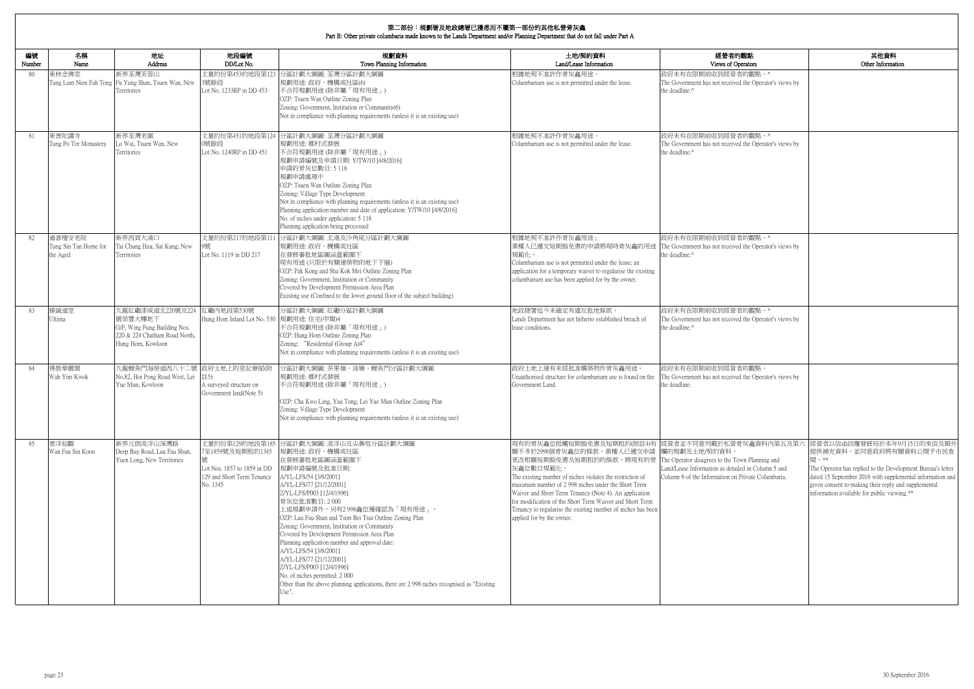| 編號     | 名稱                                          | 地址                                                                                                                | 地段編號                                                                                                         | 規劃資料                                                                                                                                                                                                                                                                                                                                                                                                                                                                                                                                                                                                                                                   | 土地/契約資料                                                                                                                                                                                                                                                                                                                                                                                                                                                                                                                         | 經營者的觀點                                                                                                   |
|--------|---------------------------------------------|-------------------------------------------------------------------------------------------------------------------|--------------------------------------------------------------------------------------------------------------|--------------------------------------------------------------------------------------------------------------------------------------------------------------------------------------------------------------------------------------------------------------------------------------------------------------------------------------------------------------------------------------------------------------------------------------------------------------------------------------------------------------------------------------------------------------------------------------------------------------------------------------------------------|---------------------------------------------------------------------------------------------------------------------------------------------------------------------------------------------------------------------------------------------------------------------------------------------------------------------------------------------------------------------------------------------------------------------------------------------------------------------------------------------------------------------------------|----------------------------------------------------------------------------------------------------------|
| Number | Name                                        | <b>Address</b>                                                                                                    | DD/Lot No.                                                                                                   | Town Planning Information                                                                                                                                                                                                                                                                                                                                                                                                                                                                                                                                                                                                                              | Land/Lease Information                                                                                                                                                                                                                                                                                                                                                                                                                                                                                                          | Views of Operators<br>政府未有在限期前收到經營者的觀點。^                                                                 |
| 80     | 東林念佛堂<br>Tung Lum Nien Fah Tong             | 新界荃灣芙蓉山<br>Fu Yung Shan, Tsuen Wan, New<br>Territories                                                            | 3號餘段<br>Lot No. 1233RP in DD 453                                                                             | 丈量約份第453約地段第123 分區計劃大綱圖: 荃灣分區計劃大綱圖<br>規劃用途: 政府、機構或社區(6)<br>不合符規劃用途 (除非屬「現有用途」)<br>OZP: Tsuen Wan Outline Zoning Plan<br>Zoning: Government, Institution or Community(6)<br>Not in compliance with planning requirements (unless it is an existing use)                                                                                                                                                                                                                                                                                                                                                                                                 | 根據地契不准許作骨灰龕用途<br>Columbarium use is not permitted under the lease.                                                                                                                                                                                                                                                                                                                                                                                                                                                              | The Government has not received the Operator's views by<br>the deadline.^                                |
| 81     | 東普陀講寺<br>Tung Po Tor Monastery              | 新界荃灣老圍<br>Lo Wai, Tsuen Wan, New<br>Territories                                                                   | 丈量約份第451約地段第124<br>0號餘段<br>Lot No. 1240RP in DD 451                                                          | 分區計劃大綱圖: 荃灣分區計劃大綱圖<br>規劃用途: 鄉村式發展<br>不合符規劃用途(除非屬「現有用途」)<br>規劃申請編號及申請日期: Y/TW/10 [4/8/2016]<br>申請的骨灰位數目: 5 118<br>規劃申請處理中<br>OZP: Tsuen Wan Outline Zoning Plan<br>Zoning: Village Type Development<br>Not in compliance with planning requirements (unless it is an existing use)<br>Planning application number and date of application: Y/TW/10 [4/8/2016]<br>No. of niches under application: 5 118<br>Planning application being processed                                                                                                                                                                                                         | 根據地契不准許作骨灰龕用途。<br>Columbarium use is not permitted under the lease.                                                                                                                                                                                                                                                                                                                                                                                                                                                             | 政府未有在限期前收到經營者的觀點。^<br>The Government has not received the Operator's views by<br>the deadline.^          |
| 82     | 通善壇安老院<br>Tung Sin Tan Home for<br>the Aged | 新界西貢大涌口<br>Tai Chung Hau, Sai Kung, New<br>Territories                                                            | 丈量約份第217約地段第11<br>Lot No. 1119 in DD 217                                                                     | 分區計劃大綱圖: 北港及沙角尾分區計劃大綱圖<br>規劃用途: 政府、機構或社區<br>在發展審批地區圖涵蓋範圍下<br>現有用途(只限於有關建築物的地下下層)<br>OZP: Pak Kong and Sha Kok Mei Outline Zoning Plan<br>Zoning: Government, Institution or Community<br>Covered by Development Permission Area Plan<br>Existing use (Confined to the lower ground floor of the subject building)                                                                                                                                                                                                                                                                                                                                      | 根據地契不准許作骨灰龕用途;<br>業權人已遞交短期豁免書的申請將現時骨灰龕的用途<br>規範化。<br>Columbarium use is not permitted under the lease; an<br>application for a temporary waiver to regularise the existing<br>columbarium use has been applied for by the owner.                                                                                                                                                                                                                                                                                                | 政府未有在限期前收到經營者的觀點。^<br>The Government has not received the Operator's views by<br>the deadline.^          |
| 83     | 臻誠道堂<br>Ultima                              | 九龍紅磡漆咸道北220號及224<br>號榮豐大樓地下<br>G/F, Wing Fung Building Nos.<br>220 & 224 Chatham Road North,<br>Hung Hom, Kowloon | 紅磡內地段第530號<br>Hung Hom Inland Lot No. 530 規劃用途: 住宅(甲類)4                                                      | 分區計劃大綱圖:紅磡分區計劃大綱圖<br>不合符規劃用途(除非屬「現有用途」)<br>OZP: Hung Hom Outline Zoning Plan<br>Zoning: "Residential (Group A)4"<br>Not in compliance with planning requirements (unless it is an existing use)                                                                                                                                                                                                                                                                                                                                                                                                                                                        | 地政總署迄今未確定有違反批地條款。<br>Lands Department has not hitherto established breach of<br>lease conditions.                                                                                                                                                                                                                                                                                                                                                                                                                               | 政府未有在限期前收到經營者的觀點。^<br>The Government has not received the Operator's views by<br>the deadline.^          |
| 84     | 佛教華嚴閣<br>Wah Yim Kwok                       | 九龍鯉魚門海傍道西八十二號 政府土地上的登記寮屋(附<br>No.82, Hoi Pong Road West, Lei<br>Yue Mun, Kowloon                                  | 注5)<br>A surveyed structure on<br>Government land(Note 5)                                                    | 分區計劃大綱圖:茶果嶺、油塘、鯉魚門分區計劃大綱圖<br>規劃用途: 鄉村式發展<br>不合符規劃用途(除非屬「現有用途」)<br>OZP: Cha Kwo Ling, Yau Tong, Lei Yue Mun Outline Zoning Plan<br>Zoning: Village Type Development<br>Not in compliance with planning requirements (unless it is an existing use)                                                                                                                                                                                                                                                                                                                                                                                                      | 政府土地上建有未經批准構築物作骨灰龕用途。<br>Unauthorised structure for columbarium use is found on the<br>Government Land.                                                                                                                                                                                                                                                                                                                                                                                                                         | 政府未有在限期前收到經營者的觀點。<br>The Government has not received the Operator's views by<br>the deadline.            |
| 85     | 雲浮仙觀<br>Wan Fau Sin Koon                    | 新界元朗流浮山深灣路<br>Deep Bay Road, Lau Fau Shan,<br>Yuen Long, New Territories                                          | 丈量約份第129約地段第185<br>7至1859號及短期租約1345<br>Lot Nos. 1857 to 1859 in DD<br>129 and Short Term Tenancy<br>No. 1345 | 分區計劃大綱圖: 流浮山及尖鼻咀分區計劃大綱圖<br>規劃用途: 政府、機構或社區<br>在發展審批地區圖涵蓋範圍下<br>規劃申請編號及批准日期:<br>A/YL-LFS/54 [3/8/2001]<br>A/YL-LFS/77 [21/12/2001]<br>Z/YL-LFS/P003 [12/4/1996]<br>骨灰位批准數目: 2000<br>上述規劃申請外,另有2 998龕位獲確認為「現有用途」。<br>OZP: Lau Fau Shan and Tsim Bei Tsui Outline Zoning Plan<br>Zoning: Government, Institution or Community<br>Covered by Development Permission Area Plan<br>Planning application number and approval date:<br>A/YL-LFS/54 [3/8/2001]<br>A/YL-LFS/77 [21/12/2001]<br>Z/YL-LFS/P003 [12/4/1996]<br>No. of niches permitted: 2000<br>Other than the above planning applications, there are 2 998 niches recognised as "Existing"<br>Use". | 現有的骨灰龕位抵觸短期豁免書及短期租約(附註4)有  經營者並不同意列載於私營骨灰龕資料內第五及第六<br>關不多於2998個骨灰龕位的條款。業權人已遞交申請 欄的規劃及土地/契約資料。<br> 更改相關短期豁免書及短期租約的條款,將現有的骨   The Operator disagrees to the Town Planning and<br>灰龕位數目規範化。<br>The existing number of niches violates the restriction of<br>maximum number of 2 998 niches under the Short Term<br>Waiver and Short Term Tenancy (Note 4). An application<br>for modification of the Short Term Waiver and Short Term<br>Tenancy to regularise the existing number of niches has been<br>applied for by the owner. | Land/Lease Information as detailed in Column 5 and<br>Column 6 of the Information on Private Columbaria. |

| 的觀點<br>) perators                                                                 | 其他資料<br>Other Information                                                                                                                                                                                                                                                                       |
|-----------------------------------------------------------------------------------|-------------------------------------------------------------------------------------------------------------------------------------------------------------------------------------------------------------------------------------------------------------------------------------------------|
| 者的觀點。^<br>ed the Operator's views by                                              |                                                                                                                                                                                                                                                                                                 |
| 者的觀點。^<br>ed the Operator's views by                                              |                                                                                                                                                                                                                                                                                                 |
| 者的觀點。^<br>ed the Operator's views by                                              |                                                                                                                                                                                                                                                                                                 |
| 者的觀點。^<br>ed the Operator's views by                                              |                                                                                                                                                                                                                                                                                                 |
| 者的觀點。<br>ed the Operator's views by                                               |                                                                                                                                                                                                                                                                                                 |
| 骨灰龕資料内第五及第六<br>'own Planning and<br>iled in Column 5 and<br>1 Private Columbaria. | 經營者以信函回覆發展局於本年9月15日的來信及額外<br>提供補充資料,並同意政府將有關資料公開予市民查<br>関。**<br>The Operator has replied to the Development Bureau's letter<br>dated 15 September 2016 with supplemental information and<br>given consent to making their reply and supplemental<br>information available for public viewing.** |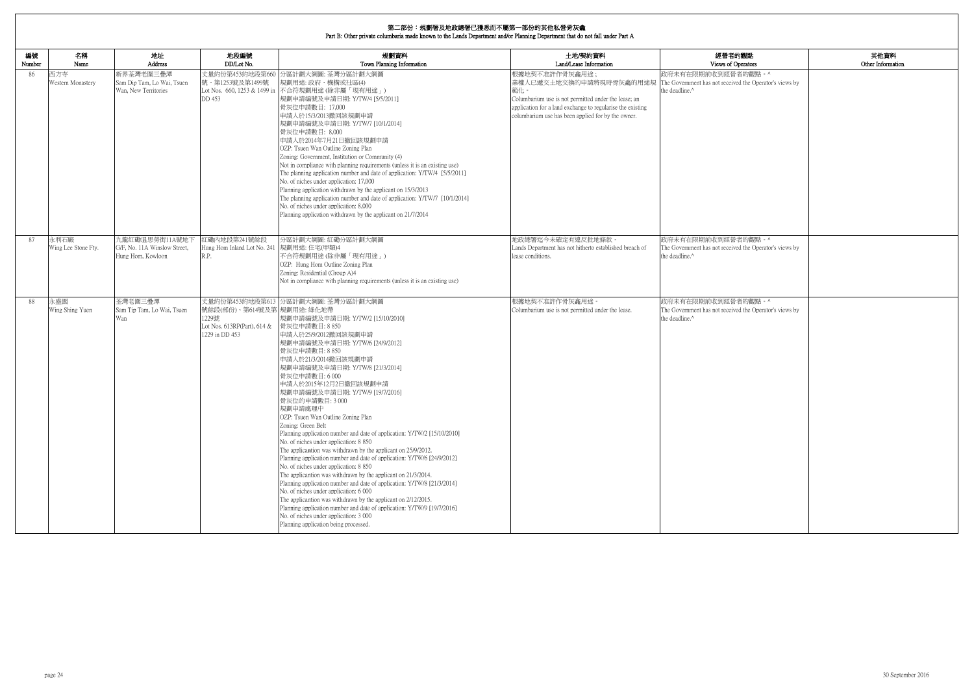| 的觀點<br><b>perators</b>               | 其他資料<br>Other Information |
|--------------------------------------|---------------------------|
| 者的觀點。^<br>ed the Operator's views by |                           |
|                                      |                           |
|                                      |                           |
| 者的觀點。^                               |                           |
| ed the Operator's views by           |                           |
| 者的觀點。^<br>ed the Operator's views by |                           |
|                                      |                           |
|                                      |                           |
|                                      |                           |
|                                      |                           |
|                                      |                           |
|                                      |                           |
|                                      |                           |

| 編號<br>Number | 名稱<br>Name                  | 地址<br>Address                                                       | 地段編號<br>DD/Lot No.                                                                   | 規劃資料<br>Town Planning Information                                                                                                                                                                                                                                                                                                                                                                                                                                                                                                                                                                                                                                                                                                                                                                                                                                                                                                                                                                                                                                                                                                          | 土地/契約資料<br>Land/Lease Information                                                                                                                                                                                            | 經營者的觀點<br>Views of Operators                                                                    |
|--------------|-----------------------------|---------------------------------------------------------------------|--------------------------------------------------------------------------------------|--------------------------------------------------------------------------------------------------------------------------------------------------------------------------------------------------------------------------------------------------------------------------------------------------------------------------------------------------------------------------------------------------------------------------------------------------------------------------------------------------------------------------------------------------------------------------------------------------------------------------------------------------------------------------------------------------------------------------------------------------------------------------------------------------------------------------------------------------------------------------------------------------------------------------------------------------------------------------------------------------------------------------------------------------------------------------------------------------------------------------------------------|------------------------------------------------------------------------------------------------------------------------------------------------------------------------------------------------------------------------------|-------------------------------------------------------------------------------------------------|
| 86           | 西方寺<br>Western Monastery    | 新界荃灣老圍三疊潭<br>Sam Dip Tam, Lo Wai, Tsuen<br>Wan, New Territories     | 丈量約份第453約地段第660<br>號、第1253號及第1499號<br>DD 453                                         | 分區計劃大綱圖: 荃灣分區計劃大綱圖<br>規劃用途: 政府、機構或社區(4)<br>Lot Nos. 660, 1253 & 1499 in 不合符規劃用途 (除非屬「現有用途」)<br>規劃申請編號及申請日期: Y/TW/4 [5/5/2011]<br>骨灰位申請數目: 17,000<br>申請人於15/3/2013撤回該規劃申請<br>規劃申請編號及申請日期: Y/TW/7 [10/1/2014]<br>骨灰位申請數目: 8,000<br>申請人於2014年7月21日撤回該規劃申請<br>OZP: Tsuen Wan Outline Zoning Plan<br>Zoning: Government, Institution or Community (4)<br>Not in compliance with planning requirements (unless it is an existing use)<br>The planning application number and date of application: Y/TW/4 [5/5/2011]<br>No. of niches under application: 17,000<br>Planning application withdrawn by the applicant on 15/3/2013<br>The planning application number and date of application: Y/TW/7 [10/1/2014]<br>No. of niches under application: 8,000<br>Planning application withdrawn by the applicant on 21/7/2014                                                                                                                                                                                                                                                                                                                          | 根據地契不准許作骨灰龕用途;<br>業權人已遞交土地交換的申請將現時骨灰龕的用途規<br>範化。<br>Columbarium use is not permitted under the lease; an<br>application for a land exchange to regularise the existing<br>columbarium use has been applied for by the owner. | 政府未有在限期前收到經營者的觀點。^<br>The Government has not received the Operator's views by<br>the deadline.^ |
| 87           | 永利石廠<br>Wing Lee Stone Fty. | 九龍紅磡温思勞街11A號地T<br>G/F, No. 11A Winslow Street,<br>Hung Hom, Kowloon | 紅磡內地段第241號餘段<br>Hung Hom Inland Lot No. 241 規劃用途: 住宅(甲類)4<br>R.P.                    | 分區計劃大綱圖:紅磡分區計劃大綱圖<br>不合符規劃用途(除非屬「現有用途」)<br>OZP: Hung Hom Outline Zoning Plan<br>Zoning: Residential (Group A)4<br>Not in compliance with planning requirements (unless it is an existing use)                                                                                                                                                                                                                                                                                                                                                                                                                                                                                                                                                                                                                                                                                                                                                                                                                                                                                                                                              | 地政總署迄今未確定有違反批地條款。<br>Lands Department has not hitherto established breach of<br>lease conditions.                                                                                                                            | 政府未有在限期前收到經營者的觀點。^<br>The Government has not received the Operator's views by<br>the deadline.^ |
| 88           | 永盛園<br>Wing Shing Yuen      | 荃灣老圍三疊潭<br>Sam Tip Tam, Lo Wai, Tsuen<br>Wan                        | 號餘段(部份)、第614號及第 規劃用途: 綠化地帶<br>1229號<br>Lot Nos. 613RP(Part), 614 &<br>1229 in DD 453 | 丈量約份第453約地段第613 分區計劃大綱圖: 荃灣分區計劃大綱圖<br> 規劃申請編號及申請日期: Y/TW/2 [15/10/2010]<br>骨灰位申請數目: 8850<br>申請人於25/9/2012撤回該規劃申請<br>規劃申請編號及申請日期: Y/TW/6 [24/9/2012]<br>骨灰位申請數目: 8 850<br>申請人於21/3/2014撤回該規劃申請<br> 規劃申請編號及申請日期: Y/TW/8 [21/3/2014]<br>骨灰位申請數目:6000<br>申請人於2015年12月2日撤回該規劃申請<br> 規劃申請編號及申請日期: Y/TW/9 [19/7/2016] <br>骨灰位的申請數目: 3 000<br>規劃申請處理中<br>OZP: Tsuen Wan Outline Zoning Plan<br>Zoning: Green Belt<br>Planning application number and date of application: Y/TW/2 [15/10/2010]<br>No. of niches under application: 8 850<br>The applicantion was withdrawn by the applicant on 25/9/2012.<br>Planning application number and date of application: Y/TW/6 [24/9/2012]<br>No. of niches under application: 8 850<br>The applicantion was withdrawn by the applicant on 21/3/2014.<br>Planning application number and date of application: Y/TW/8 [21/3/2014]<br>No. of niches under application: 6 000<br>The applicantion was withdrawn by the applicant on 2/12/2015.<br>Planning application number and date of application: Y/TW/9 [19/7/2016]<br>No. of niches under application: 3 000<br>Planning application being processed. | 根據地契不准許作骨灰龕用途。<br>Columbarium use is not permitted under the lease.                                                                                                                                                          | 政府未有在限期前收到經營者的觀點。^<br>The Government has not received the Operator's views by<br>the deadline.^ |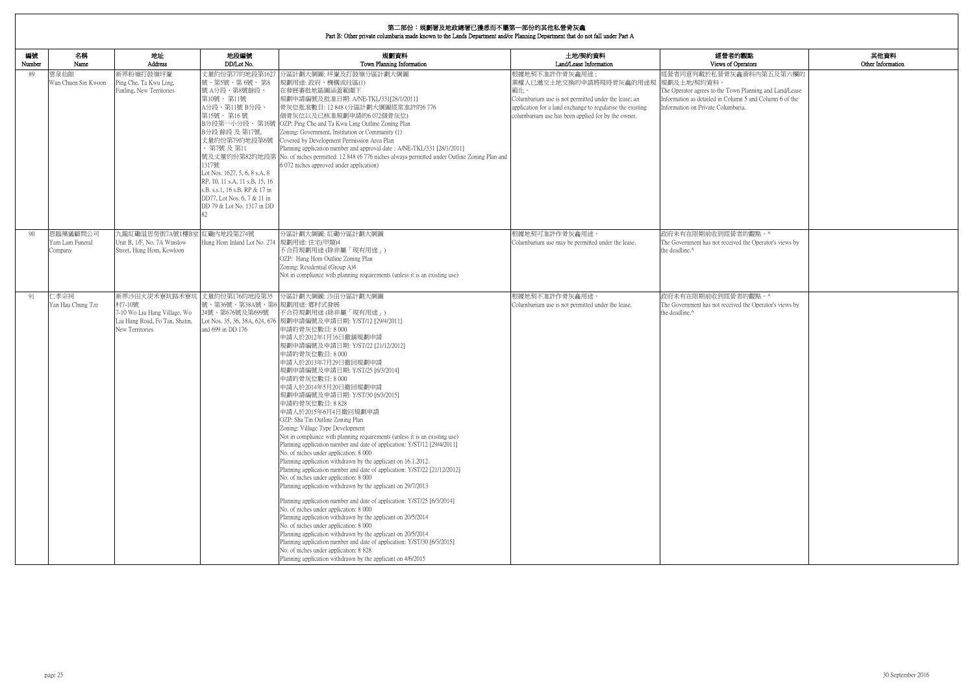| 的觀點<br>perators                                                | 其他資料<br>Other Information |
|----------------------------------------------------------------|---------------------------|
| 龕資料內第五及第六欄的                                                    |                           |
| n Planning and Land/Lease<br>mn 5 and Column 6 of the<br>aria. |                           |
|                                                                |                           |
|                                                                |                           |
|                                                                |                           |
| 者的觀點。^                                                         |                           |
| ed the Operator's views by                                     |                           |
|                                                                |                           |
| 者的觀點。^<br>ed the Operator's views by                           |                           |
|                                                                |                           |
|                                                                |                           |
|                                                                |                           |
|                                                                |                           |
|                                                                |                           |
|                                                                |                           |
|                                                                |                           |
|                                                                |                           |
|                                                                |                           |
|                                                                |                           |

| 編號<br>Number | 名稱<br>Name                             | 地址<br>Address                                                                                                               | 地段編號<br>DD/Lot No.                                                                                                                                                                                                                                                                                 | 規劃資料<br>Town Planning Information                                                                                                                                                                                                                                                                                                                                                                                                                                                                                                                                                                                                                                                                                                                                                                                                                                                                                                                                                                                                                                                                                                                                                                                                                                                                                                                                                                                    | 土地/契約資料<br>Land/Lease Information                                                                                                                                                                                                         | 經營者的觀點<br>Views of Operators                                                                                                                                                        |
|--------------|----------------------------------------|-----------------------------------------------------------------------------------------------------------------------------|----------------------------------------------------------------------------------------------------------------------------------------------------------------------------------------------------------------------------------------------------------------------------------------------------|----------------------------------------------------------------------------------------------------------------------------------------------------------------------------------------------------------------------------------------------------------------------------------------------------------------------------------------------------------------------------------------------------------------------------------------------------------------------------------------------------------------------------------------------------------------------------------------------------------------------------------------------------------------------------------------------------------------------------------------------------------------------------------------------------------------------------------------------------------------------------------------------------------------------------------------------------------------------------------------------------------------------------------------------------------------------------------------------------------------------------------------------------------------------------------------------------------------------------------------------------------------------------------------------------------------------------------------------------------------------------------------------------------------------|-------------------------------------------------------------------------------------------------------------------------------------------------------------------------------------------------------------------------------------------|-------------------------------------------------------------------------------------------------------------------------------------------------------------------------------------|
| 89           | 雲泉仙館<br>Wun Chuen Sin Kwoon            | 新界粉嶺打鼓嶺坪輋<br>Ping Che, Ta Kwu Ling,<br>Fanling, New Territories                                                             | 號、第5號、第6號、第8<br>號A分段、第8號餘段、<br>第10號、第11號<br>A分段、第11號 B分段、<br>第15號、第16號<br>B分段 餘段 及 第17號,<br>丈量約份第79約地段第6號<br>、第7號 及 第11<br>1317號<br>Lot Nos. 1627, 5, 6, 8 s.A, 8<br>RP, 10, 11 s.A, 11 s.B, 15, 16<br>s.B. s.s.1, 16 s.B. RP & 17 in<br>DD77, Lot Nos. 6, 7 & 11 in<br>DD 79 & Lot No. 1317 in DD | 丈量約份第77約地段第1627 分區計劃大綱圖: 坪輋及打鼓嶺分區計劃大綱圖<br>規劃用途: 政府、機構或社區(1)<br>在發展審批地區圖涵蓋範圍下<br>規劃申請編號及批准日期: A/NE-TKL/331[28/1/2011]<br>骨灰位批准數目: 12 848 (分區計劃大綱圖經常准許的6 776<br>個骨灰位以及已核准規劃申請的6 072個骨灰位)<br>B分段第一小分段、第16號 OZP: Ping Che and Ta Kwu Ling Outline Zoning Plan<br>Zoning: Government, Institution or Community (1)<br>Covered by Development Permission Area Plan<br>Planning application number and approval date: A/NE-TKL/331 [28/1/2011]<br>號及丈量約份第82約地段第 No. of niches permitted: 12 848 (6 776 niches always permitted under Outline Zoning Plan and<br>6 072 niches approved under application)                                                                                                                                                                                                                                                                                                                                                                                                                                                                                                                                                                                                                                                                                                                                                                                                                    | 恨據地契不准許作骨灰龕用途:<br>業權人已遞交土地交換的申請將現時骨灰龕的用途規  規劃及土地/契約資料。<br>範化。<br>Columbarium use is not permitted under the lease; an<br>application for a land exchange to regularise the existing<br>columbarium use has been applied for by the owner. | 經營者同意列載於私營骨灰龕資料內第五及第六欄的<br>The Operator agrees to the Town Planning and Land/Lease<br>Information as detailed in Column 5 and Column 6 of the<br>Information on Private Columbaria. |
| 90           | 恩臨殯儀顧問公司<br>Yam Lam Funeral<br>Company | 九龍紅磡温思勞街7A號1樓B室<br>Unit B, 1/F, No. 7A Winslow<br>Street, Hung Hom, Kowloon                                                 | 紅磡內地段第274號<br>Hung Hom Inland Lot No. 274 規劃用途: 住宅(甲類)4                                                                                                                                                                                                                                            | 分區計劃大綱圖:紅磡分區計劃大綱圖<br>不合符規劃用途 (除非屬「現有用途」)<br>OZP: Hung Hom Outline Zoning Plan<br>Zoning: Residential (Group A)4<br>Not in compliance with planning requirements (unless it is an existing use)                                                                                                                                                                                                                                                                                                                                                                                                                                                                                                                                                                                                                                                                                                                                                                                                                                                                                                                                                                                                                                                                                                                                                                                                                       | 根據地契可准許作骨灰龕用途<br>Columbarium use may be permitted under the lease.                                                                                                                                                                        | 政府未有在限期前收到經營者的觀點。^<br>The Government has not received the Operator's views by<br>the deadline.^                                                                                     |
| 91           | 仁孝宗祠<br>Yan Hau Chung Tze              | 新界沙田火炭禾寮坑路禾寮坑 丈量約份第176約地段第35<br>村7-10號<br>7-10 Wo Liu Hang Village, Wo<br>Liu Hang Road, Fo Tan, Shatin,<br>New Territories | 號、第36號、第38A號、第6 規劃用途: 鄉村式發展<br>24號、第676號及第699號<br>and 699 in DD 176                                                                                                                                                                                                                                | 分區計劃大綱圖: 沙田分區計劃大綱圖<br>不合符規劃用途 (除非屬「現有用途」)<br>Lot Nos. 35, 36, 38A, 624, 676 規劃申請編號及申請日期: Y/ST/12 [29/4/2011]<br>申請的骨灰位數目:8000<br>申請人於2012年1月16日撤銷規劃申請<br>規劃申請編號及申請日期: Y/ST/22 [21/12/2012]<br>申請的骨灰位數目:8000<br>申請人於2013年7月29日撤回規劃申請<br>規劃申請編號及申請日期: Y/ST/25 [6/3/2014]<br>申請的骨灰位數目:8000<br>申請人於2014年5月20日撤回規劃申請<br>規劃申請編號及申請日期: Y/ST/30 [6/3/2015]<br>申請的骨灰位數目: 8 828<br>申請人於2015年6月4日撤回規劃申請<br>OZP: Sha Tin Outline Zoning Plan<br>Zoning: Village Type Development<br>Not in compliance with planning requirements (unless it is an existing use)<br>Planning application number and date of application: Y/ST/12 [29/4/2011]<br>No. of niches under application: 8 000<br>Planning application withdrawn by the applicant on 16.1.2012.<br>Planning application number and date of application: Y/ST/22 [21/12/2012]<br>No. of niches under application: 8 000<br>Planning application withdrawn by the applicant on 29/7/2013<br>Planning application number and date of application: Y/ST/25 [6/3/2014]<br>No. of niches under application: 8 000<br>Planning application withdrawn by the applicant on 20/5/2014<br>No. of niches under application: 8 000<br>Planning application withdrawn by the applicant on 20/5/2014<br>Planning application number and date of application: Y/ST/30 [6/3/2015]<br>No. of niches under application: 8 828<br>Planning application withdrawn by the applicant on 4/6/2015 | 根據地契不准許作骨灰龕用途。<br>Columbarium use is not permitted under the lease.                                                                                                                                                                       | 政府未有在限期前收到經營者的觀點。^<br>The Government has not received the Operator's views by<br>the deadline.^                                                                                     |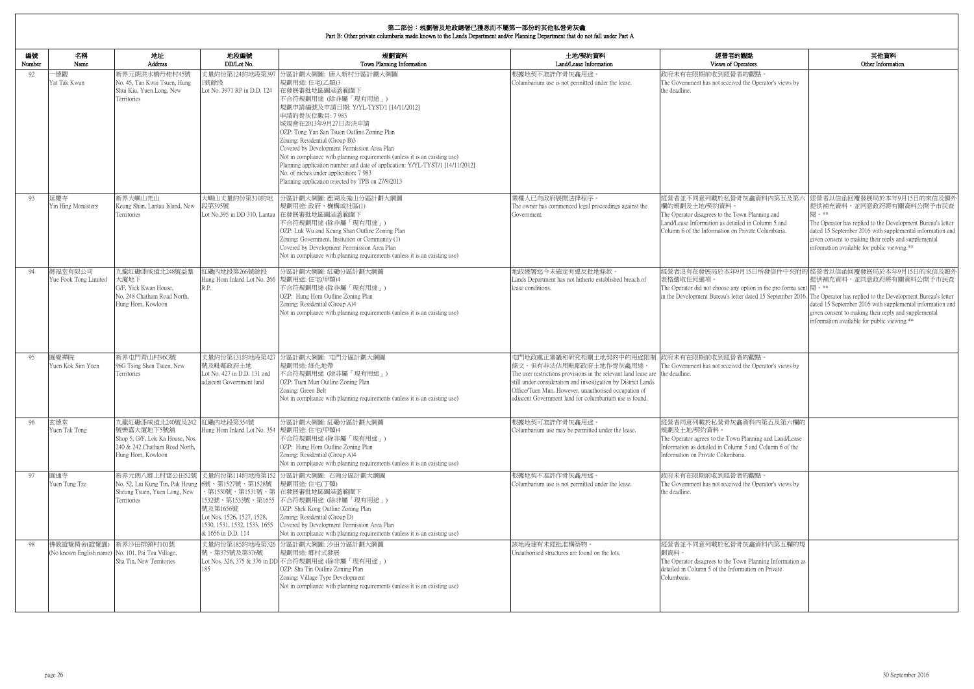| 的觀點<br>)perators                                                                 | 其他資料<br>Other Information                                                                                                                                                                                                                                                                                                           |
|----------------------------------------------------------------------------------|-------------------------------------------------------------------------------------------------------------------------------------------------------------------------------------------------------------------------------------------------------------------------------------------------------------------------------------|
| 者的觀點。<br>ed the Operator's views by                                              |                                                                                                                                                                                                                                                                                                                                     |
|                                                                                  |                                                                                                                                                                                                                                                                                                                                     |
| 骨灰龕資料内第五及第六<br>own Planning and<br>iled in Column 5 and<br>ı Private Columbaria. | 經營者以信函回覆發展局於本年9月15日的來信及額外<br>提供補充資料,並同意政府將有關資料公開予市民查<br>閱。**<br>The Operator has replied to the Development Bureau's letter<br>dated 15 September 2016 with supplemental information and<br>given consent to making their reply and supplemental<br>information available for public viewing.**                                     |
| y option in the pro forma sent  閱。**                                             | 9月15日所發信件中夾附的 經營者以信函回覆發展局於本年9月15日的來信及額外<br>提供補充資料,並同意政府將有關資料公開予市民查<br>tter dated 15 September 2016. The Operator has replied to the Development Bureau's letter<br>dated 15 September 2016 with supplemental information and<br>given consent to making their reply and supplemental<br>information available for public viewing.** |
| 者的觀點。<br>ed the Operator's views by                                              |                                                                                                                                                                                                                                                                                                                                     |
| 龕資料內第五及第六欄的<br>n Planning and Land/Lease<br>nn 5 and Column 6 of the<br>aria.    |                                                                                                                                                                                                                                                                                                                                     |
| 者的觀點。<br>ed the Operator's views by                                              |                                                                                                                                                                                                                                                                                                                                     |
| 骨灰龕資料內第五欄的規<br>own Planning Information as<br>ormation on Private                |                                                                                                                                                                                                                                                                                                                                     |

| 編號<br>Number | 名稱<br>Name                                                       | 地址<br>Address                                                                                                           | 地段編號<br>DD/Lot No.                                                                                                                     | 規劃資料<br>Town Planning Information                                                                                                                                                                                                                                                                                                                                                                                                                                                                                                                             | 土地/契約資料<br>Land/Lease Information                                                                                                                                                                                                                                                                                     | 經營者的觀點<br>Views of Operators                                                                                                                                                                            |
|--------------|------------------------------------------------------------------|-------------------------------------------------------------------------------------------------------------------------|----------------------------------------------------------------------------------------------------------------------------------------|---------------------------------------------------------------------------------------------------------------------------------------------------------------------------------------------------------------------------------------------------------------------------------------------------------------------------------------------------------------------------------------------------------------------------------------------------------------------------------------------------------------------------------------------------------------|-----------------------------------------------------------------------------------------------------------------------------------------------------------------------------------------------------------------------------------------------------------------------------------------------------------------------|---------------------------------------------------------------------------------------------------------------------------------------------------------------------------------------------------------|
| 92           | -德觀<br>Yat Tak Kwun                                              | 新界元朗洪水橋丹桂村45號<br>No. 45, Tan Kwai Tsuen, Hung<br>Shui Kiu, Yuen Long, New<br>Territories                                | 丈量約份第124約地段第397<br>1號餘段<br>Lot No. 3971 RP in D.D. 124                                                                                 | 分區計劃大綱圖: 唐人新村分區計劃大綱圖<br>規劃用途:住宅(乙類)3<br>在發展審批地區圖涵蓋範圍下<br>不合符規劃用途 (除非屬「現有用途」)<br>規劃申請編號及申請日期: Y/YL-TYST/1 [14/11/2012]<br>申請的骨灰位數目: 7 983<br>城規會在2013年9月27日否決申請<br>OZP: Tong Yan San Tsuen Outline Zoning Plan<br>Zoning: Residential (Group B)3<br>Covered by Development Permission Area Plan<br>Not in compliance with planning requirements (unless it is an existing use)<br>Planning application number and date of application: Y/YL-TYST/1 [14/11/2012]<br>No. of niches under application: 7 983<br>Planning application rejected by TPB on 27/9/2013 | 根據地契不准許作骨灰龕用途。<br>Columbarium use is not permitted under the lease.                                                                                                                                                                                                                                                   | 政府未有在限期前收到經營者的觀點。<br>The Government has not received the Operator's views by<br>the deadline.                                                                                                           |
| 93           | 延慶寺<br>Yin Hing Monastery                                        | 新界大嶼山羌山<br>Keung Shan, Lantau Island, New<br><b>Territories</b>                                                         | 大嶼山丈量約份第310約地<br>段第395號                                                                                                                | 分區計劃大綱圖: 鹿湖及羗山分區計劃大綱圖<br>規劃用途: 政府、機構或社區(1)<br>Lot No.395 in DD 310, Lantau 在發展審批地區圖涵蓋範圍下<br>不合符規劃用途(除非屬「現有用途」)<br>OZP: Luk Wu and Keung Shan Outline Zoning Plan<br>Zoning: Government, Insitution or Community (1)<br>Covered by Development Perrmission Area Plan<br>Not in compliance with planning requirements (unless it is an existing use)                                                                                                                                                                                                            | 業權人已向政府展開法律程序。<br>The owner has commenced legal proceedings against the<br>Government.                                                                                                                                                                                                                                | 經營者並不同意列載於私營骨灰龕資料內第五及第六<br>欄的規劃及土地/契約資料。<br>The Operator disagrees to the Town Planning and<br>Land/Lease Information as detailed in Column 5 and<br>Column 6 of the Information on Private Columbaria. |
| 94           | 御福堂有限公司<br>Yue Fook Tong Limited                                 | 九龍紅磡漆咸道北248號益羣<br>大廈地下<br>G/F, Yick Kwan House,<br>No. 248 Chatham Road North,<br>Hung Hom, Kowloon                     | 紅磡內地段第266號餘段<br>Hung Hom Inland Lot No. 266 規劃用途: 住宅(甲類)4<br>R.P.                                                                      | 分區計劃大綱圖:紅磡分區計劃大綱圖<br>不合符規劃用途(除非屬「現有用途」)<br>OZP: Hung Hom Outline Zoning Plan<br>Zoning: Residential (Group A)4<br>Not in compliance with planning requirements (unless it is an existing use)                                                                                                                                                                                                                                                                                                                                                                 | 地政總署迄今未確定有違反批地條款。<br>Lands Department has not hitherto established breach of<br>lease conditions.                                                                                                                                                                                                                     | 經營者沒有在發展局於本年9月15日所發信件中夾附的<br>表格選取任何選項。<br>The Operator did not choose any option in the pro forma sent<br>in the Development Bureau's letter dated 15 September 2016.                                   |
| -95          | 圓覺禪院<br>Yuen Kok Sim Yuen                                        | 新界屯門青山村96G號<br>96G Tsing Shan Tsuen, New<br><b>Ferritories</b>                                                          | 丈量約份第131約地段第427<br>號及毗鄰政府土地<br>Lot No. 427 in D.D. 131 and<br>adjacent Government land                                                 | 分區計劃大綱圖: 屯門分區計劃大綱圖<br>規劃用途: 綠化地帶<br>不合符規劃用途 (除非屬「現有用途」)<br>OZP: Tuen Mun Outline Zoning Plan<br>Zoning: Green Belt<br>Not in compliance with planning requirements (unless it is an existing use)                                                                                                                                                                                                                                                                                                                                                             | 屯門地政處正審議和研究相關土地契約中的用途限制<br>條文。但有非法佔用毗鄰政府土地作骨灰龕用途。<br>The user restrictions provisions in the relevant land lease are the deadline.<br>still under consideration and investigation by District Lands<br>Office/Tuen Mun. However, unauthorised occupation of<br>adiacent Government land for columbarium use is found. | 政府未有在限期前收到經營者的觀點。<br>The Government has not received the Operator's views by                                                                                                                            |
| 96           | 玄德堂<br>Yuen Tak Tong                                             | 九龍紅磡漆咸道北240號及242<br>號樂嘉大廈地下5號舖<br>Shop 5, G/F, Lok Ka House, Nos.<br>240 & 242 Chatham Road North,<br>Hung Hom, Kowloon | 紅磡內地段第354號<br>Hung Hom Inland Lot No. 354  規劃用途: 住宅(甲類)4                                                                               | 分區計劃大綱圖:紅磡分區計劃大綱圖<br>不合符規劃用途(除非屬「現有用途」)<br>OZP: Hung Hom Outline Zoning Plan<br>Zoning: Residential (Group A)4<br>Not in compliance with planning requirements (unless it is an existing use)                                                                                                                                                                                                                                                                                                                                                                 | 根據地契可准許作骨灰龕用途。<br>Columbarium use may be permitted under the lease.                                                                                                                                                                                                                                                   | 經營者同意列載於私營骨灰龕資料內第五及第六欄的<br>規劃及十地/契約資料。<br>The Operator agrees to the Town Planning and Land/Lease<br>Information as detailed in Column 5 and Column 6 of the<br>Information on Private Columbaria.      |
| 97           | 圓通寺<br>Yuen Tung Tze                                             | 新界元朗八鄉上村雷公田52號 丈量約份第114約地段第152<br>No. 52, Lui Kung Tin, Pak Heung<br>Sheung Tsuen, Yuen Long, New<br>Territories        | 6號、第1527號、第1528號<br>1532號、第1533號、第1655<br>號及第1656號<br>Lot Nos. 1526, 1527, 1528,<br>1530, 1531, 1532, 1533, 1655<br>& 1656 in D.D. 114 | 分區計劃大綱圖: 石崗分區計劃大綱圖<br>規劃用途:住宅(丁類)<br>、第1530號、第1531號、第 在發展審批地區圖涵蓋範圍下<br>不合符規劃用途 (除非屬「現有用途」)<br>OZP: Shek Kong Outline Zoning Plan<br>Zoning: Residential (Group D)<br>Covered by Development Permission Area Plan<br>Not in compliance with planning requirements (unless it is an existing use)                                                                                                                                                                                                                                                               | 根據地契不准許作骨灰龕用途。<br>Columbarium use is not permitted under the lease.                                                                                                                                                                                                                                                   | 政府未有在限期前收到經營者的觀點。<br>The Government has not received the Operator's views by<br>the deadline.                                                                                                           |
| 98           | 佛教證覺精舍(證覺園)<br>(No known English name) No. 101, Pai Tau Village, | 新界沙田排頭村101號<br>Sha Tin, New Territories                                                                                 | 號、第375號及第376號<br>185                                                                                                                   | 丈量約份第185約地段第326 分區計劃大綱圖: 沙田分區計劃大綱圖<br>規劃用途: 鄉村式發展<br>Lot Nos. 326, 375 & 376 in DD 不合符規劃用途 (除非屬「現有用途」)<br>OZP: Sha Tin Outline Zoning Plan<br>Zoning: Village Type Development<br>Not in compliance with planning requirements (unless it is an existing use)                                                                                                                                                                                                                                                                                                 | 該地段建有未經批准構築物。<br>Unauthorised structures are found on the lots.                                                                                                                                                                                                                                                       | 經營者並不同意列載於私營骨灰龕資料內第五欄的規<br>劃資料。<br>The Operator disagrees to the Town Planning Information as<br>detailed in Column 5 of the Information on Private<br>Columbaria.                                      |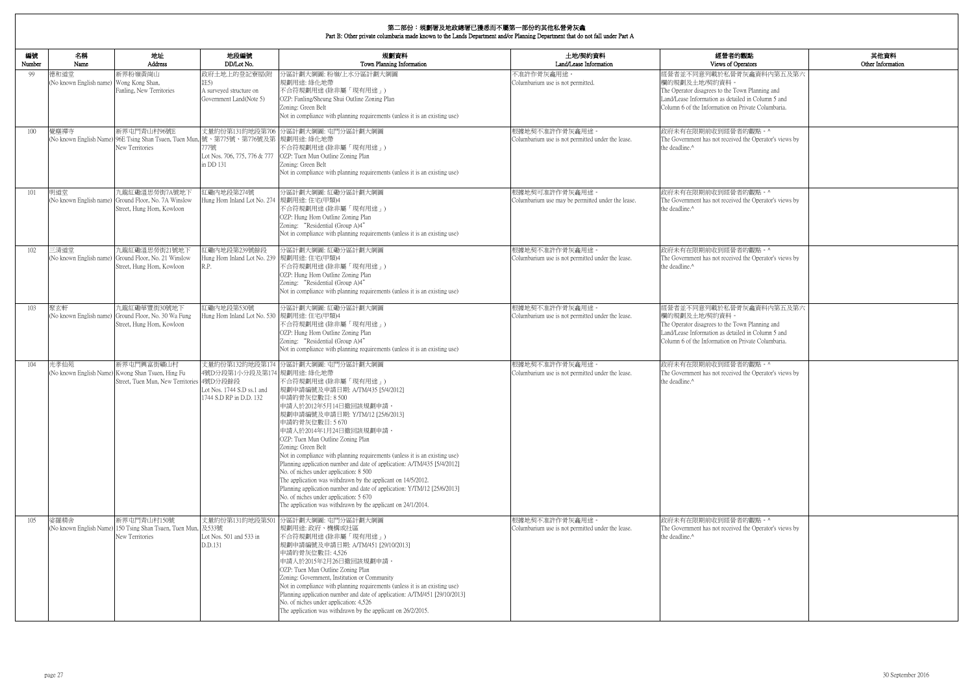| 的觀點<br>)perators                                                   | 其他資料<br>Other Information |
|--------------------------------------------------------------------|---------------------------|
| 骨灰龕資料内第五及第六                                                        |                           |
| 'own Planning and<br>iled in Column 5 and<br>1 Private Columbaria. |                           |
| 者的觀點。^                                                             |                           |
| ed the Operator's views by                                         |                           |
| 者的觀點。^                                                             |                           |
| ed the Operator's views by                                         |                           |
| 者的觀點。^                                                             |                           |
| ed the Operator's views by                                         |                           |
| 骨灰龕資料内第五及第六                                                        |                           |
| own Planning and<br>iled in Column 5 and<br>1 Private Columbaria.  |                           |
| 者的觀點。^<br>ed the Operator's views by                               |                           |
|                                                                    |                           |
| 者的觀點。^<br>ed the Operator's views by                               |                           |

| 編號<br>Number | 名稱<br>Name                                      | 地址<br>Address                                                                                                         | 地段編號<br>DD/Lot No.                                                                                      | 規劃資料<br>Town Planning Information                                                                                                                                                                                                                                                                                                                                                                                                                                                                                                                                                                                                                                                                                                 | 土地/契約資料<br>Land/Lease Information                                   | 經營者的觀點<br>Views of Operators                                                                                                                                                                            |
|--------------|-------------------------------------------------|-----------------------------------------------------------------------------------------------------------------------|---------------------------------------------------------------------------------------------------------|-----------------------------------------------------------------------------------------------------------------------------------------------------------------------------------------------------------------------------------------------------------------------------------------------------------------------------------------------------------------------------------------------------------------------------------------------------------------------------------------------------------------------------------------------------------------------------------------------------------------------------------------------------------------------------------------------------------------------------------|---------------------------------------------------------------------|---------------------------------------------------------------------------------------------------------------------------------------------------------------------------------------------------------|
| -99          | 德和道堂<br>(No known English name) Wong Kong Shan, | 新界粉嶺黃崗山<br>Fanling, New Territories                                                                                   | 政府土地上的登記寮屋(附<br>註5)<br>A surveyed structure on<br>Government Land(Note 5)                               | 分區計劃大綱圖: 粉嶺/上水分區計劃大綱圖<br>規劃用途: 綠化地帶<br>不合符規劃用途(除非屬「現有用途」)<br>OZP: Fanling/Sheung Shui Outline Zoning Plan<br>Zoning: Green Belt<br>Not in compliance with planning requirements (unless it is an existing use)                                                                                                                                                                                                                                                                                                                                                                                                                                                                                                                    | 不准許作骨灰龕用途。<br>Columbarium use is not permitted.                     | 經營者並不同意列載於私營骨灰龕資料內第五及第六<br>欄的規劃及土地/契約資料。<br>The Operator disagrees to the Town Planning and<br>Land/Lease Information as detailed in Column 5 and<br>Column 6 of the Information on Private Columbaria. |
| 100          | 覺塵禪寺                                            | 新界屯門青山村96號E<br>(No known English Name) 96E Tsing Shan Tsuen, Tuen Mun, 號、第775號、第776號及第  規劃用途: 綠化地帶<br>New Territories | 777號<br>Lot Nos. 706, 775, 776 & 777<br>in DD 131                                                       | 丈量約份第131約地段第706 分區計劃大綱圖: 屯門分區計劃大綱圖<br>不合符規劃用途(除非屬「現有用途」)<br>OZP: Tuen Mun Outline Zoning Plan<br>Zoning: Green Belt<br>Not in compliance with planning requirements (unless it is an existing use)                                                                                                                                                                                                                                                                                                                                                                                                                                                                                                                                | 根據地契不准許作骨灰龕用途。<br>Columbarium use is not permitted under the lease. | 政府未有在限期前收到經營者的觀點。^<br>The Government has not received the Operator's views by<br>the deadline. <sup>^</sup>                                                                                             |
| 101          | 明道堂                                             | 九龍紅磡溫思勞街7A號地下<br>(No known English name) Ground Floor, No. 7A Winslow<br>Street, Hung Hom, Kowloon                    | 紅磡內地段第274號<br>Hung Hom Inland Lot No. 274                                                               | 分區計劃大綱圖:紅磡分區計劃大綱圖<br>規劃用途: 住宅(甲類)4<br>不合符規劃用途(除非屬「現有用途」)<br>OZP: Hung Hom Outline Zoning Plan<br>Zoning: "Residential (Group A)4"<br>Not in compliance with planning requirements (unless it is an existing use)                                                                                                                                                                                                                                                                                                                                                                                                                                                                                                                  | 根據地契可准許作骨灰龕用途<br>Columbarium use may be permitted under the lease.  | 政府未有在限期前收到經營者的觀點。^<br>The Government has not received the Operator's views by<br>the deadline. <sup>^</sup>                                                                                             |
| 102          | 三清道堂                                            | 九龍紅磡溫思勞街21號地下<br>(No known English name) Ground Floor, No. 21 Winslow<br>Street, Hung Hom, Kowloon                    | 紅磡內地段第239號餘段<br>Hung Hom Inland Lot No. 239<br>R.P.                                                     | 分區計劃大綱圖:紅磡分區計劃大綱圖<br>規劃用途:住宅(甲類)4<br>不合符規劃用途(除非屬「現有用途」)<br>OZP: Hung Hom Outline Zoning Plan<br>Zoning: "Residential (Group A)4"<br>Not in compliance with planning requirements (unless it is an existing use)                                                                                                                                                                                                                                                                                                                                                                                                                                                                                                                   | 根據地契不准許作骨灰龕用途。<br>Columbarium use is not permitted under the lease. | 政府未有在限期前收到經營者的觀點。^<br>The Government has not received the Operator's views by<br>the deadline. <sup>^</sup>                                                                                             |
| 103          | 聚玄軒<br>(No known English name)                  | 九龍紅磡華豐街30號地下<br>Ground Floor, No. 30 Wa Fung<br>Street, Hung Hom, Kowloon                                             | 紅磡内地段第530號<br>Hung Hom Inland Lot No. 530 規劃用途: 住宅(甲類)4                                                 | 分區計劃大綱圖:紅磡分區計劃大綱圖<br>不合符規劃用途(除非屬「現有用途」)<br>OZP: Hung Hom Outline Zoning Plan<br>Zoning: "Residential (Group A)4"<br>Not in compliance with planning requirements (unless it is an existing use)                                                                                                                                                                                                                                                                                                                                                                                                                                                                                                                                   | 根據地契不准許作骨灰龕用途。<br>Columbarium use is not permitted under the lease. | 經營者並不同意列載於私營骨灰龕資料內第五及第六<br>欄的規劃及土地/契約資料。<br>The Operator disagrees to the Town Planning and<br>Land/Lease Information as detailed in Column 5 and<br>Column 6 of the Information on Private Columbaria. |
| 104          | 光孝仙苑                                            | 新界屯門興富街礦山村<br>(No known English Name) Kwong Shan Tsuen, Hing Fu<br>Street, Tuen Mun, New Territories 4號D分段餘段          | 丈量約份第132約地段第174<br>4號D分段第1小分段及第174  規劃用途: 綠化地帶<br>Lot Nos. 1744 S.D ss.1 and<br>1744 S.D RP in D.D. 132 | 分區計劃大綱圖: 屯門分區計劃大綱圖<br>不合符規劃用途(除非屬「現有用途」)<br> 規劃申請編號及申請日期: A/TM/435 [5/4/2012]<br>申請的骨灰位數目: 8 500<br>申請人於2012年5月14日撤回該規劃申請。<br>規劃申請編號及申請日期: Y/TM/12 [25/6/2013]<br>申請的骨灰位數目: 5 670<br>申請人於2014年1月24日撤回該規劃申請。<br>OZP: Tuen Mun Outline Zoning Plan<br>Zoning: Green Belt<br>Not in compliance with planning requirements (unless it is an existing use)<br>Planning application number and date of application: A/TM/435 [5/4/2012]<br>No. of niches under application: 8 500<br>The application was withdrawn by the applicant on 14/5/2012.<br>Planning application number and date of application: Y/TM/12 [25/6/2013]<br>No. of niches under application: 5 670<br>The application was withdrawn by the applicant on 24/1/2014. | 根據地契不准許作骨灰龕用途。<br>Columbarium use is not permitted under the lease. | 政府未有在限期前收到經營者的觀點。^<br>The Government has not received the Operator's views by<br>the deadline.^                                                                                                         |
| 105          | 娑羅精舍<br>(No known English Name)                 | 新界屯門青山村150號<br>150 Tsing Shan Tsuen, Tuen Mun,<br>New Territories                                                     | 及533號<br>Lot Nos. 501 and 533 in<br>D.D.131                                                             | 丈量約份第131約地段第501 分區計劃大綱圖: 屯門分區計劃大綱圖<br>規劃用途: 政府、機構或社區<br>不合符規劃用途(除非屬「現有用途」)<br>規劃申請編號及申請日期: A/TM/451 [29/10/2013]<br>申請的骨灰位數目: 4,526<br>申請人於2015年2月26日撤回該規劃申請。<br>OZP: Tuen Mun Outline Zoning Plan<br>Zoning: Government, Institution or Community<br>Not in compliance with planning requirements (unless it is an existing use)<br>Planning application number and date of application: A/TM/451 [29/10/2013]<br>No. of niches under application: 4,526<br>The application was withdrawn by the applicant on 26/2/2015.                                                                                                                                                                                                         | 根據地契不准許作骨灰龕用途。<br>Columbarium use is not permitted under the lease. | 政府未有在限期前收到經營者的觀點。^<br>The Government has not received the Operator's views by<br>the deadline.^                                                                                                         |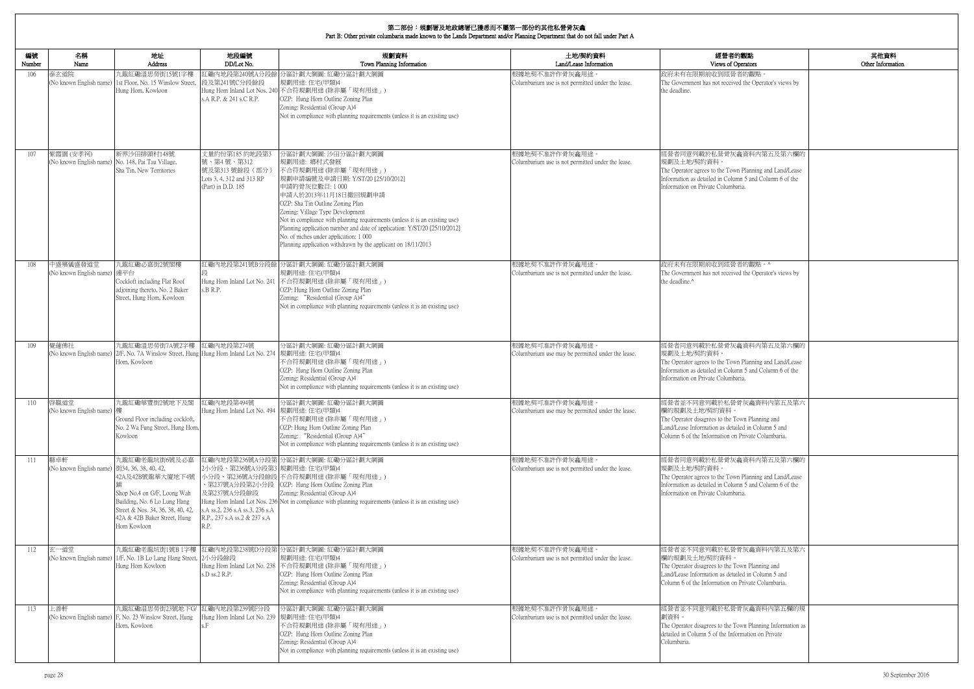| 的觀點<br>perators                                                                | 其他資料<br>Other Information |
|--------------------------------------------------------------------------------|---------------------------|
| 者的觀點。<br>ed the Operator's views by                                            |                           |
|                                                                                |                           |
| 龕資料內第五及第六欄的<br>n Planning and Land/Lease<br>nn 5 and Column 6 of the<br>aria.  |                           |
| 者的觀點。^                                                                         |                           |
| ed the Operator's views by                                                     |                           |
| 龕資料內第五及第六欄的                                                                    |                           |
| n Planning and Land/Lease<br>nn 5 and Column 6 of the<br>aria.                 |                           |
| 骨灰龕資料内第五及第六<br>own Planning and<br>iled in Column 5 and<br>Private Columbaria. |                           |
| 龕資料內第五及第六欄的<br>n Planning and Land/Lease<br>nn 5 and Column 6 of the<br>aria.  |                           |
| 骨灰龕資料内第五及第六                                                                    |                           |
| own Planning and<br>iled in Column 5 and<br>Private Columbaria.                |                           |
| 骨灰龕資料內第五欄的規                                                                    |                           |
| own Planning Information as<br>ormation on Private                             |                           |

| 編號<br>Number | 名稱<br>Name                                                     | 地址<br>Address                                                                                                                                                                        | 地段編號<br>DD/Lot No.                                                                                                     | 規劃資料<br>Town Planning Information                                                                                                                                                                                                                                                                                                                                                                                                                                                       | 土地/契約資料<br>Land/Lease Information                                   | 經營者的觀點<br>Views of Operators                                                                                                                                                                            |
|--------------|----------------------------------------------------------------|--------------------------------------------------------------------------------------------------------------------------------------------------------------------------------------|------------------------------------------------------------------------------------------------------------------------|-----------------------------------------------------------------------------------------------------------------------------------------------------------------------------------------------------------------------------------------------------------------------------------------------------------------------------------------------------------------------------------------------------------------------------------------------------------------------------------------|---------------------------------------------------------------------|---------------------------------------------------------------------------------------------------------------------------------------------------------------------------------------------------------|
| 106          | 泰玄道院                                                           | 九龍紅磡溫思勞街15號1字樓<br>(No known English name) 1st Floor, No. 15 Winslow Street,<br>Hung Hom, Kowloon                                                                                     | 紅磡內地段第240號A分段餘<br>段及第241號C分段餘段<br>s.A R.P. & 241 s.C R.P.                                                              | 分區計劃大綱圖:紅磡分區計劃大綱圖<br>規劃用途:住宅(甲類)4<br>Hung Hom Inland Lot Nos. 240 不合符規劃用途 (除非屬「現有用途」)<br>OZP: Hung Hom Outline Zoning Plan<br>Zoning: Residential (Group A)4<br>Not in compliance with planning requirements (unless it is an existing use)                                                                                                                                                                                                                                             | 根據地契不准許作骨灰龕用途。<br>Columbarium use is not permitted under the lease. | 政府未有在限期前收到經營者的觀點。<br>The Government has not received the Operator's views by<br>the deadline.                                                                                                           |
| 107          | 紫霞園 (安孝祠)<br>(No known English name) No. 148, Pai Tau Village, | 新界沙田排頭村148號<br>Sha Tin, New Territories                                                                                                                                              | 丈量約份第185 約地段第3<br>號、第4號、第312<br>號及第313號餘段(部分)<br>Lots 3, 4, 312 and 313 RP<br>(Part) in D.D. 185                       | 分區計劃大綱圖: 沙田分區計劃大綱圖<br>規劃用途: 鄉村式發展<br>不合符規劃用途(除非屬「現有用途」)<br> 規劃申請編號及申請日期: Y/ST/20 [25/10/2012] <br>申請的骨灰位數目:1000<br>申請人於2013年11月18日撤回規劃申請<br>OZP: Sha Tin Outline Zoning Plan<br>Zoning: Village Type Development<br>Not in compliance with planning requirements (unless it is an existing use)<br>Planning application number and date of application: Y/ST/20 [25/10/2012]<br>No. of niches under application: 1 000<br>Planning application withdrawn by the applicant on 18/11/2013 | 根據地契不准許作骨灰龕用途。<br>Columbarium use is not permitted under the lease. | 經營者同意列載於私營骨灰龕資料內第五及第六欄的<br>規劃及土地/契約資料。<br>The Operator agrees to the Town Planning and Land/Lease<br>Information as detailed in Column 5 and Column 6 of the<br>Information on Private Columbaria.      |
| 108          | 中盛殯儀盛發道堂<br>(No known English name) 連平台                        | 九龍紅磡必嘉街2號閣樓<br>Cockloft including Flat Roof<br>adjoining thereto, No. 2 Baker<br>Street, Hung Hom, Kowloon                                                                           | Hung Hom Inland Lot No. 241<br>s.B R.P.                                                                                | 江磡内地段第241號B分段餘 分區計劃大綱圖: 紅磡分區計劃大綱圖<br>規劃用途:住宅(甲類)4<br>不合符規劃用途 (除非屬「現有用途」)<br>OZP: Hung Hom Outline Zoning Plan<br>Zoning: "Residential (Group A)4"<br>Not in compliance with planning requirements (unless it is an existing use)                                                                                                                                                                                                                                                        | 根據地契不准許作骨灰龕用途。<br>Columbarium use is not permitted under the lease. | 政府未有在限期前收到經營者的觀點。^<br>The Government has not received the Operator's views by<br>the deadline.^                                                                                                         |
| 109          | 覺蓮佛社                                                           | 九龍紅磡溫思勞街7A號2字樓<br>(No known English name) 2/F, No. 7A Winslow Street, Hung Hung Hom Inland Lot No. 274<br>Hom, Kowloon                                                               | 紅磡内地段第274號                                                                                                             | 分區計劃大綱圖:紅磡分區計劃大綱圖<br>規劃用途:住宅(甲類)4<br>不合符規劃用途 (除非屬「現有用途」)<br>OZP: Hung Hom Outline Zoning Plan<br>Zoning: Residential (Group A)4<br>Not in compliance with planning requirements (unless it is an existing use)                                                                                                                                                                                                                                                                          | 根據地契可准許作骨灰龕用途。<br>Columbarium use may be permitted under the lease. | 經營者同意列載於私營骨灰龕資料內第五及第六欄的<br>規劃及土地/契約資料。<br>The Operator agrees to the Town Planning and Land/Lease<br>Information as detailed in Column 5 and Column 6 of the<br>Information on Private Columbaria.      |
| 110          | 啓靝道堂<br>No known English name) 樓                               | 九龍紅磡華豐街2號地下及閣<br>Ground Floor including cockloft,<br>No. 2 Wa Fung Street, Hung Hom,<br>Kowloon                                                                                      | 紅磡內地段第494號<br>Hung Hom Inland Lot No. 494  規劃用途: 住宅(甲類)4                                                               | 分區計劃大綱圖:紅磡分區計劃大綱圖<br>不合符規劃用途(除非屬「現有用途」)<br>OZP: Hung Hom Outline Zoning Plan<br>Zoning: "Residential (Group A)4"<br>Not in compliance with planning requirements (unless it is an existing use)                                                                                                                                                                                                                                                                                         | 根據地契可准許作骨灰龕用途。<br>Columbarium use may be permitted under the lease. | 經營者並不同意列載於私營骨灰龕資料內第五及第六<br>欄的規劃及土地/契約資料。<br>The Operator disagrees to the Town Planning and<br>Land/Lease Information as detailed in Column 5 and<br>Column 6 of the Information on Private Columbaria. |
| 111          | 藝卓軒<br>(No known English name) 街34, 36, 38, 40, 42,            | 九龍紅磡老龍坑街6號及必嘉<br>42A及42B號龍華大廈地下4號<br>Shop No.4 on G/F, Loong Wah<br>Building, No. 6 Lo Lung Hang<br>Street & Nos. 34, 36, 38, 40, 42,<br>42A & 42B Baker Street, Hung<br>Hom Kowloon | 2小分段、第236號A分段第3 規劃用途:住宅(甲類)4<br>及第237號A分段餘段<br>s.A ss.2, 236 s.A ss.3, 236 s.A<br>R.P., 237 s.A ss.2 & 237 s.A<br>R.P. | 江磡内地段第236號A分段第 分區計劃大綱圖: 紅磡分區計劃大綱圖<br>小分段、第236號A分段餘段 不合符規劃用途 (除非屬「現有用途」)<br>、第237號A分段第2小分段   OZP: Hung Hom Outline Zoning Plan<br>Zoning: Residential (Group A)4<br>Hung Hom Inland Lot Nos. 236 Not in compliance with planning requirements (unless it is an existing use)                                                                                                                                                                                                             | 根據地契不准許作骨灰龕用途<br>Columbarium use is not permitted under the lease.  | 經營者同意列載於私營骨灰龕資料內第五及第六欄的<br>規劃及土地/契約資料。<br>The Operator agrees to the Town Planning and Land/Lease<br>Information as detailed in Column 5 and Column 6 of the<br>Information on Private Columbaria.      |
| 112          | 玄一道堂                                                           | 九龍紅磡老龍坑街1號B 1字樓<br>(No known English name) 1/F, No. 1B Lo Lung Hang Street,<br>Hung Hom Kowloon                                                                                      | 2小分段餘段<br>s.D ss.2 R.P.                                                                                                | 紅磡內地段第238號D分段第 分區計劃大綱圖: 紅磡分區計劃大綱圖<br>規劃用途: 住宅(甲類)4<br>Hung Hom Inland Lot No. 238 不合符規劃用途 (除非屬「現有用途」)<br>OZP: Hung Hom Outline Zoning Plan<br>Zoning: Residential (Group A)4<br>Not in compliance with planning requirements (unless it is an existing use)                                                                                                                                                                                                                             | 根據地契不准許作骨灰龕用途。<br>Columbarium use is not permitted under the lease. | 經營者並不同意列載於私營骨灰龕資料內第五及第六<br>欄的規劃及土地/契約資料。<br>The Operator disagrees to the Town Planning and<br>Land/Lease Information as detailed in Column 5 and<br>Column 6 of the Information on Private Columbaria. |
| 113          | 上善軒                                                            | 九龍紅磡温思勞街23號地下G/<br>(No known English name) F, No. 23 Winslow Street, Hung<br>Hom, Kowloon                                                                                            | 紅磡内地段第239號F分段<br>Hung Hom Inland Lot No. 239  規劃用途: 住宅(甲類)4                                                            | 分區計劃大綱圖:紅磡分區計劃大綱圖<br>不合符規劃用途 (除非屬「現有用途」)<br>OZP: Hung Hom Outline Zoning Plan<br>Zoning: Residential (Group A)4<br>Not in compliance with planning requirements (unless it is an existing use)                                                                                                                                                                                                                                                                                          | 根據地契不准許作骨灰龕用途。<br>Columbarium use is not permitted under the lease. | 經營者並不同意列載於私營骨灰龕資料內第五欄的規<br>劃資料。<br>The Operator disagrees to the Town Planning Information as<br>detailed in Column 5 of the Information on Private<br>Columbaria.                                      |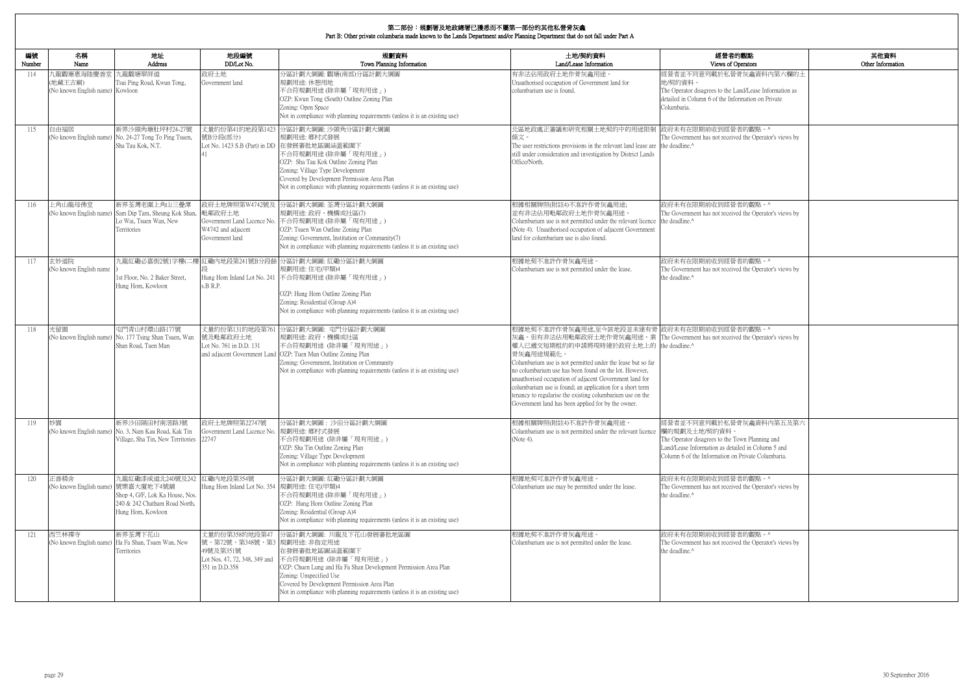| 的觀點<br>)perators                                                                  | 其他資料<br>Other Information |
|-----------------------------------------------------------------------------------|---------------------------|
| 骨灰龕資料內第六欄的土                                                                       |                           |
| and/Lease Information as<br>ormation on Private                                   |                           |
| 者的觀點。^<br>ed the Operator's views by                                              |                           |
| 者的觀點。^                                                                            |                           |
| ed the Operator's views by                                                        |                           |
| 者的觀點。^<br>ed the Operator's views by                                              |                           |
| 者的觀點。^<br>ed the Operator's views by                                              |                           |
| 骨灰龕資料内第五及第六<br>'own Planning and<br>iled in Column 5 and<br>1 Private Columbaria. |                           |
| 者的觀點。^<br>ed the Operator's views by                                              |                           |
| 者的觀點。^<br>ed the Operator's views by                                              |                           |

| 編號<br>Number | 名稱<br>Name                                               | 地址<br>Address                                                                                                  | 地段編號<br>DD/Lot No.                                                                                            | 規劃資料<br>Town Planning Information                                                                                                                                                                                                                                                                                                 | 土地/契約資料<br>Land/Lease Information                                                                                                                                                                                                                                                                                                                                                                                                                                                                                                                         | 經營者的觀點<br>Views of Operators                                                                                                                                                                            |
|--------------|----------------------------------------------------------|----------------------------------------------------------------------------------------------------------------|---------------------------------------------------------------------------------------------------------------|-----------------------------------------------------------------------------------------------------------------------------------------------------------------------------------------------------------------------------------------------------------------------------------------------------------------------------------|-----------------------------------------------------------------------------------------------------------------------------------------------------------------------------------------------------------------------------------------------------------------------------------------------------------------------------------------------------------------------------------------------------------------------------------------------------------------------------------------------------------------------------------------------------------|---------------------------------------------------------------------------------------------------------------------------------------------------------------------------------------------------------|
| 114          | 九龍觀塘惠海陸慶善堂<br>(地藏王古廟)<br>(No known English name) Kowloon | 九龍觀塘翠屏道<br>Tsui Ping Road, Kwun Tong,                                                                          | 政府土地<br>Government land                                                                                       | 分區計劃大綱圖:觀塘(南部)分區計劃大綱圖<br>規劃用途: 休憩用地<br>不合符規劃用途 (除非屬「現有用途」)<br>OZP: Kwun Tong (South) Outline Zoning Plan<br>Zoning: Open Space<br>Not in compliance with planning requirements (unless it is an existing use)                                                                                                                     | 有非法佔用政府土地作骨灰龕用途<br>Unauthorised occupation of Government land for<br>columbarium use is found.                                                                                                                                                                                                                                                                                                                                                                                                                                                            | 經營者並不同意列載於私營骨灰龕資料內第六欄的土<br>地/契約資料。<br>The Operator disagrees to the Land/Lease Information as<br>detailed in Column 6 of the Information on Private<br>Columbaria.                                      |
| 115          | 自由福居                                                     | 新界沙頭角塘肚坪村24-27號<br>(No known English name) No. 24-27 Tong To Ping Tsuen,<br>Sha Tau Kok, N.T.                  | 號B分段(部分)                                                                                                      | 丈量約份第41約地段第1423 分區計劃大綱圖: 沙頭角分區計劃大綱圖<br>規劃用途: 鄉村式發展<br>Lot No. 1423 S.B (Part) in DD 在發展審批地區圖涵蓋範圍下<br>不合符規劃用途(除非屬「現有用途」)<br>OZP: Sha Tau Kok Outline Zoning Plan<br>Zoning: Village Type Development<br>Covered by Development Permission Area Plan<br>Not in compliance with planning requirements (unless it is an existing use) | 北區地政處正審議和研究相關土地契約中的用途限制 政府未有在限期前收到經營者的觀點。^<br>條文。<br>The user restrictions provisions in the relevant land lease are the deadline. <sup>^</sup><br>still under consideration and investigation by District Lands<br>Office/North.                                                                                                                                                                                                                                                                                                                         | The Government has not received the Operator's views by                                                                                                                                                 |
| 116          | 上角山龍母佛堂                                                  | 新界荃灣老圍上角山三疊潭<br>(No known English name) Sam Dip Tam, Sheung Kok Shan,<br>Lo Wai, Tsuen Wan, New<br>Territories | 政府土地牌照第W4742號及<br>毗鄰政府土地<br>W4742 and adjacent<br>Government land                                             | 分區計劃大綱圖: 荃灣分區計劃大綱圖<br>規劃用途: 政府、機構或社區(7)<br>Government Land Licence No. 不合符規劃用途 (除非屬「現有用途」)<br>OZP: Tsuen Wan Outline Zoning Plan<br>Zoning: Government, Institution or Community(7)<br>Not in compliance with planning requirements (unless it is an existing use)                                                                | 根據相關牌照(附註4)不准許作骨灰龕用途;<br>並有非法佔用毗鄰政府土地作骨灰龕用途。<br>Columbarium use is not permitted under the relevant licence the deadline.^<br>(Note 4). Unauthorised occupation of adjacent Government<br>land for columbarium use is also found.                                                                                                                                                                                                                                                                                                                         | 政府未有在限期前收到經營者的觀點。^<br>The Government has not received the Operator's views by                                                                                                                           |
| 117          | 玄妙道院<br>(No known English name                           | 1st Floor, No. 2 Baker Street,<br>Hung Hom, Kowloon                                                            | s.B R.P.                                                                                                      | 九龍紅磡必嘉街2號1字樓(二樓 紅磡內地段第241號B分段餘 分區計劃大綱圖: 紅磡分區計劃大綱圖<br>規劃用途:住宅(甲類)4<br>Hung Hom Inland Lot No. 241 不合符規劃用途 (除非屬「現有用途」)<br>OZP: Hung Hom Outline Zoning Plan<br>Zoning: Residential (Group A)4<br>Not in compliance with planning requirements (unless it is an existing use)                                                        | 根據地契不准許作骨灰龕用途。<br>Columbarium use is not permitted under the lease.                                                                                                                                                                                                                                                                                                                                                                                                                                                                                       | 政府未有在限期前收到經營者的觀點。^<br>The Government has not received the Operator's views by<br>the deadline. <sup>^</sup>                                                                                             |
| 118          | 光留園                                                      | 屯門青山村環山路177號<br>(No known English name) No. 177 Tsing Shan Tsuen, Wan<br>Shan Road, Tuen Mun                   | 丈量約份第131約地段第761<br>號及毗鄰政府土地<br>Lot No. 761 in D.D. 131                                                        | 分區計劃大綱圖: 屯門分區計劃大綱圖<br>規劃用途: 政府、機構或社區<br>不合符規劃用途 (除非屬「現有用途」)<br>and adjacent Government Land   OZP: Tuen Mun Outline Zoning Plan<br>Zoning: Government, Institution or Community<br>Not in compliance with planning requirements (unless it is an existing use)                                                                    | 根據地契不准許作骨灰龕用途,至今該地段並未建有骨 政府未有在限期前收到經營者的觀點。^<br>灰龕。但有非法佔用毗鄰政府土地作骨灰龕用途。業 The Government has not received the Operator's views by<br>權人已遞交短期租約的申請將現時建於政府土地上的 the deadline.^<br>骨灰龕用途規範化。<br>Columbarium use is not permitted under the lease but so far<br>no columbarium use has been found on the lot. However,<br>unauthorised occupation of adjacent Government land for<br>columbarium use is found; an application for a short term<br>tenancy to regularise the existing columbarium use on the<br>Government land has been applied for by the owner. |                                                                                                                                                                                                         |
| 119          | 妙園                                                       | 新界沙田隔田村南滘路3號<br>(No known English name) No. 3, Nam Kau Road, Kak Tin<br>Village, Sha Tin, New Territories      | 政府土地牌照第22747號<br>Government Land Licence No.<br>22747                                                         | 分區計劃大綱圖: 沙田分區計劃大綱圖<br>規劃用途: 鄉村式發展<br>不合符規劃用途 (除非屬「現有用途」)<br>OZP: Sha Tin Outline Zoning Plan<br>Zoning: Village Type Development<br>Not in compliance with planning requirements (unless it is an existing use)                                                                                                                   | 根據相關牌照(附註4)不准許作骨灰龕用途<br>Columbarium use is not permitted under the relevant licence<br>(Note 4).                                                                                                                                                                                                                                                                                                                                                                                                                                                          | 經營者並不同意列載於私營骨灰龕資料內第五及第六<br>欄的規劃及土地/契約資料。<br>The Operator disagrees to the Town Planning and<br>Land/Lease Information as detailed in Column 5 and<br>Column 6 of the Information on Private Columbaria. |
| 120          | 正善精舍<br>(No known English name) 號樂嘉大廈地下4號舖               | 九龍紅磡漆咸道北240號及242<br>Shop 4, G/F, Lok Ka House, Nos.<br>240 & 242 Chatham Road North,<br>Hung Hom, Kowloon      | 紅磡内地段第354號<br>Hung Hom Inland Lot No. 354 規劃用途: 住宅(甲類)4                                                       | 分區計劃大綱圖:紅磡分區計劃大綱圖<br>不合符規劃用途(除非屬「現有用途」)<br>OZP: Hung Hom Outline Zoning Plan<br>Zoning: Residential (Group A)4<br>Not in compliance with planning requirements (unless it is an existing use)                                                                                                                                     | 根據地契可准許作骨灰龕用途。<br>Columbarium use may be permitted under the lease.                                                                                                                                                                                                                                                                                                                                                                                                                                                                                       | 政府未有在限期前收到經營者的觀點。^<br>The Government has not received the Operator's views by<br>the deadline.^                                                                                                         |
| 121          | 西竺林禪寺                                                    | 新界荃灣下花山<br>(No known English name) Ha Fa Shan, Tsuen Wan, New<br>Territories                                   | 丈量約份第358約地段第47<br>號、第72號、第348號、第3 規劃用途: 非指定用途<br>49號及第351號<br>Lot Nos. 47, 72, 348, 349 and<br>351 in D.D.358 | 分區計劃大綱圖: 川龍及下花山發展審批地區圖<br>在發展審批地區圖涵蓋範圍下<br> 不合符規劃用途 (除非屬「現有用途」)<br>OZP: Chuen Lung and Ha Fa Shan Development Permission Area Plan<br>Zoning: Unspecified Use<br>Covered by Development Permission Area Plan<br>Not in compliance with planning requirements (unless it is an existing use)                                       | 根據地契不准許作骨灰龕用途。<br>Columbarium use is not permitted under the lease.                                                                                                                                                                                                                                                                                                                                                                                                                                                                                       | 政府未有在限期前收到經營者的觀點。^<br>The Government has not received the Operator's views by<br>the deadline.^                                                                                                         |